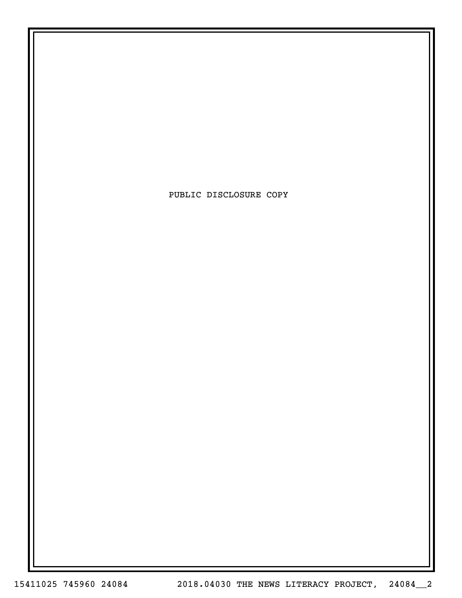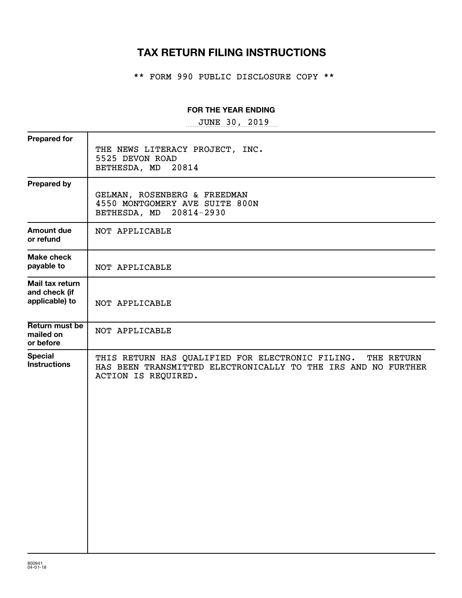# **TAX RETURN FILING INSTRUCTIONS**

\*\* FORM 990 PUBLIC DISCLOSURE COPY \*\*

## **FOR THE YEAR ENDING**

~~~~~~~~~~~~~~~~~ JUNE 30, 2019

| <b>Prepared for</b>                                |                                                                                                                                                        |
|----------------------------------------------------|--------------------------------------------------------------------------------------------------------------------------------------------------------|
|                                                    | THE NEWS LITERACY PROJECT, INC.<br>5525 DEVON ROAD<br>BETHESDA, MD<br>20814                                                                            |
| <b>Prepared by</b>                                 | GELMAN, ROSENBERG & FREEDMAN<br>4550 MONTGOMERY AVE SUITE 800N<br>BETHESDA, MD 20814-2930                                                              |
| <b>Amount due</b><br>or refund                     | NOT APPLICABLE                                                                                                                                         |
| <b>Make check</b><br>payable to                    | NOT APPLICABLE                                                                                                                                         |
| Mail tax return<br>and check (if<br>applicable) to | NOT APPLICABLE                                                                                                                                         |
| Return must be<br>mailed on<br>or before           | NOT APPLICABLE                                                                                                                                         |
| <b>Special</b><br><b>Instructions</b>              | THIS RETURN HAS QUALIFIED FOR ELECTRONIC FILING.<br>THE RETURN<br>HAS BEEN TRANSMITTED ELECTRONICALLY TO THE IRS AND NO FURTHER<br>ACTION IS REQUIRED. |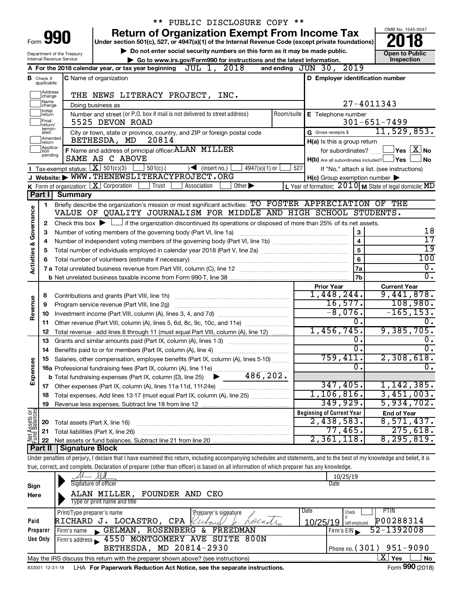|                                |                               |                            | ** PUBLIC DISCLOSURE COPY **                                                                                                                                               |     |                                                              |                                                                      |
|--------------------------------|-------------------------------|----------------------------|----------------------------------------------------------------------------------------------------------------------------------------------------------------------------|-----|--------------------------------------------------------------|----------------------------------------------------------------------|
|                                |                               |                            | <b>Return of Organization Exempt From Income Tax</b>                                                                                                                       |     |                                                              | OMB No. 1545-0047                                                    |
|                                | Form 990                      |                            | Under section 501(c), 527, or 4947(a)(1) of the Internal Revenue Code (except private foundations)                                                                         |     |                                                              |                                                                      |
|                                |                               | Department of the Treasury | Do not enter social security numbers on this form as it may be made public.                                                                                                |     |                                                              | <b>Open to Public</b>                                                |
|                                |                               | Internal Revenue Service   | Go to www.irs.gov/Form990 for instructions and the latest information.                                                                                                     |     |                                                              | Inspection                                                           |
|                                |                               |                            | JUL 1, 2018<br>A For the 2018 calendar year, or tax year beginning                                                                                                         |     | and ending JUN 30, 2019                                      |                                                                      |
|                                | <b>B</b> Check if applicable: |                            | <b>C</b> Name of organization                                                                                                                                              |     | D Employer identification number                             |                                                                      |
|                                | Address                       |                            |                                                                                                                                                                            |     |                                                              |                                                                      |
|                                | change<br>Name                |                            | THE NEWS LITERACY PROJECT, INC.                                                                                                                                            |     |                                                              |                                                                      |
|                                | change<br>Ilnitial            |                            | Doing business as                                                                                                                                                          |     |                                                              | 27-4011343                                                           |
|                                | return<br>Final               |                            | Number and street (or P.O. box if mail is not delivered to street address)                                                                                                 |     | Room/suite   E Telephone number                              |                                                                      |
|                                | return/<br>termin-            |                            | 5525 DEVON ROAD                                                                                                                                                            |     |                                                              | $301 - 651 - 7499$<br>11,529,853.                                    |
|                                | ated<br>Amended               |                            | City or town, state or province, country, and ZIP or foreign postal code<br>20814<br>BETHESDA, MD                                                                          |     | G Gross receipts \$                                          |                                                                      |
|                                | Ireturn<br>Applica-           |                            | F Name and address of principal officer: ALAN MILLER                                                                                                                       |     | H(a) Is this a group return                                  | $ {\mathsf Y}\mathsf{es}\,\lfloor \overline{{\mathbf X}} \rfloor$ No |
|                                | tion<br>pending               |                            | SAME AS C ABOVE                                                                                                                                                            |     | for subordinates?<br>H(b) Are all subordinates included? Ves | ∣No                                                                  |
|                                |                               |                            | Tax-exempt status: $X \over 301(c)(3)$<br>$501(c)$ (<br>$4947(a)(1)$ or<br>$\sqrt{\bullet}$ (insert no.)                                                                   | 527 |                                                              | If "No," attach a list. (see instructions)                           |
|                                |                               |                            | J Website: WWW.THENEWSLITERACYPROJECT.ORG                                                                                                                                  |     | $H(c)$ Group exemption number $\blacktriangleright$          |                                                                      |
|                                |                               |                            | K Form of organization:   X Corporation<br>Other $\blacktriangleright$<br>Trust<br>Association                                                                             |     |                                                              | L Year of formation: $2010$ M State of legal domicile: MD            |
|                                | Part I                        | <b>Summary</b>             |                                                                                                                                                                            |     |                                                              |                                                                      |
|                                | 1                             |                            | Briefly describe the organization's mission or most significant activities: TO FOSTER APPRECIATION OF THE                                                                  |     |                                                              |                                                                      |
| Governance                     |                               |                            | VALUE OF OUALITY JOURNALISM FOR MIDDLE AND HIGH SCHOOL STUDENTS.                                                                                                           |     |                                                              |                                                                      |
|                                | 2                             |                            | Check this box $\blacktriangleright$ $\Box$ if the organization discontinued its operations or disposed of more than 25% of its net assets.                                |     |                                                              |                                                                      |
|                                | 3                             |                            | Number of voting members of the governing body (Part VI, line 1a)                                                                                                          |     | 3                                                            | 18                                                                   |
|                                | 4                             |                            |                                                                                                                                                                            |     | $\overline{\mathbf{4}}$                                      | $\overline{17}$                                                      |
|                                | 5                             |                            |                                                                                                                                                                            |     | 5                                                            | $\overline{19}$                                                      |
| <b>Activities &amp;</b>        | 6                             |                            | Total number of volunteers (estimate if necessary)                                                                                                                         |     | 6                                                            | 100                                                                  |
|                                |                               |                            |                                                                                                                                                                            |     | 7a                                                           | $\overline{0}$ .                                                     |
|                                |                               |                            |                                                                                                                                                                            |     | 7b                                                           | $\overline{0}$ .                                                     |
|                                |                               |                            |                                                                                                                                                                            |     | <b>Prior Year</b>                                            | <b>Current Year</b>                                                  |
|                                | 8                             |                            |                                                                                                                                                                            |     | 1,448,244.                                                   | 9,441,878.                                                           |
| Revenue                        | 9                             |                            | Program service revenue (Part VIII, line 2g)                                                                                                                               |     | 16, 577.                                                     | 108,980.<br>$-165, 153.$                                             |
|                                | 10                            |                            |                                                                                                                                                                            |     | $-8,076.$<br>0.                                              | 0.                                                                   |
|                                | 11                            |                            | Other revenue (Part VIII, column (A), lines 5, 6d, 8c, 9c, 10c, and 11e)                                                                                                   |     | 1,456,745.                                                   | 9,385,705.                                                           |
|                                | 12<br>13                      |                            | Total revenue - add lines 8 through 11 (must equal Part VIII, column (A), line 12)<br>Grants and similar amounts paid (Part IX, column (A), lines 1-3)                     |     | 0.                                                           | Ο.                                                                   |
|                                | 14                            |                            |                                                                                                                                                                            |     | $\overline{0}$ .                                             | $\overline{0}$ .                                                     |
|                                |                               |                            | Salaries, other compensation, employee benefits (Part IX, column (A), lines 5-10)                                                                                          |     | 759,411.                                                     | 2,308,618.                                                           |
|                                |                               |                            |                                                                                                                                                                            |     | $\overline{0}$                                               | σ.                                                                   |
| Expenses                       |                               |                            | 486,202.<br><b>b</b> Total fundraising expenses (Part IX, column (D), line 25)                                                                                             |     |                                                              |                                                                      |
|                                |                               |                            |                                                                                                                                                                            |     | 347,405.                                                     | 1,142,385.                                                           |
|                                | 18                            |                            | Total expenses. Add lines 13-17 (must equal Part IX, column (A), line 25) <i></i>                                                                                          |     | 1,106,816.                                                   | 3,451,003.                                                           |
|                                | 19                            |                            |                                                                                                                                                                            |     | 349,929.                                                     | 5,934,702.                                                           |
| Net Assets or<br>Fund Balances |                               |                            |                                                                                                                                                                            |     | <b>Beginning of Current Year</b>                             | <b>End of Year</b>                                                   |
|                                | 20                            |                            | Total assets (Part X, line 16)                                                                                                                                             |     | 2,438,583.                                                   | 8,571,437.                                                           |
|                                | 21                            |                            | Total liabilities (Part X, line 26)                                                                                                                                        |     | 77,465.                                                      | 275,618.                                                             |
|                                | 22                            |                            |                                                                                                                                                                            |     | 2,361,118.                                                   | 8, 295, 819.                                                         |
|                                | Part II                       | Signature Block            |                                                                                                                                                                            |     |                                                              |                                                                      |
|                                |                               |                            | Under penalties of perjury, I declare that I have examined this return, including accompanying schedules and statements, and to the best of my knowledge and belief, it is |     |                                                              |                                                                      |
|                                |                               |                            | true, correct, and complete. Declaration of preparer (other than officer) is based on all information of which preparer has any knowledge.                                 |     |                                                              |                                                                      |
|                                |                               |                            | Signature of officer                                                                                                                                                       |     | 10/25/19<br>Date                                             |                                                                      |
| Sign                           |                               |                            | CEO                                                                                                                                                                        |     |                                                              |                                                                      |
| Here                           |                               |                            | ALAN MILLER, FOUNDER AND<br>Type or print name and title                                                                                                                   |     |                                                              |                                                                      |
|                                |                               | Print/Type preparer's name |                                                                                                                                                                            |     | Date<br>Check                                                | <b>PTIN</b>                                                          |
|                                |                               |                            |                                                                                                                                                                            |     |                                                              |                                                                      |
|                                |                               |                            | Pseparer's signature                                                                                                                                                       |     |                                                              |                                                                      |
| Paid                           | Preparer                      |                            | RICHARD J. LOCASTRO, CPA<br>Lolas/1.<br>lland<br>Firm's name GELMAN, ROSENBERG &<br>FREEDMAN                                                                               |     | 10/25/19 self-employed<br>Firm's EIN                         | P00288314<br>52-1392008                                              |

832001 12-31-18 LHA For Paperwork Reduction Act Notice, see the separate instructions. Form 990 (2018) May the IRS discuss this return with the preparer shown above? (see instructions)

**6 4550 MONTGOMERY AVE SUITE 800N**<br>BETHESDA, MD 20814-2930

BETHESDA, MD 20814-2930 | Phone no. (301) 951-9090

Phone no.  $(301)$  951-9090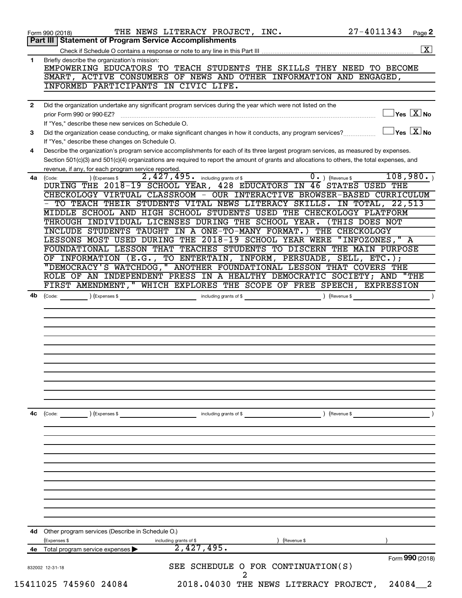|              | 27-4011343<br>THE NEWS LITERACY PROJECT, INC.<br>Page 2<br>Form 990 (2018)<br>Part III   Statement of Program Service Accomplishments                                                       |
|--------------|---------------------------------------------------------------------------------------------------------------------------------------------------------------------------------------------|
|              |                                                                                                                                                                                             |
| 1            | Briefly describe the organization's mission:<br>EMPOWERING EDUCATORS TO TEACH STUDENTS THE SKILLS THEY NEED TO BECOME<br>SMART, ACTIVE CONSUMERS OF NEWS AND OTHER INFORMATION AND ENGAGED, |
|              | INFORMED PARTICIPANTS IN CIVIC LIFE.                                                                                                                                                        |
| $\mathbf{2}$ | Did the organization undertake any significant program services during the year which were not listed on the                                                                                |
|              | $\sqrt{\mathsf{Yes}\mathord{\;\mathbb{X}}\mathord{\;\mathsf{No}}}$<br>prior Form 990 or 990-EZ?                                                                                             |
|              | If "Yes," describe these new services on Schedule O.<br>$\overline{\ }$ Yes $\overline{\phantom{a} \mathrm{X}}$ No                                                                          |
| 3            | Did the organization cease conducting, or make significant changes in how it conducts, any program services?<br>If "Yes," describe these changes on Schedule O.                             |
| 4            | Describe the organization's program service accomplishments for each of its three largest program services, as measured by expenses.                                                        |
|              | Section 501(c)(3) and 501(c)(4) organizations are required to report the amount of grants and allocations to others, the total expenses, and                                                |
|              | revenue, if any, for each program service reported.<br>108,980.                                                                                                                             |
| 4a           | $\overline{0}$ . ) (Revenue \$<br>2,427,495. including grants of \$<br>) (Expenses \$<br>(Code:<br>DURING THE 2018-19 SCHOOL YEAR, 428 EDUCATORS IN 46 STATES USED THE                      |
|              | CHECKOLOGY VIRTUAL CLASSROOM - OUR INTERACTIVE BROWSER-BASED CURRICULUM                                                                                                                     |
|              | - TO TEACH THEIR STUDENTS VITAL NEWS LITERACY SKILLS. IN TOTAL, 22,513                                                                                                                      |
|              | MIDDLE SCHOOL AND HIGH SCHOOL STUDENTS USED THE CHECKOLOGY PLATFORM                                                                                                                         |
|              | THROUGH INDIVIDUAL LICENSES DURING THE SCHOOL YEAR.<br>(THIS DOES NOT                                                                                                                       |
|              | INCLUDE STUDENTS TAUGHT IN A ONE-TO-MANY FORMAT.) THE CHECKOLOGY<br>LESSONS MOST USED DURING THE 2018-19 SCHOOL YEAR WERE "INFOZONES," A                                                    |
|              | FOUNDATIONAL LESSON THAT TEACHES STUDENTS TO DISCERN THE MAIN PURPOSE                                                                                                                       |
|              | OF INFORMATION (E.G., TO ENTERTAIN, INFORM, PERSUADE, SELL, ETC.);                                                                                                                          |
|              | "DEMOCRACY'S WATCHDOG, " ANOTHER FOUNDATIONAL LESSON THAT COVERS THE                                                                                                                        |
|              | ROLE OF AN INDEPENDENT PRESS IN A HEALTHY DEMOCRATIC SOCIETY; AND "THE                                                                                                                      |
|              | FIRST AMENDMENT, " WHICH EXPLORES THE SCOPE OF FREE SPEECH, EXPRESSION                                                                                                                      |
| 4b           | including grants of \$<br>(Code:<br>(Expenses \$<br>) (Revenue \$                                                                                                                           |
|              |                                                                                                                                                                                             |
|              |                                                                                                                                                                                             |
|              |                                                                                                                                                                                             |
|              |                                                                                                                                                                                             |
|              |                                                                                                                                                                                             |
|              |                                                                                                                                                                                             |
|              |                                                                                                                                                                                             |
|              |                                                                                                                                                                                             |
|              |                                                                                                                                                                                             |
|              |                                                                                                                                                                                             |
| 4с           | ) (Revenue \$<br>) (Expenses \$<br>including grants of \$<br>(Code:                                                                                                                         |
|              |                                                                                                                                                                                             |
|              |                                                                                                                                                                                             |
|              |                                                                                                                                                                                             |
|              |                                                                                                                                                                                             |
|              |                                                                                                                                                                                             |
|              |                                                                                                                                                                                             |
|              |                                                                                                                                                                                             |
|              |                                                                                                                                                                                             |
|              |                                                                                                                                                                                             |
|              |                                                                                                                                                                                             |
|              |                                                                                                                                                                                             |
|              |                                                                                                                                                                                             |
|              | Other program services (Describe in Schedule O.)                                                                                                                                            |
| 4d<br>4е     | (Expenses \$<br>including grants of \$<br>(Revenue \$<br>2,427,495.<br>Total program service expenses                                                                                       |
|              | Form 990 (2018)                                                                                                                                                                             |
|              | SEE SCHEDULE O FOR CONTINUATION(S)<br>832002 12-31-18<br>2                                                                                                                                  |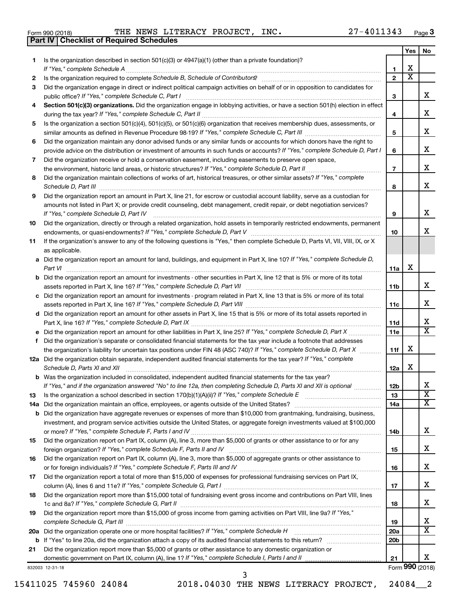| Form 990 (2018) |  |  |
|-----------------|--|--|

**Part IV Checklist of Required Schedules**

Form 990 (2018)  $\qquad$  THE NEWS LITERACY PROJECT, INC.  $\qquad \qquad 27-4011343$   $_{\rm Page}$ 

|    |                                                                                                                                                                                                                                                            |                 | Yes                     | No                      |
|----|------------------------------------------------------------------------------------------------------------------------------------------------------------------------------------------------------------------------------------------------------------|-----------------|-------------------------|-------------------------|
| 1. | Is the organization described in section 501(c)(3) or 4947(a)(1) (other than a private foundation)?                                                                                                                                                        |                 |                         |                         |
|    |                                                                                                                                                                                                                                                            | 1               | X                       |                         |
| 2  |                                                                                                                                                                                                                                                            | $\mathbf{2}$    | $\overline{\textbf{X}}$ |                         |
| З  | Did the organization engage in direct or indirect political campaign activities on behalf of or in opposition to candidates for                                                                                                                            |                 |                         |                         |
|    |                                                                                                                                                                                                                                                            | 3               |                         | x                       |
| 4  | Section 501(c)(3) organizations. Did the organization engage in lobbying activities, or have a section 501(h) election in effect                                                                                                                           |                 |                         |                         |
|    |                                                                                                                                                                                                                                                            | 4               |                         | х                       |
| 5  | Is the organization a section 501(c)(4), 501(c)(5), or 501(c)(6) organization that receives membership dues, assessments, or                                                                                                                               |                 |                         | х                       |
|    |                                                                                                                                                                                                                                                            | 5               |                         |                         |
| 6  | Did the organization maintain any donor advised funds or any similar funds or accounts for which donors have the right to                                                                                                                                  |                 |                         | х                       |
|    | provide advice on the distribution or investment of amounts in such funds or accounts? If "Yes," complete Schedule D, Part I                                                                                                                               | 6               |                         |                         |
| 7  | Did the organization receive or hold a conservation easement, including easements to preserve open space,                                                                                                                                                  | $\overline{7}$  |                         | х                       |
|    | Did the organization maintain collections of works of art, historical treasures, or other similar assets? If "Yes," complete                                                                                                                               |                 |                         |                         |
| 8  |                                                                                                                                                                                                                                                            |                 |                         | х                       |
|    |                                                                                                                                                                                                                                                            | 8               |                         |                         |
| 9  | Did the organization report an amount in Part X, line 21, for escrow or custodial account liability, serve as a custodian for<br>amounts not listed in Part X; or provide credit counseling, debt management, credit repair, or debt negotiation services? |                 |                         |                         |
|    |                                                                                                                                                                                                                                                            | 9               |                         | х                       |
| 10 | Did the organization, directly or through a related organization, hold assets in temporarily restricted endowments, permanent                                                                                                                              |                 |                         |                         |
|    |                                                                                                                                                                                                                                                            | 10              |                         | x                       |
| 11 | If the organization's answer to any of the following questions is "Yes," then complete Schedule D, Parts VI, VII, VIII, IX, or X                                                                                                                           |                 |                         |                         |
|    | as applicable.                                                                                                                                                                                                                                             |                 |                         |                         |
|    | a Did the organization report an amount for land, buildings, and equipment in Part X, line 10? If "Yes," complete Schedule D,                                                                                                                              |                 |                         |                         |
|    |                                                                                                                                                                                                                                                            | 11a             | X                       |                         |
|    | <b>b</b> Did the organization report an amount for investments - other securities in Part X, line 12 that is 5% or more of its total                                                                                                                       |                 |                         |                         |
|    |                                                                                                                                                                                                                                                            | 11b             |                         | х                       |
|    | c Did the organization report an amount for investments - program related in Part X, line 13 that is 5% or more of its total                                                                                                                               |                 |                         |                         |
|    |                                                                                                                                                                                                                                                            | 11c             |                         | х                       |
|    | d Did the organization report an amount for other assets in Part X, line 15 that is 5% or more of its total assets reported in                                                                                                                             |                 |                         |                         |
|    |                                                                                                                                                                                                                                                            | 11d             |                         | х                       |
|    |                                                                                                                                                                                                                                                            | 11e             |                         | X                       |
| f. | Did the organization's separate or consolidated financial statements for the tax year include a footnote that addresses                                                                                                                                    |                 |                         |                         |
|    | the organization's liability for uncertain tax positions under FIN 48 (ASC 740)? If "Yes," complete Schedule D, Part X                                                                                                                                     | 11f             | X                       |                         |
|    | 12a Did the organization obtain separate, independent audited financial statements for the tax year? If "Yes," complete                                                                                                                                    |                 |                         |                         |
|    | Schedule D, Parts XI and XII                                                                                                                                                                                                                               | 12a             | X                       |                         |
|    | <b>b</b> Was the organization included in consolidated, independent audited financial statements for the tax year?                                                                                                                                         |                 |                         |                         |
|    | If "Yes," and if the organization answered "No" to line 12a, then completing Schedule D, Parts XI and XII is optional                                                                                                                                      | 12 <sub>b</sub> |                         | х                       |
| 13 |                                                                                                                                                                                                                                                            | 13              |                         | $\overline{\mathbf{X}}$ |
|    |                                                                                                                                                                                                                                                            | 14a             |                         | x                       |
|    | <b>b</b> Did the organization have aggregate revenues or expenses of more than \$10,000 from grantmaking, fundraising, business,                                                                                                                           |                 |                         |                         |
|    | investment, and program service activities outside the United States, or aggregate foreign investments valued at \$100,000                                                                                                                                 |                 |                         |                         |
|    |                                                                                                                                                                                                                                                            | 14b             |                         | х                       |
| 15 | Did the organization report on Part IX, column (A), line 3, more than \$5,000 of grants or other assistance to or for any                                                                                                                                  |                 |                         |                         |
|    |                                                                                                                                                                                                                                                            | 15              |                         | х                       |
| 16 | Did the organization report on Part IX, column (A), line 3, more than \$5,000 of aggregate grants or other assistance to                                                                                                                                   |                 |                         |                         |
|    |                                                                                                                                                                                                                                                            | 16              |                         | х                       |
| 17 | Did the organization report a total of more than \$15,000 of expenses for professional fundraising services on Part IX,                                                                                                                                    |                 |                         |                         |
|    |                                                                                                                                                                                                                                                            | 17              |                         | х                       |
| 18 | Did the organization report more than \$15,000 total of fundraising event gross income and contributions on Part VIII, lines                                                                                                                               | 18              |                         | х                       |
| 19 | Did the organization report more than \$15,000 of gross income from gaming activities on Part VIII, line 9a? If "Yes,"                                                                                                                                     |                 |                         |                         |
|    |                                                                                                                                                                                                                                                            | 19              |                         | х                       |
|    | 20a Did the organization operate one or more hospital facilities? If "Yes," complete Schedule H                                                                                                                                                            | 20a             |                         | $\overline{\text{X}}$   |
|    |                                                                                                                                                                                                                                                            | 20 <sub>b</sub> |                         |                         |
| 21 | Did the organization report more than \$5,000 of grants or other assistance to any domestic organization or                                                                                                                                                |                 |                         |                         |
|    |                                                                                                                                                                                                                                                            | 21              |                         | x.                      |
|    | 832003 12-31-18                                                                                                                                                                                                                                            |                 |                         | Form 990 (2018)         |

15411025 745960 24084 2018.04030 THE NEWS LITERACY PROJECT, 24084\_\_2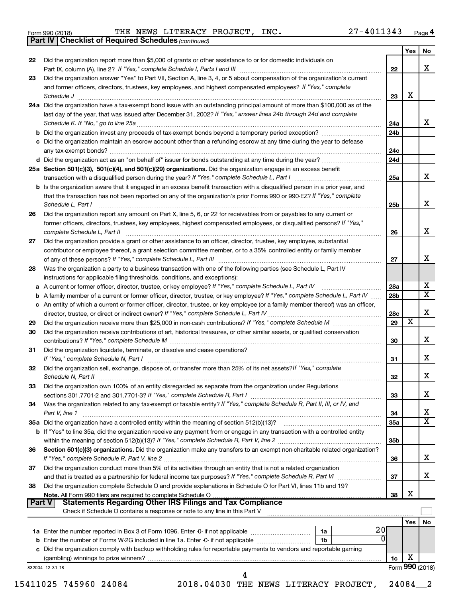|  | Form 990 (2018) |  |
|--|-----------------|--|
|  |                 |  |

**Part IV Checklist of Required Schedules**

*(continued)*  $_{\rm Form}$  990 (2018) THE NEWS LITERACY PROJECT, INC. 27-4011343 <sub>Page</sub> 4 THE NEWS LITERACY PROJECT, INC. 27-4011343

| 22<br>23 | Did the organization report more than \$5,000 of grants or other assistance to or for domestic individuals on                                                                                    | 22  |                 |                         |
|----------|--------------------------------------------------------------------------------------------------------------------------------------------------------------------------------------------------|-----|-----------------|-------------------------|
|          |                                                                                                                                                                                                  |     |                 | x                       |
|          | Did the organization answer "Yes" to Part VII, Section A, line 3, 4, or 5 about compensation of the organization's current                                                                       |     |                 |                         |
|          | and former officers, directors, trustees, key employees, and highest compensated employees? If "Yes," complete<br>Schedule J <b>www.communications.communications.communications.com</b>         | 23  | х               |                         |
|          | 24a Did the organization have a tax-exempt bond issue with an outstanding principal amount of more than \$100,000 as of the                                                                      |     |                 |                         |
|          | last day of the year, that was issued after December 31, 2002? If "Yes," answer lines 24b through 24d and complete                                                                               |     |                 |                         |
|          |                                                                                                                                                                                                  | 24a |                 | X                       |
|          |                                                                                                                                                                                                  | 24b |                 |                         |
|          | c Did the organization maintain an escrow account other than a refunding escrow at any time during the year to defease                                                                           |     |                 |                         |
|          |                                                                                                                                                                                                  | 24c |                 |                         |
|          | 25a Section 501(c)(3), 501(c)(4), and 501(c)(29) organizations. Did the organization engage in an excess benefit                                                                                 | 24d |                 |                         |
|          | transaction with a disqualified person during the year? If "Yes," complete Schedule L, Part I manufaction with a disqualified person during the year? If "Yes," complete Schedule L, Part I      | 25a |                 | x                       |
|          | b Is the organization aware that it engaged in an excess benefit transaction with a disqualified person in a prior year, and                                                                     |     |                 |                         |
|          | that the transaction has not been reported on any of the organization's prior Forms 990 or 990-EZ? If "Yes," complete<br>Schedule L, Part I                                                      | 25b |                 | x                       |
| 26       | Did the organization report any amount on Part X, line 5, 6, or 22 for receivables from or payables to any current or                                                                            |     |                 |                         |
|          | former officers, directors, trustees, key employees, highest compensated employees, or disqualified persons? If "Yes,"<br>complete Schedule L, Part II                                           | 26  |                 | x                       |
| 27       | Did the organization provide a grant or other assistance to an officer, director, trustee, key employee, substantial                                                                             |     |                 |                         |
|          | contributor or employee thereof, a grant selection committee member, or to a 35% controlled entity or family member                                                                              |     |                 |                         |
|          |                                                                                                                                                                                                  | 27  |                 | x                       |
| 28       | Was the organization a party to a business transaction with one of the following parties (see Schedule L, Part IV<br>instructions for applicable filing thresholds, conditions, and exceptions): |     |                 |                         |
|          | a A current or former officer, director, trustee, or key employee? If "Yes," complete Schedule L, Part IV                                                                                        | 28a |                 | х                       |
|          | b A family member of a current or former officer, director, trustee, or key employee? If "Yes," complete Schedule L, Part IV                                                                     | 28b |                 | $\overline{\mathbf{X}}$ |
|          | c An entity of which a current or former officer, director, trustee, or key employee (or a family member thereof) was an officer,                                                                |     |                 |                         |
|          |                                                                                                                                                                                                  | 28c |                 | х                       |
| 29       |                                                                                                                                                                                                  | 29  | x               |                         |
| 30       | Did the organization receive contributions of art, historical treasures, or other similar assets, or qualified conservation                                                                      | 30  |                 | X                       |
| 31       | Did the organization liquidate, terminate, or dissolve and cease operations?                                                                                                                     | 31  |                 | x                       |
| 32       | Did the organization sell, exchange, dispose of, or transfer more than 25% of its net assets? If "Yes," complete                                                                                 | 32  |                 | X                       |
| 33       | Did the organization own 100% of an entity disregarded as separate from the organization under Regulations                                                                                       | 33  |                 | х                       |
| 34       | Was the organization related to any tax-exempt or taxable entity? If "Yes," complete Schedule R, Part II, III, or IV, and                                                                        |     |                 |                         |
|          | Part V, line 1                                                                                                                                                                                   | 34  |                 | х                       |
|          |                                                                                                                                                                                                  | 35a |                 | $\overline{\mathbf{X}}$ |
|          | b If "Yes" to line 35a, did the organization receive any payment from or engage in any transaction with a controlled entity                                                                      | 35b |                 |                         |
| 36       | Section 501(c)(3) organizations. Did the organization make any transfers to an exempt non-charitable related organization?                                                                       |     |                 |                         |
| 37       | Did the organization conduct more than 5% of its activities through an entity that is not a related organization                                                                                 | 36  |                 | x                       |
|          |                                                                                                                                                                                                  | 37  |                 | X                       |
| 38       | Did the organization complete Schedule O and provide explanations in Schedule O for Part VI, lines 11b and 19?                                                                                   |     |                 |                         |
| Part V   | <b>Statements Regarding Other IRS Filings and Tax Compliance</b><br>Check if Schedule O contains a response or note to any line in this Part V                                                   | 38  | Х               |                         |
|          |                                                                                                                                                                                                  |     | Yes             | No                      |
|          | 20I<br>  1a                                                                                                                                                                                      |     |                 |                         |
|          | $\Omega$<br>1 <sub>b</sub>                                                                                                                                                                       |     |                 |                         |
|          | c Did the organization comply with backup withholding rules for reportable payments to vendors and reportable gaming                                                                             |     |                 |                         |
|          |                                                                                                                                                                                                  | 1c  | X               |                         |
|          | 832004 12-31-18                                                                                                                                                                                  |     | Form 990 (2018) |                         |
|          | 15411025 745960 24084<br>2018.04030 THE NEWS LITERACY PROJECT,                                                                                                                                   |     | 24084           | 2                       |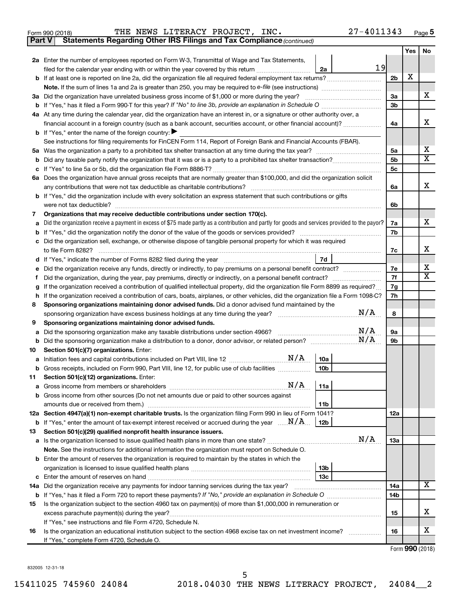|  | Form 990 (2018) |
|--|-----------------|
|  |                 |

Form 990 (2018)  $\qquad$  THE NEWS LITERACY PROJECT, INC.  $\qquad \qquad 27-4011343$   $_{\rm Page}$ 

**Part V** Statements Regarding Other IRS Filings and Tax Compliance (continued)

|         |                                                                                                                                                 |                | <b>Yes</b> | No                      |
|---------|-------------------------------------------------------------------------------------------------------------------------------------------------|----------------|------------|-------------------------|
|         | 2a Enter the number of employees reported on Form W-3, Transmittal of Wage and Tax Statements,                                                  |                |            |                         |
|         | 19<br>filed for the calendar year ending with or within the year covered by this return<br>2a                                                   |                |            |                         |
|         |                                                                                                                                                 | 2b             | х          |                         |
|         |                                                                                                                                                 |                |            |                         |
|         | 3a Did the organization have unrelated business gross income of \$1,000 or more during the year?                                                | За             |            | X                       |
|         | <b>b</b> If "Yes," has it filed a Form 990-T for this year? If "No" to line 3b, provide an explanation in Schedule O manumerroom                | 3b             |            |                         |
|         | 4a At any time during the calendar year, did the organization have an interest in, or a signature or other authority over, a                    |                |            |                         |
|         | financial account in a foreign country (such as a bank account, securities account, or other financial account)?                                | 4a             |            | x                       |
|         | <b>b</b> If "Yes," enter the name of the foreign country:                                                                                       |                |            |                         |
|         | See instructions for filing requirements for FinCEN Form 114, Report of Foreign Bank and Financial Accounts (FBAR).                             |                |            |                         |
|         |                                                                                                                                                 | 5a             |            | х                       |
| b       |                                                                                                                                                 | 5b             |            | $\overline{\mathbf{X}}$ |
|         |                                                                                                                                                 | 5 <sub>c</sub> |            |                         |
|         | 6a Does the organization have annual gross receipts that are normally greater than \$100,000, and did the organization solicit                  |                |            | x                       |
|         | any contributions that were not tax deductible as charitable contributions?                                                                     | 6a             |            |                         |
|         | b If "Yes," did the organization include with every solicitation an express statement that such contributions or gifts                          |                |            |                         |
| 7       | were not tax deductible?<br>Organizations that may receive deductible contributions under section 170(c).                                       | 6b             |            |                         |
| a       | Did the organization receive a payment in excess of \$75 made partly as a contribution and partly for goods and services provided to the payor? | 7a             |            | X.                      |
| b       |                                                                                                                                                 | 7b             |            |                         |
| c       | Did the organization sell, exchange, or otherwise dispose of tangible personal property for which it was required                               |                |            |                         |
|         | to file Form 8282?                                                                                                                              | 7c             |            | X.                      |
| d       | 7d                                                                                                                                              |                |            |                         |
|         |                                                                                                                                                 | 7e             |            | x                       |
|         |                                                                                                                                                 | 7f             |            | $\mathbf x$             |
| g       | If the organization received a contribution of qualified intellectual property, did the organization file Form 8899 as required?                | 7g             |            |                         |
| h       | If the organization received a contribution of cars, boats, airplanes, or other vehicles, did the organization file a Form 1098-C?              | 7h             |            |                         |
| 8       | Sponsoring organizations maintaining donor advised funds. Did a donor advised fund maintained by the                                            |                |            |                         |
|         | N/A<br>sponsoring organization have excess business holdings at any time during the year?                                                       | 8              |            |                         |
| 9       | Sponsoring organizations maintaining donor advised funds.                                                                                       |                |            |                         |
| a       | N/A<br>Did the sponsoring organization make any taxable distributions under section 4966?                                                       | 9а             |            |                         |
| b       | N/A<br>Did the sponsoring organization make a distribution to a donor, donor advisor, or related person?                                        | 9b             |            |                         |
| 10      | Section 501(c)(7) organizations. Enter:                                                                                                         |                |            |                         |
| а       | 10a<br>10 <sub>b</sub>                                                                                                                          |                |            |                         |
| b<br>11 | Gross receipts, included on Form 990, Part VIII, line 12, for public use of club facilities<br>Section 501(c)(12) organizations. Enter:         |                |            |                         |
|         |                                                                                                                                                 |                |            |                         |
|         | b Gross income from other sources (Do not net amounts due or paid to other sources against                                                      |                |            |                         |
|         | amounts due or received from them.)<br>11b                                                                                                      |                |            |                         |
|         | 12a Section 4947(a)(1) non-exempt charitable trusts. Is the organization filing Form 990 in lieu of Form 1041?                                  | 12a            |            |                         |
|         | <b>b</b> If "Yes," enter the amount of tax-exempt interest received or accrued during the year $\ldots \mathbf{N}/\mathbf{A}$<br>12b            |                |            |                         |
| 13      | Section 501(c)(29) qualified nonprofit health insurance issuers.                                                                                |                |            |                         |
|         | N/A                                                                                                                                             | 1За            |            |                         |
|         | Note. See the instructions for additional information the organization must report on Schedule O.                                               |                |            |                         |
|         | <b>b</b> Enter the amount of reserves the organization is required to maintain by the states in which the                                       |                |            |                         |
|         | 13 <sub>b</sub>                                                                                                                                 |                |            |                         |
| c       | 13c                                                                                                                                             |                |            |                         |
|         | 14a Did the organization receive any payments for indoor tanning services during the tax year?                                                  | 14a            |            | x                       |
|         |                                                                                                                                                 | 14b            |            |                         |
| 15      | Is the organization subject to the section 4960 tax on payment(s) of more than \$1,000,000 in remuneration or                                   |                |            |                         |
|         |                                                                                                                                                 | 15             |            | x                       |
|         | If "Yes," see instructions and file Form 4720, Schedule N.                                                                                      |                |            | x                       |
| 16      | Is the organization an educational institution subject to the section 4968 excise tax on net investment income?                                 | 16             |            |                         |
|         | If "Yes," complete Form 4720, Schedule O.                                                                                                       |                |            |                         |

Form (2018) **990**

832005 12-31-18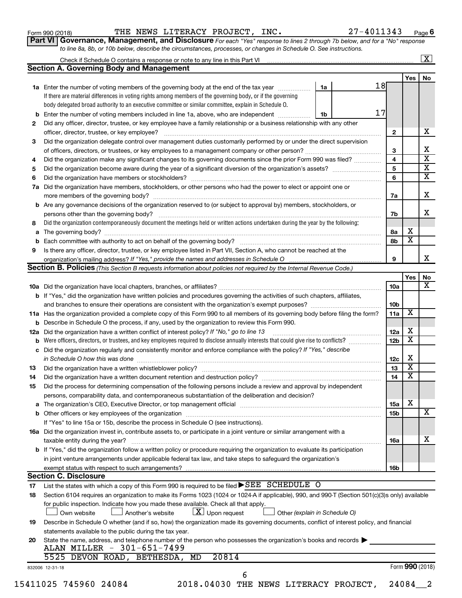Form 990 (2018)  $\qquad$  THE NEWS LITERACY PROJECT, INC.  $\qquad \qquad 27-4011343$   $_{\rm Page}$ 

| Part VI   Governance, Management, and Disclosure For each "Yes" response to lines 2 through 7b below, and for a "No" response |  |
|-------------------------------------------------------------------------------------------------------------------------------|--|
| to line 8a, 8b, or 10b below, describe the circumstances, processes, or changes in Schedule O. See instructions.              |  |

|    | Check if Schedule O contains a response or note to any line in this Part VI [1] [1] [1] [1] [1] [1] [1] [1] [1                                                                                                                |    |    |                 |                         | $\mathbf{X}$ |
|----|-------------------------------------------------------------------------------------------------------------------------------------------------------------------------------------------------------------------------------|----|----|-----------------|-------------------------|--------------|
|    | <b>Section A. Governing Body and Management</b>                                                                                                                                                                               |    |    |                 |                         |              |
|    | 1a Enter the number of voting members of the governing body at the end of the tax year                                                                                                                                        | 1a | 18 |                 | Yes                     | No           |
|    | If there are material differences in voting rights among members of the governing body, or if the governing                                                                                                                   |    |    |                 |                         |              |
|    | body delegated broad authority to an executive committee or similar committee, explain in Schedule O.                                                                                                                         |    |    |                 |                         |              |
|    |                                                                                                                                                                                                                               |    | 17 |                 |                         |              |
|    | <b>b</b> Enter the number of voting members included in line 1a, above, who are independent                                                                                                                                   | 1b |    |                 |                         |              |
| 2  | Did any officer, director, trustee, or key employee have a family relationship or a business relationship with any other                                                                                                      |    |    |                 |                         | x            |
|    | officer, director, trustee, or key employee?                                                                                                                                                                                  |    |    | 2               |                         |              |
| 3  | Did the organization delegate control over management duties customarily performed by or under the direct supervision                                                                                                         |    |    |                 |                         |              |
|    |                                                                                                                                                                                                                               |    |    | 3               |                         |              |
| 4  | Did the organization make any significant changes to its governing documents since the prior Form 990 was filed?                                                                                                              |    |    | 4               |                         |              |
| 5  |                                                                                                                                                                                                                               |    |    | 5               |                         |              |
| 6  |                                                                                                                                                                                                                               |    |    | 6               |                         |              |
| 7a | Did the organization have members, stockholders, or other persons who had the power to elect or appoint one or                                                                                                                |    |    |                 |                         |              |
|    |                                                                                                                                                                                                                               |    |    | 7a              |                         |              |
|    | <b>b</b> Are any governance decisions of the organization reserved to (or subject to approval by) members, stockholders, or                                                                                                   |    |    |                 |                         |              |
|    |                                                                                                                                                                                                                               |    |    | 7b              |                         |              |
| 8  | Did the organization contemporaneously document the meetings held or written actions undertaken during the year by the following:                                                                                             |    |    |                 |                         |              |
|    |                                                                                                                                                                                                                               |    |    | 8а              | х                       |              |
|    |                                                                                                                                                                                                                               |    |    | 8b              | $\overline{\textbf{x}}$ |              |
| 9  | Is there any officer, director, trustee, or key employee listed in Part VII, Section A, who cannot be reached at the                                                                                                          |    |    |                 |                         |              |
|    |                                                                                                                                                                                                                               |    |    | 9               |                         |              |
|    | <b>Section B. Policies</b> (This Section B requests information about policies not required by the Internal Revenue Code.)                                                                                                    |    |    |                 |                         |              |
|    |                                                                                                                                                                                                                               |    |    |                 | Yes                     |              |
|    |                                                                                                                                                                                                                               |    |    | 10a             |                         |              |
|    | b If "Yes," did the organization have written policies and procedures governing the activities of such chapters, affiliates,                                                                                                  |    |    |                 |                         |              |
|    |                                                                                                                                                                                                                               |    |    | 10 <sub>b</sub> |                         |              |
|    | 11a Has the organization provided a complete copy of this Form 990 to all members of its governing body before filing the form?                                                                                               |    |    | 11a             | X                       |              |
|    | <b>b</b> Describe in Schedule O the process, if any, used by the organization to review this Form 990.                                                                                                                        |    |    |                 |                         |              |
|    | 12a Did the organization have a written conflict of interest policy? If "No," go to line 13                                                                                                                                   |    |    | 12a             | х                       |              |
|    | <b>b</b> Were officers, directors, or trustees, and key employees required to disclose annually interests that could give rise to conflicts?                                                                                  |    |    | 12 <sub>b</sub> | $\overline{\textbf{x}}$ |              |
|    | c Did the organization regularly and consistently monitor and enforce compliance with the policy? If "Yes," describe                                                                                                          |    |    |                 |                         |              |
|    | in Schedule O how this was done <i>manufacture contract to the schedule of the schedule O how this was done</i>                                                                                                               |    |    | 12c             | х                       |              |
| 13 |                                                                                                                                                                                                                               |    |    | 13              | $\overline{\textbf{x}}$ |              |
| 14 |                                                                                                                                                                                                                               |    |    | 14              | $\overline{\textbf{x}}$ |              |
| 15 | Did the process for determining compensation of the following persons include a review and approval by independent                                                                                                            |    |    |                 |                         |              |
|    | persons, comparability data, and contemporaneous substantiation of the deliberation and decision?                                                                                                                             |    |    |                 |                         |              |
|    | a The organization's CEO, Executive Director, or top management official manufactured content of the organization's CEO, Executive Director, or top management official manufactured content of the state of the state of the |    |    | <b>15a</b>      | х                       |              |
|    |                                                                                                                                                                                                                               |    |    | 15b             |                         |              |
|    | If "Yes" to line 15a or 15b, describe the process in Schedule O (see instructions).                                                                                                                                           |    |    |                 |                         |              |
|    | 16a Did the organization invest in, contribute assets to, or participate in a joint venture or similar arrangement with a                                                                                                     |    |    |                 |                         |              |
|    |                                                                                                                                                                                                                               |    |    |                 |                         |              |
|    | taxable entity during the year?<br>b If "Yes," did the organization follow a written policy or procedure requiring the organization to evaluate its participation                                                             |    |    | 16a             |                         |              |
|    |                                                                                                                                                                                                                               |    |    |                 |                         |              |
|    | in joint venture arrangements under applicable federal tax law, and take steps to safeguard the organization's                                                                                                                |    |    |                 |                         |              |
|    | exempt status with respect to such arrangements?<br><b>Section C. Disclosure</b>                                                                                                                                              |    |    | 16b             |                         |              |
|    | List the states with which a copy of this Form 990 is required to be filed SEE SCHEDULE O                                                                                                                                     |    |    |                 |                         |              |
| 17 | Section 6104 requires an organization to make its Forms 1023 (1024 or 1024 A if applicable), 990, and 990 T (Section 501(c)(3)s only) available                                                                               |    |    |                 |                         |              |
| 18 |                                                                                                                                                                                                                               |    |    |                 |                         |              |
|    | for public inspection. Indicate how you made these available. Check all that apply.                                                                                                                                           |    |    |                 |                         |              |
|    |                                                                                                                                                                                                                               |    |    |                 |                         |              |
|    | $\lfloor x \rfloor$ Upon request<br>Another's website<br>Other (explain in Schedule O)<br>Own website                                                                                                                         |    |    |                 |                         |              |
| 19 | Describe in Schedule O whether (and if so, how) the organization made its governing documents, conflict of interest policy, and financial                                                                                     |    |    |                 |                         |              |
|    | statements available to the public during the tax year.                                                                                                                                                                       |    |    |                 |                         |              |
| 20 | State the name, address, and telephone number of the person who possesses the organization's books and records                                                                                                                |    |    |                 |                         |              |
|    | ALAN MILLER - 301-651-7499                                                                                                                                                                                                    |    |    |                 |                         |              |
|    | 20814<br>5525 DEVON ROAD, BETHESDA, MD<br>832006 12-31-18                                                                                                                                                                     |    |    |                 | Form 990 (2018)         |              |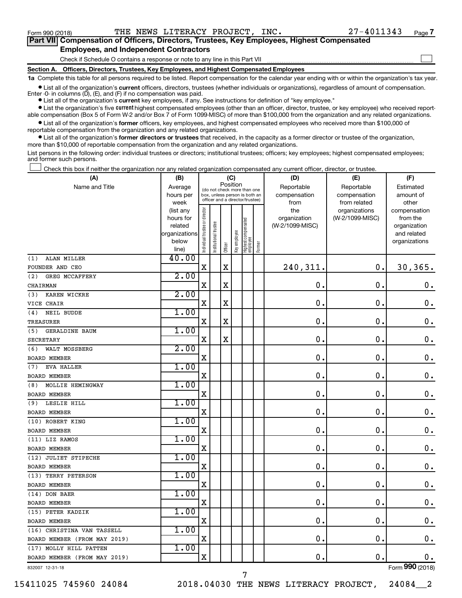$\Box$ 

| Part VII Compensation of Officers, Directors, Trustees, Key Employees, Highest Compensated |
|--------------------------------------------------------------------------------------------|
| <b>Employees, and Independent Contractors</b>                                              |

Check if Schedule O contains a response or note to any line in this Part VII

**Section A. Officers, Directors, Trustees, Key Employees, and Highest Compensated Employees**

**1a**  Complete this table for all persons required to be listed. Report compensation for the calendar year ending with or within the organization's tax year.

**•** List all of the organization's current officers, directors, trustees (whether individuals or organizations), regardless of amount of compensation. Enter -0- in columns  $(D)$ ,  $(E)$ , and  $(F)$  if no compensation was paid.

**•** List all of the organization's **current** key employees, if any. See instructions for definition of "key employee."

**•** List the organization's five current highest compensated employees (other than an officer, director, trustee, or key employee) who received reportable compensation (Box 5 of Form W-2 and/or Box 7 of Form 1099-MISC) of more than \$100,000 from the organization and any related organizations.

**•** List all of the organization's former officers, key employees, and highest compensated employees who received more than \$100,000 of reportable compensation from the organization and any related organizations.

**•** List all of the organization's former directors or trustees that received, in the capacity as a former director or trustee of the organization, more than \$10,000 of reportable compensation from the organization and any related organizations.

List persons in the following order: individual trustees or directors; institutional trustees; officers; key employees; highest compensated employees; and former such persons.

Check this box if neither the organization nor any related organization compensated any current officer, director, or trustee.  $\Box$ 

| (A)                          | (B)                    |                               |                                                                  | (C)         |              |                                 |        | (D)             | (E)             | (F)                          |
|------------------------------|------------------------|-------------------------------|------------------------------------------------------------------|-------------|--------------|---------------------------------|--------|-----------------|-----------------|------------------------------|
| Name and Title               | Average                |                               | (do not check more than one                                      | Position    |              |                                 |        | Reportable      | Reportable      | Estimated                    |
|                              | hours per              |                               | box, unless person is both an<br>officer and a director/trustee) |             |              |                                 |        | compensation    | compensation    | amount of                    |
|                              | week                   |                               |                                                                  |             |              |                                 |        | from            | from related    | other                        |
|                              | (list any              |                               |                                                                  |             |              |                                 |        | the             | organizations   | compensation                 |
|                              | hours for              |                               |                                                                  |             |              |                                 |        | organization    | (W-2/1099-MISC) | from the                     |
|                              | related                |                               | trustee                                                          |             |              |                                 |        | (W-2/1099-MISC) |                 | organization                 |
|                              | organizations<br>below |                               |                                                                  |             |              |                                 |        |                 |                 | and related<br>organizations |
|                              | line)                  | ndividual trustee or director | Institutional t                                                  | Officer     | Key employee | Highest compensated<br>employee | Former |                 |                 |                              |
| ALAN MILLER<br>(1)           | 40.00                  |                               |                                                                  |             |              |                                 |        |                 |                 |                              |
| FOUNDER AND CEO              |                        | $\overline{\mathbf{X}}$       |                                                                  | $\mathbf X$ |              |                                 |        | 240,311.        | $\mathbf 0$ .   | 30, 365.                     |
| GREG MCCAFFERY<br>(2)        | 2.00                   |                               |                                                                  |             |              |                                 |        |                 |                 |                              |
| CHAIRMAN                     |                        | $\mathbf X$                   |                                                                  | $\mathbf X$ |              |                                 |        | 0.              | $\mathbf 0$ .   | $\mathbf 0$ .                |
| (3)<br>KAREN WICKRE          | 2.00                   |                               |                                                                  |             |              |                                 |        |                 |                 |                              |
| VICE CHAIR                   |                        | X                             |                                                                  | X           |              |                                 |        | 0.              | $\mathbf 0$ .   | 0.                           |
| (4)<br>NEIL BUDDE            | 1.00                   |                               |                                                                  |             |              |                                 |        |                 |                 |                              |
| TREASURER                    |                        | $\mathbf X$                   |                                                                  | $\mathbf X$ |              |                                 |        | 0.              | $\mathbf 0$ .   | $\mathbf 0$ .                |
| (5)<br><b>GERALDINE BAUM</b> | 1.00                   |                               |                                                                  |             |              |                                 |        |                 |                 |                              |
| SECRETARY                    |                        | X                             |                                                                  | X           |              |                                 |        | 0.              | $\mathbf 0$ .   | $\mathbf 0$ .                |
| WALT MOSSBERG<br>(6)         | 2.00                   |                               |                                                                  |             |              |                                 |        |                 |                 |                              |
| <b>BOARD MEMBER</b>          |                        | X                             |                                                                  |             |              |                                 |        | $\mathbf 0$     | $\mathbf 0$     | $\mathbf 0$ .                |
| <b>EVA HALLER</b><br>(7)     | 1.00                   |                               |                                                                  |             |              |                                 |        |                 |                 |                              |
| <b>BOARD MEMBER</b>          |                        | $\mathbf X$                   |                                                                  |             |              |                                 |        | 0.              | $\mathbf 0$ .   | $\mathbf 0$ .                |
| (8) MOLLIE HEMINGWAY         | 1.00                   |                               |                                                                  |             |              |                                 |        |                 |                 |                              |
| <b>BOARD MEMBER</b>          |                        | X                             |                                                                  |             |              |                                 |        | $\mathbf 0$ .   | $\mathbf 0$ .   | $\mathbf 0$ .                |
| LESLIE HILL<br>(9)           | 1.00                   |                               |                                                                  |             |              |                                 |        |                 |                 |                              |
| <b>BOARD MEMBER</b>          |                        | X                             |                                                                  |             |              |                                 |        | $\mathbf 0$ .   | $\mathbf 0$ .   | $\mathbf 0$ .                |
| (10) ROBERT KING             | 1.00                   |                               |                                                                  |             |              |                                 |        |                 |                 |                              |
| <b>BOARD MEMBER</b>          |                        | X                             |                                                                  |             |              |                                 |        | 0.              | $\mathbf 0$     | $\mathbf 0$ .                |
| (11) LIZ RAMOS               | 1.00                   |                               |                                                                  |             |              |                                 |        |                 |                 |                              |
| <b>BOARD MEMBER</b>          |                        | $\overline{\mathbf{X}}$       |                                                                  |             |              |                                 |        | $\mathbf 0$ .   | $\mathbf 0$     | $\mathbf 0$ .                |
| (12) JULIET STIPECHE         | 1.00                   |                               |                                                                  |             |              |                                 |        |                 |                 |                              |
| <b>BOARD MEMBER</b>          |                        | X                             |                                                                  |             |              |                                 |        | $\mathbf 0$ .   | $\mathbf 0$ .   | $\mathbf 0$ .                |
| (13) TERRY PETERSON          | 1.00                   |                               |                                                                  |             |              |                                 |        |                 |                 |                              |
| <b>BOARD MEMBER</b>          |                        | $\mathbf X$                   |                                                                  |             |              |                                 |        | $\mathbf{0}$ .  | $\mathbf 0$ .   | $0$ .                        |
| (14) DON BAER                | 1.00                   |                               |                                                                  |             |              |                                 |        |                 |                 |                              |
| <b>BOARD MEMBER</b>          |                        | X                             |                                                                  |             |              |                                 |        | $\mathbf 0$ .   | $\mathbf 0$ .   | 0.                           |
| (15) PETER KADZIK            | 1.00                   |                               |                                                                  |             |              |                                 |        |                 |                 |                              |
| BOARD MEMBER                 |                        | $\mathbf X$                   |                                                                  |             |              |                                 |        | $\mathbf 0$ .   | $\mathbf 0$ .   | $\mathbf 0$ .                |
| (16) CHRISTINA VAN TASSELL   | 1.00                   |                               |                                                                  |             |              |                                 |        |                 |                 |                              |
| BOARD MEMBER (FROM MAY 2019) |                        | X                             |                                                                  |             |              |                                 |        | $\mathbf 0$     | $\mathbf 0$     | $\mathbf 0$ .                |
| (17) MOLLY HILL PATTEN       | 1.00                   |                               |                                                                  |             |              |                                 |        |                 |                 |                              |
| BOARD MEMBER (FROM MAY 2019) |                        | $\mathbf X$                   |                                                                  |             |              |                                 |        | 0.              | $\mathbf 0$ .   | $\mathbf 0$ .                |
| 832007 12-31-18              |                        |                               |                                                                  |             |              |                                 |        |                 |                 | Form 990 (2018)              |

Form (2018) **990**

15411025 745960 24084 2018.04030 THE NEWS LITERACY PROJECT, 24084\_\_2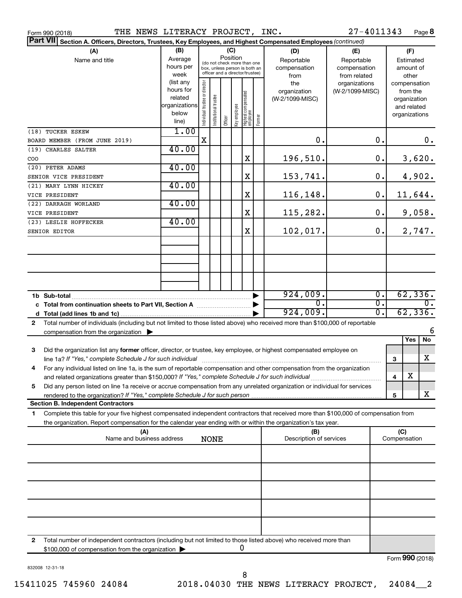| THE NEWS LITERACY PROJECT, INC.<br>Form 990 (2018)                                                                        |                                                                                                                                                                                                           |                                                                                                                    |                                |                       |         |               |                                                                                                |                                | 27-4011343                             |                                        |                     |                               | Page 8                                  |                     |
|---------------------------------------------------------------------------------------------------------------------------|-----------------------------------------------------------------------------------------------------------------------------------------------------------------------------------------------------------|--------------------------------------------------------------------------------------------------------------------|--------------------------------|-----------------------|---------|---------------|------------------------------------------------------------------------------------------------|--------------------------------|----------------------------------------|----------------------------------------|---------------------|-------------------------------|-----------------------------------------|---------------------|
| <b>Part VII</b><br>Section A. Officers, Directors, Trustees, Key Employees, and Highest Compensated Employees (continued) |                                                                                                                                                                                                           |                                                                                                                    |                                |                       |         |               |                                                                                                |                                |                                        |                                        |                     |                               |                                         |                     |
|                                                                                                                           | (B)<br>Average<br>hours per<br>week                                                                                                                                                                       | (C)<br>Position<br>(do not check more than one<br>box, unless person is both an<br>officer and a director/trustee) |                                |                       |         |               | (D)<br>(E)<br>Reportable<br>Reportable<br>compensation<br>compensation<br>from<br>from related |                                |                                        | (F)<br>Estimated<br>amount of<br>other |                     |                               |                                         |                     |
|                                                                                                                           |                                                                                                                                                                                                           | (list any<br>hours for<br>related<br>organizations<br>below<br>line)                                               | Individual trustee or director | Institutional trustee | Officer | ea olquue Aey | Highest compensated<br> employee                                                               | Former                         | the<br>organization<br>(W-2/1099-MISC) | organizations<br>(W-2/1099-MISC)       |                     | compensation<br>organizations | from the<br>organization<br>and related |                     |
| (18) TUCKER ESKEW                                                                                                         | BOARD MEMBER (FROM JUNE 2019)                                                                                                                                                                             | 1.00                                                                                                               | $\mathbf X$                    |                       |         |               |                                                                                                |                                | 0.                                     |                                        | $\mathbf 0$ .       |                               |                                         | 0.                  |
| (19) CHARLES SALTER                                                                                                       |                                                                                                                                                                                                           | 40.00                                                                                                              |                                |                       |         |               |                                                                                                |                                |                                        |                                        |                     |                               |                                         |                     |
| COO                                                                                                                       |                                                                                                                                                                                                           |                                                                                                                    |                                |                       |         |               | х                                                                                              |                                | 196,510.                               |                                        | 0.                  |                               |                                         | 3,620.              |
| (20) PETER ADAMS                                                                                                          |                                                                                                                                                                                                           | 40.00                                                                                                              |                                |                       |         |               |                                                                                                |                                |                                        |                                        |                     |                               |                                         |                     |
| SENIOR VICE PRESIDENT                                                                                                     |                                                                                                                                                                                                           |                                                                                                                    |                                |                       |         |               | X                                                                                              |                                | 153,741.                               |                                        | 0.                  |                               |                                         | 4,902.              |
| (21) MARY LYNN HICKEY                                                                                                     |                                                                                                                                                                                                           | 40.00                                                                                                              |                                |                       |         |               |                                                                                                |                                |                                        |                                        |                     |                               |                                         |                     |
| VICE PRESIDENT                                                                                                            |                                                                                                                                                                                                           |                                                                                                                    |                                |                       |         |               | X                                                                                              |                                | 116,148.                               |                                        | 0.                  |                               |                                         | 11,644.             |
| (22) DARRAGH WORLAND                                                                                                      |                                                                                                                                                                                                           | 40.00                                                                                                              |                                |                       |         |               | X                                                                                              |                                | 115,282.                               |                                        | 0.                  |                               |                                         |                     |
| VICE PRESIDENT<br>(23) LESLIE HOFFECKER                                                                                   |                                                                                                                                                                                                           | 40.00                                                                                                              |                                |                       |         |               |                                                                                                |                                |                                        |                                        |                     |                               |                                         | 9,058.              |
| SENIOR EDITOR                                                                                                             |                                                                                                                                                                                                           |                                                                                                                    |                                |                       |         |               | X                                                                                              |                                | 102,017.                               |                                        | 0.                  |                               |                                         | 2,747.              |
|                                                                                                                           |                                                                                                                                                                                                           |                                                                                                                    |                                |                       |         |               |                                                                                                |                                |                                        |                                        |                     |                               |                                         |                     |
|                                                                                                                           |                                                                                                                                                                                                           |                                                                                                                    |                                |                       |         |               |                                                                                                |                                |                                        |                                        |                     |                               |                                         |                     |
|                                                                                                                           |                                                                                                                                                                                                           |                                                                                                                    |                                |                       |         |               |                                                                                                |                                |                                        |                                        |                     |                               |                                         |                     |
|                                                                                                                           |                                                                                                                                                                                                           |                                                                                                                    |                                |                       |         |               |                                                                                                |                                |                                        |                                        |                     |                               |                                         |                     |
|                                                                                                                           |                                                                                                                                                                                                           |                                                                                                                    |                                |                       |         |               |                                                                                                |                                |                                        |                                        |                     |                               |                                         |                     |
|                                                                                                                           |                                                                                                                                                                                                           |                                                                                                                    |                                |                       |         |               |                                                                                                |                                | 924,009.                               |                                        | $\overline{0}$ .    |                               |                                         | 62,336.             |
|                                                                                                                           |                                                                                                                                                                                                           |                                                                                                                    |                                |                       |         |               | $\overline{0}$ .                                                                               |                                | $\overline{\mathfrak{o}}$ .            |                                        |                     | $\overline{0}$ .              |                                         |                     |
|                                                                                                                           |                                                                                                                                                                                                           |                                                                                                                    |                                |                       |         |               |                                                                                                |                                | 924,009.                               |                                        | $\overline{0}$ .    |                               |                                         | 62, 336.            |
| $\mathbf{2}$                                                                                                              | Total number of individuals (including but not limited to those listed above) who received more than \$100,000 of reportable                                                                              |                                                                                                                    |                                |                       |         |               |                                                                                                |                                |                                        |                                        |                     |                               |                                         |                     |
|                                                                                                                           | compensation from the organization $\blacktriangleright$                                                                                                                                                  |                                                                                                                    |                                |                       |         |               |                                                                                                |                                |                                        |                                        |                     |                               | Yes                                     | 6<br>$\overline{N}$ |
| 3                                                                                                                         | Did the organization list any former officer, director, or trustee, key employee, or highest compensated employee on                                                                                      |                                                                                                                    |                                |                       |         |               |                                                                                                |                                |                                        |                                        |                     |                               |                                         |                     |
|                                                                                                                           |                                                                                                                                                                                                           |                                                                                                                    |                                |                       |         |               |                                                                                                |                                |                                        |                                        |                     | 3                             |                                         | x                   |
|                                                                                                                           | For any individual listed on line 1a, is the sum of reportable compensation and other compensation from the organization                                                                                  |                                                                                                                    |                                |                       |         |               |                                                                                                |                                |                                        |                                        |                     |                               |                                         |                     |
|                                                                                                                           | and related organizations greater than \$150,000? If "Yes," complete Schedule J for such individual                                                                                                       |                                                                                                                    |                                |                       |         |               |                                                                                                |                                |                                        |                                        |                     | 4                             | х                                       |                     |
| 5                                                                                                                         | Did any person listed on line 1a receive or accrue compensation from any unrelated organization or individual for services<br>rendered to the organization? If "Yes," complete Schedule J for such person |                                                                                                                    |                                |                       |         |               |                                                                                                |                                |                                        |                                        |                     | 5                             |                                         | X                   |
|                                                                                                                           | <b>Section B. Independent Contractors</b>                                                                                                                                                                 |                                                                                                                    |                                |                       |         |               |                                                                                                |                                |                                        |                                        |                     |                               |                                         |                     |
| 1                                                                                                                         | Complete this table for your five highest compensated independent contractors that received more than \$100,000 of compensation from                                                                      |                                                                                                                    |                                |                       |         |               |                                                                                                |                                |                                        |                                        |                     |                               |                                         |                     |
|                                                                                                                           | the organization. Report compensation for the calendar year ending with or within the organization's tax year.                                                                                            |                                                                                                                    |                                |                       |         |               |                                                                                                |                                |                                        |                                        |                     |                               |                                         |                     |
| (A)<br>Name and business address<br><b>NONE</b>                                                                           |                                                                                                                                                                                                           |                                                                                                                    |                                |                       |         |               |                                                                                                | (B)<br>Description of services |                                        |                                        | (C)<br>Compensation |                               |                                         |                     |
|                                                                                                                           |                                                                                                                                                                                                           |                                                                                                                    |                                |                       |         |               |                                                                                                |                                |                                        |                                        |                     |                               |                                         |                     |
|                                                                                                                           |                                                                                                                                                                                                           |                                                                                                                    |                                |                       |         |               |                                                                                                |                                |                                        |                                        |                     |                               |                                         |                     |
|                                                                                                                           |                                                                                                                                                                                                           |                                                                                                                    |                                |                       |         |               |                                                                                                |                                |                                        |                                        |                     |                               |                                         |                     |
|                                                                                                                           |                                                                                                                                                                                                           |                                                                                                                    |                                |                       |         |               |                                                                                                |                                |                                        |                                        |                     |                               |                                         |                     |
|                                                                                                                           |                                                                                                                                                                                                           |                                                                                                                    |                                |                       |         |               |                                                                                                |                                |                                        |                                        |                     |                               |                                         |                     |
|                                                                                                                           |                                                                                                                                                                                                           |                                                                                                                    |                                |                       |         |               |                                                                                                |                                |                                        |                                        |                     |                               |                                         |                     |
|                                                                                                                           |                                                                                                                                                                                                           |                                                                                                                    |                                |                       |         |               |                                                                                                |                                |                                        |                                        |                     |                               |                                         |                     |

**2** Total number of independent contractors (including but not limited to those listed above) who received more than \$100,000 of compensation from the organization 0

832008 12-31-18

Form (2018) **990**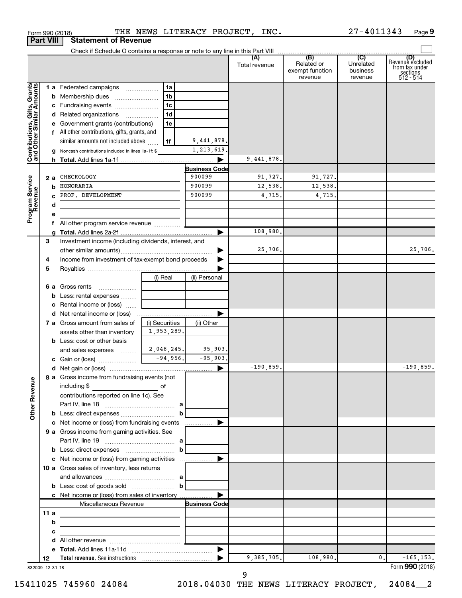| Form 990 (2018) |                                         | THE NEW |
|-----------------|-----------------------------------------|---------|
|                 | <b>Part VIII   Statement of Revenue</b> |         |

Form 990 (2018)  $\qquad$  THE NEWS LITERACY PROJECT, INC.  $27-4011343$  Page

|                              |                 |                                                                                                                |                |                      | (A)           | (B)                           | (C)                   | (D)<br>Revenue excluded |
|------------------------------|-----------------|----------------------------------------------------------------------------------------------------------------|----------------|----------------------|---------------|-------------------------------|-----------------------|-------------------------|
|                              |                 |                                                                                                                |                |                      | Total revenue | Related or<br>exempt function | Unrelated<br>business | from tax under          |
|                              |                 |                                                                                                                |                |                      |               | revenue                       | revenue               | sections<br>512 - 514   |
|                              |                 | 1 a Federated campaigns                                                                                        | 1a             |                      |               |                               |                       |                         |
| Contributions, Gifts, Grants |                 | <b>b</b> Membership dues                                                                                       | 1 <sub>b</sub> |                      |               |                               |                       |                         |
|                              |                 | c Fundraising events                                                                                           | 1 <sub>c</sub> |                      |               |                               |                       |                         |
|                              |                 | d Related organizations                                                                                        | 1 <sub>d</sub> |                      |               |                               |                       |                         |
|                              |                 | e Government grants (contributions)                                                                            | 1e             |                      |               |                               |                       |                         |
|                              |                 | f All other contributions, gifts, grants, and                                                                  |                |                      |               |                               |                       |                         |
|                              |                 | similar amounts not included above                                                                             | 1f             | 9,441,878.           |               |                               |                       |                         |
|                              |                 | g Noncash contributions included in lines 1a-1f: \$                                                            |                | 1,213,619.           |               |                               |                       |                         |
|                              |                 |                                                                                                                |                |                      | 9,441,878.    |                               |                       |                         |
|                              |                 |                                                                                                                |                | <b>Business Code</b> |               |                               |                       |                         |
|                              | 2 a             | CHECKOLOGY                                                                                                     |                | 900099               | 91,727.       | 91,727.                       |                       |                         |
|                              | b               | HONORARIA                                                                                                      |                | 900099               | 12,538.       | 12,538.                       |                       |                         |
| Program Service<br>Revenue   |                 | PROF. DEVELOPMENT                                                                                              |                | 900099               | 4,715.        | 4,715                         |                       |                         |
|                              | d               |                                                                                                                |                |                      |               |                               |                       |                         |
|                              | е               |                                                                                                                |                |                      |               |                               |                       |                         |
|                              |                 |                                                                                                                |                |                      |               |                               |                       |                         |
|                              |                 |                                                                                                                |                |                      | 108,980.      |                               |                       |                         |
|                              | 3               | Investment income (including dividends, interest, and                                                          |                |                      |               |                               |                       |                         |
|                              |                 |                                                                                                                |                |                      | 25,706.       |                               |                       | 25,706.                 |
|                              | 4               | Income from investment of tax-exempt bond proceeds                                                             |                |                      |               |                               |                       |                         |
|                              | 5               |                                                                                                                |                |                      |               |                               |                       |                         |
|                              |                 |                                                                                                                | (i) Real       | (ii) Personal        |               |                               |                       |                         |
|                              |                 | 6 a Gross rents                                                                                                |                |                      |               |                               |                       |                         |
|                              |                 |                                                                                                                |                |                      |               |                               |                       |                         |
|                              |                 | <b>b</b> Less: rental expenses                                                                                 |                |                      |               |                               |                       |                         |
|                              |                 | <b>c</b> Rental income or (loss) $\ldots$                                                                      |                |                      |               |                               |                       |                         |
|                              |                 | 7 a Gross amount from sales of                                                                                 | (i) Securities |                      |               |                               |                       |                         |
|                              |                 |                                                                                                                | 1,953,289.     | (ii) Other           |               |                               |                       |                         |
|                              |                 | assets other than inventory                                                                                    |                |                      |               |                               |                       |                         |
|                              |                 | <b>b</b> Less: cost or other basis                                                                             |                | 95,903.              |               |                               |                       |                         |
|                              |                 | and sales expenses $\frac{2}{1}$ , 048, 245.                                                                   |                | $-95,903.$           |               |                               |                       |                         |
|                              |                 | c Gain or (loss) $\frac{94,956}{1000}$ .                                                                       |                |                      | $-190, 859.$  |                               |                       | $-190, 859.$            |
|                              |                 |                                                                                                                |                |                      |               |                               |                       |                         |
| g                            |                 | 8 a Gross income from fundraising events (not<br>including \$                                                  |                |                      |               |                               |                       |                         |
| Other Reven                  |                 |                                                                                                                |                |                      |               |                               |                       |                         |
|                              |                 | contributions reported on line 1c). See                                                                        |                |                      |               |                               |                       |                         |
|                              |                 |                                                                                                                |                |                      |               |                               |                       |                         |
|                              |                 |                                                                                                                |                |                      |               |                               |                       |                         |
|                              |                 | c Net income or (loss) from fundraising events                                                                 |                |                      |               |                               |                       |                         |
|                              |                 | 9 a Gross income from gaming activities. See                                                                   |                |                      |               |                               |                       |                         |
|                              |                 |                                                                                                                |                |                      |               |                               |                       |                         |
|                              |                 |                                                                                                                |                |                      |               |                               |                       |                         |
|                              |                 | c Net income or (loss) from gaming activities                                                                  |                |                      |               |                               |                       |                         |
|                              |                 | 10 a Gross sales of inventory, less returns                                                                    |                |                      |               |                               |                       |                         |
|                              |                 |                                                                                                                |                |                      |               |                               |                       |                         |
|                              |                 | <b>b</b> Less: cost of goods sold $\ldots$ $\ldots$ <b>b</b><br>c Net income or (loss) from sales of inventory |                |                      |               |                               |                       |                         |
|                              |                 |                                                                                                                |                |                      |               |                               |                       |                         |
|                              |                 | Miscellaneous Revenue                                                                                          |                | <b>Business Code</b> |               |                               |                       |                         |
|                              | 11 a            |                                                                                                                |                |                      |               |                               |                       |                         |
|                              | b               |                                                                                                                |                |                      |               |                               |                       |                         |
|                              | с               |                                                                                                                |                |                      |               |                               |                       |                         |
|                              | d               |                                                                                                                |                |                      |               |                               |                       |                         |
|                              |                 |                                                                                                                |                |                      | 9,385,705.    | 108,980.                      | 0.                    | $-165, 153.$            |
|                              | 12              |                                                                                                                |                |                      |               |                               |                       | Form 990 (2018)         |
|                              | 832009 12-31-18 |                                                                                                                |                |                      |               |                               |                       |                         |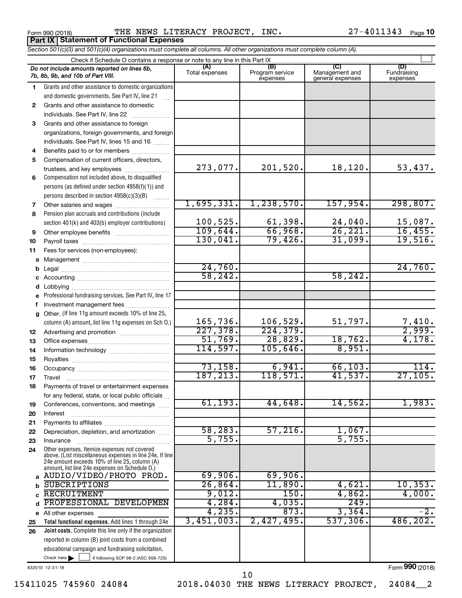Form 990 (2018)  $\qquad$  THE NEWS LITERACY PROJECT, INC.  $27-4011343$  Page **Part IX Statement of Functional Expenses**

27-4011343 Page 10

|          | Section 501(c)(3) and 501(c)(4) organizations must complete all columns. All other organizations must complete column (A).                                                                                  |                       |                                    |                                           |                                |  |  |  |  |  |
|----------|-------------------------------------------------------------------------------------------------------------------------------------------------------------------------------------------------------------|-----------------------|------------------------------------|-------------------------------------------|--------------------------------|--|--|--|--|--|
|          | Check if Schedule O contains a response or note to any line in this Part IX                                                                                                                                 |                       |                                    |                                           |                                |  |  |  |  |  |
|          | Do not include amounts reported on lines 6b,<br>7b, 8b, 9b, and 10b of Part VIII.                                                                                                                           | (A)<br>Total expenses | (B)<br>Program service<br>expenses | (C)<br>Management and<br>general expenses | (D)<br>Fundraising<br>expenses |  |  |  |  |  |
| 1        | Grants and other assistance to domestic organizations                                                                                                                                                       |                       |                                    |                                           |                                |  |  |  |  |  |
|          | and domestic governments. See Part IV, line 21                                                                                                                                                              |                       |                                    |                                           |                                |  |  |  |  |  |
| 2        | Grants and other assistance to domestic                                                                                                                                                                     |                       |                                    |                                           |                                |  |  |  |  |  |
|          | individuals. See Part IV, line 22                                                                                                                                                                           |                       |                                    |                                           |                                |  |  |  |  |  |
| З        | Grants and other assistance to foreign                                                                                                                                                                      |                       |                                    |                                           |                                |  |  |  |  |  |
|          | organizations, foreign governments, and foreign                                                                                                                                                             |                       |                                    |                                           |                                |  |  |  |  |  |
|          | individuals. See Part IV, lines 15 and 16                                                                                                                                                                   |                       |                                    |                                           |                                |  |  |  |  |  |
| 4        | Benefits paid to or for members                                                                                                                                                                             |                       |                                    |                                           |                                |  |  |  |  |  |
| 5        | Compensation of current officers, directors,                                                                                                                                                                |                       |                                    |                                           |                                |  |  |  |  |  |
|          | trustees, and key employees                                                                                                                                                                                 | 273,077.              | 201,520.                           | 18,120.                                   | 53,437.                        |  |  |  |  |  |
| 6        | Compensation not included above, to disqualified                                                                                                                                                            |                       |                                    |                                           |                                |  |  |  |  |  |
|          | persons (as defined under section 4958(f)(1)) and                                                                                                                                                           |                       |                                    |                                           |                                |  |  |  |  |  |
|          | persons described in section 4958(c)(3)(B)                                                                                                                                                                  |                       |                                    |                                           |                                |  |  |  |  |  |
| 7        | Other salaries and wages                                                                                                                                                                                    | 1,695,331.            | 1, 238, 570.                       | 157,954.                                  | 298,807.                       |  |  |  |  |  |
| 8        | Pension plan accruals and contributions (include                                                                                                                                                            |                       |                                    |                                           |                                |  |  |  |  |  |
|          | section 401(k) and 403(b) employer contributions)                                                                                                                                                           | 100, 525.             | $\frac{61,398.}{66,968.}$          | 24,040.                                   | $\frac{15,087}{16,455}$        |  |  |  |  |  |
| 9        | Other employee benefits                                                                                                                                                                                     | 109,644.              |                                    | 26, 221.                                  |                                |  |  |  |  |  |
| 10       |                                                                                                                                                                                                             | 130,041.              | 79,426.                            | 31,099.                                   | 19,516.                        |  |  |  |  |  |
| 11       | Fees for services (non-employees):                                                                                                                                                                          |                       |                                    |                                           |                                |  |  |  |  |  |
| a        |                                                                                                                                                                                                             |                       |                                    |                                           |                                |  |  |  |  |  |
|          |                                                                                                                                                                                                             | 24,760.               |                                    |                                           | 24,760.                        |  |  |  |  |  |
|          |                                                                                                                                                                                                             | 58, 242.              |                                    | 58, 242.                                  |                                |  |  |  |  |  |
|          |                                                                                                                                                                                                             |                       |                                    |                                           |                                |  |  |  |  |  |
| е        | Professional fundraising services. See Part IV, line 17                                                                                                                                                     |                       |                                    |                                           |                                |  |  |  |  |  |
|          | Investment management fees                                                                                                                                                                                  |                       |                                    |                                           |                                |  |  |  |  |  |
| g        | Other. (If line 11g amount exceeds 10% of line 25,                                                                                                                                                          | 165,736.              | 106,529.                           | 51,797.                                   |                                |  |  |  |  |  |
|          | column (A) amount, list line 11g expenses on Sch O.)                                                                                                                                                        | 227,378.              | 224, 379.                          |                                           | $\frac{7,410}{2,999}$ .        |  |  |  |  |  |
| 12       |                                                                                                                                                                                                             | 51,769.               | 28,829.                            | 18,762.                                   | 4,178.                         |  |  |  |  |  |
| 13       |                                                                                                                                                                                                             | 114,597.              | 105,646.                           | 8,951.                                    |                                |  |  |  |  |  |
| 14       |                                                                                                                                                                                                             |                       |                                    |                                           |                                |  |  |  |  |  |
| 15<br>16 |                                                                                                                                                                                                             | 73,158.               | 6,941.                             | 66, 103.                                  | 114.                           |  |  |  |  |  |
| 17       |                                                                                                                                                                                                             | 187,213.              | 118,571.                           | 41,537.                                   | 27,105.                        |  |  |  |  |  |
| 18       | Payments of travel or entertainment expenses                                                                                                                                                                |                       |                                    |                                           |                                |  |  |  |  |  |
|          | for any federal, state, or local public officials                                                                                                                                                           |                       |                                    |                                           |                                |  |  |  |  |  |
| 19       | Conferences, conventions, and meetings                                                                                                                                                                      | 61, 193.              | 44,648.                            | 14,562.                                   | 1,983.                         |  |  |  |  |  |
| 20       | Interest                                                                                                                                                                                                    |                       |                                    |                                           |                                |  |  |  |  |  |
| 21       |                                                                                                                                                                                                             |                       |                                    |                                           |                                |  |  |  |  |  |
| 22       | Depreciation, depletion, and amortization                                                                                                                                                                   | 58, 283.              | 57,216.                            | 1,067.                                    |                                |  |  |  |  |  |
| 23       | Insurance                                                                                                                                                                                                   | 5,755.                |                                    | 5,755                                     |                                |  |  |  |  |  |
| 24       | Other expenses. Itemize expenses not covered<br>above. (List miscellaneous expenses in line 24e. If line<br>24e amount exceeds 10% of line 25, column (A)<br>amount, list line 24e expenses on Schedule O.) |                       |                                    |                                           |                                |  |  |  |  |  |
| a        | AUDIO/VIDEO/PHOTO PROD.                                                                                                                                                                                     | 69,906.               | 69,906.                            |                                           |                                |  |  |  |  |  |
| h        | <b>SUBCRIPTIONS</b>                                                                                                                                                                                         | 26,864.               | 11,890.                            | 4,621.                                    | 10, 353.                       |  |  |  |  |  |
|          | <b>RECRUITMENT</b>                                                                                                                                                                                          | 9,012.                | 150.                               | 4,862.                                    | 4,000.                         |  |  |  |  |  |
| d        | PROFESSIONAL DEVELOPMEN                                                                                                                                                                                     | 4,284.                | 4,035.                             | 249.                                      |                                |  |  |  |  |  |
|          | e All other expenses                                                                                                                                                                                        | 4,235.                | 873.                               | 3,364.                                    | $-2.$                          |  |  |  |  |  |
| 25       | Total functional expenses. Add lines 1 through 24e                                                                                                                                                          | 3,451,003.            | 2,427,495.                         | 537, 306.                                 | 486, 202.                      |  |  |  |  |  |
| 26       | Joint costs. Complete this line only if the organization                                                                                                                                                    |                       |                                    |                                           |                                |  |  |  |  |  |
|          | reported in column (B) joint costs from a combined                                                                                                                                                          |                       |                                    |                                           |                                |  |  |  |  |  |
|          | educational campaign and fundraising solicitation.                                                                                                                                                          |                       |                                    |                                           |                                |  |  |  |  |  |
|          | Check here $\blacktriangleright$<br>if following SOP 98-2 (ASC 958-720)                                                                                                                                     |                       |                                    |                                           |                                |  |  |  |  |  |

832010 12-31-18

Form (2018) **990**

15411025 745960 24084 2018.04030 THE NEWS LITERACY PROJECT, 24084\_\_2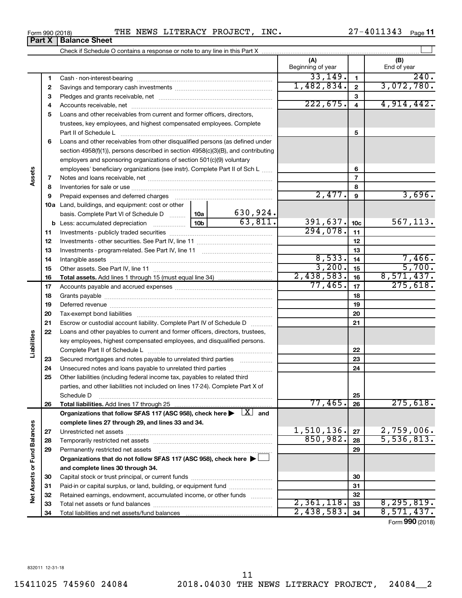**Vet Assets or Fund Balances** 

Form 990 (2018)  $\qquad$  THE NEWS LITERACY PROJECT, INC.  $\qquad \qquad 27-4011343$   $_{\text{Page}}$ 

Check if Schedule O contains a response or note to any line in this Part X

Paid-in or capital surplus, or land, building, or equipment fund ....................... Retained earnings, endowment, accumulated income, or other funds ............ Total net assets or fund balances ~~~~~~~~~~~~~~~~~~~~~~

Total liabilities and net assets/fund balances

**(A) (B) 1 2 3** Pledges and grants receivable, net ~~~~~~~~~~~~~~~~~~~~~ **4** Accounts receivable, net ~~~~~~~~~~~~~~~~~~~~~~~~~~ **5** Loans and other receivables from current and former officers, directors, **6** Loans and other receivables from other disqualified persons (as defined under **7 8 9 10 a** Land, buildings, and equipment: cost or other **11** Investments - publicly traded securities ~~~~~~~~~~~~~~~~~~~ **12** Investments - other securities. See Part IV, line 11 ~~~~~~~~~~~~~~ **13 14 15 16 17 18 19 20 21 22 23 24 25 26 27 28 29 30 1 2 3 4 5 6 7 8 9 10c 11 12 13 14 15 16 17 18 19 20 21 22 23 24 25 26 b** Less: accumulated depreciation  $\ldots$  [10b basis. Complete Part VI of Schedule D  $\frac{1}{10}$  10a **Total assets.**  Add lines 1 through 15 (must equal line 34) **Total liabilities.**  Add lines 17 through 25 Organizations that follow SFAS 117 (ASC 958), check here  $\blacktriangleright$   $\boxed{X}$  and **complete lines 27 through 29, and lines 33 and 34. 27 28 29 Organizations that do not follow SFAS 117 (ASC 958), check here** | † **and complete lines 30 through 34. 30 Net Assets or Fund Balances** Beginning of year | | End of year Cash - non-interest-bearing ~~~~~~~~~~~~~~~~~~~~~~~~~ Savings and temporary cash investments ~~~~~~~~~~~~~~~~~~ trustees, key employees, and highest compensated employees. Complete Part II of Schedule L ~~~~~~~~~~~~~~~~~~~~~~~~~~~~ section 4958(f)(1)), persons described in section 4958(c)(3)(B), and contributing employers and sponsoring organizations of section 501(c)(9) voluntary employees' beneficiary organizations (see instr). Complete Part II of Sch L ...... Notes and loans receivable, net ~~~~~~~~~~~~~~~~~~~~~~~ Inventories for sale or use ~~~~~~~~~~~~~~~~~~~~~~~~~~ Prepaid expenses and deferred charges ~~~~~~~~~~~~~~~~~~ Investments - program-related. See Part IV, line 11 ~~~~~~~~~~~~~ Intangible assets ~~~~~~~~~~~~~~~~~~~~~~~~~~~~~~ Other assets. See Part IV, line 11 ~~~~~~~~~~~~~~~~~~~~~~ Accounts payable and accrued expenses ~~~~~~~~~~~~~~~~~~ Grants payable ~~~~~~~~~~~~~~~~~~~~~~~~~~~~~~~ Deferred revenue ~~~~~~~~~~~~~~~~~~~~~~~~~~~~~~ Tax-exempt bond liabilities ~~~~~~~~~~~~~~~~~~~~~~~~~ Escrow or custodial account liability. Complete Part IV of Schedule D ........... Loans and other payables to current and former officers, directors, trustees, key employees, highest compensated employees, and disqualified persons. Complete Part II of Schedule L ~~~~~~~~~~~~~~~~~~~~~~~ Secured mortgages and notes payable to unrelated third parties  $\ldots$  ................. Unsecured notes and loans payable to unrelated third parties ~~~~~~~~ Other liabilities (including federal income tax, payables to related third parties, and other liabilities not included on lines 17-24). Complete Part X of Schedule D ~~~~~~~~~~~~~~~~~~~~~~~~~~~~~~~~ Unrestricted net assets ~~~~~~~~~~~~~~~~~~~~~~~~~~~ Temporarily restricted net assets ~~~~~~~~~~~~~~~~~~~~~~ Permanently restricted net assets ~~~~~~~~~~~~~~~~~~~~~ Capital stock or trust principal, or current funds ~~~~~~~~~~~~~~~  $33,149.$   $1$   $1$   $240.$ 1,482,834. 3,072,780.  $222,675.$  4,914,442.  $2,477$ .  $9$   $3,696$ . 630,924.  $63,811.$  391,637.  $10c$  567,113. 294,078.  $8,533.$   $14$  | 7,466.  $3,200$ .  $15$  5,700.  $2,438,583.$  16 8,571,437. 77,465. 275,618. 77,465. 275,618.  $1,510,136$ .  $|z_7|$  2, 759,006.  $850,982.$   $28$  | 5,536,813.

 $\perp$ 

**Assets**

**Liabilities**

| וסו טצי ווווט־ |                               |  |
|----------------|-------------------------------|--|
|                | <b>Part X   Balance Sheet</b> |  |

Form (2018) **990**

 $2,361,118.$   $33 \mid 8,295,819.$  $2,438,583$ .  $34 \mid 8,571,437$ .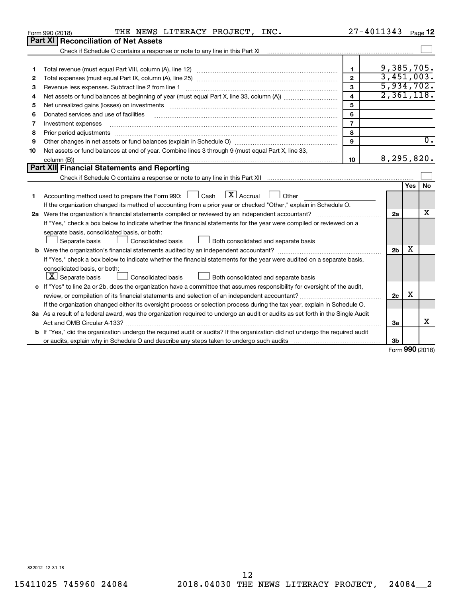| Part XI<br><b>Reconciliation of Net Assets</b><br>Check if Schedule O contains a response or note to any line in this Part XI<br>9,385,705.<br>$\blacksquare$<br>1<br>3,451,003.<br>$\mathbf{2}$<br>2<br>5,934,702.<br>3<br>Revenue less expenses. Subtract line 2 from line 1<br>3<br>2,361,118.<br>$\overline{\mathbf{4}}$<br>4<br>5<br>Net unrealized gains (losses) on investments [11] matter than the control of the state of the state of the state of the state of the state of the state of the state of the state of the state of the state of the state of th<br>5<br>6<br>Donated services and use of facilities<br>6<br>$\overline{7}$<br>Investment expenses<br>7<br>8<br>Prior period adjustments [111] All and the contract of the contract of the contract of the contract of the contract of the contract of the contract of the contract of the contract of the contract of the contract of the con<br>8<br>$\overline{0}$ .<br>9<br>9<br>Net assets or fund balances at end of year. Combine lines 3 through 9 (must equal Part X, line 33,<br>10<br>8,295,820.<br>10<br>column (B))<br>Part XII Financial Statements and Reporting<br><b>No</b><br><b>Yes</b><br>Accounting method used to prepare the Form 990: $\Box$ Cash $\Box$ Accrual $\Box$ Other<br>1<br>If the organization changed its method of accounting from a prior year or checked "Other," explain in Schedule O.<br>x<br>2a<br>If "Yes," check a box below to indicate whether the financial statements for the year were compiled or reviewed on a<br>separate basis, consolidated basis, or both:<br>Both consolidated and separate basis<br>Separate basis<br>Consolidated basis<br>х<br>2 <sub>b</sub> |  | THE NEWS LITERACY PROJECT, INC.<br>Form 990 (2018)                                                                      | 27-4011343 Page 12 |  |  |  |  |  |  |  |
|---------------------------------------------------------------------------------------------------------------------------------------------------------------------------------------------------------------------------------------------------------------------------------------------------------------------------------------------------------------------------------------------------------------------------------------------------------------------------------------------------------------------------------------------------------------------------------------------------------------------------------------------------------------------------------------------------------------------------------------------------------------------------------------------------------------------------------------------------------------------------------------------------------------------------------------------------------------------------------------------------------------------------------------------------------------------------------------------------------------------------------------------------------------------------------------------------------------------------------------------------------------------------------------------------------------------------------------------------------------------------------------------------------------------------------------------------------------------------------------------------------------------------------------------------------------------------------------------------------------------------------------------------------------------------------------------------|--|-------------------------------------------------------------------------------------------------------------------------|--------------------|--|--|--|--|--|--|--|
|                                                                                                                                                                                                                                                                                                                                                                                                                                                                                                                                                                                                                                                                                                                                                                                                                                                                                                                                                                                                                                                                                                                                                                                                                                                                                                                                                                                                                                                                                                                                                                                                                                                                                                   |  |                                                                                                                         |                    |  |  |  |  |  |  |  |
|                                                                                                                                                                                                                                                                                                                                                                                                                                                                                                                                                                                                                                                                                                                                                                                                                                                                                                                                                                                                                                                                                                                                                                                                                                                                                                                                                                                                                                                                                                                                                                                                                                                                                                   |  |                                                                                                                         |                    |  |  |  |  |  |  |  |
|                                                                                                                                                                                                                                                                                                                                                                                                                                                                                                                                                                                                                                                                                                                                                                                                                                                                                                                                                                                                                                                                                                                                                                                                                                                                                                                                                                                                                                                                                                                                                                                                                                                                                                   |  |                                                                                                                         |                    |  |  |  |  |  |  |  |
|                                                                                                                                                                                                                                                                                                                                                                                                                                                                                                                                                                                                                                                                                                                                                                                                                                                                                                                                                                                                                                                                                                                                                                                                                                                                                                                                                                                                                                                                                                                                                                                                                                                                                                   |  |                                                                                                                         |                    |  |  |  |  |  |  |  |
|                                                                                                                                                                                                                                                                                                                                                                                                                                                                                                                                                                                                                                                                                                                                                                                                                                                                                                                                                                                                                                                                                                                                                                                                                                                                                                                                                                                                                                                                                                                                                                                                                                                                                                   |  |                                                                                                                         |                    |  |  |  |  |  |  |  |
|                                                                                                                                                                                                                                                                                                                                                                                                                                                                                                                                                                                                                                                                                                                                                                                                                                                                                                                                                                                                                                                                                                                                                                                                                                                                                                                                                                                                                                                                                                                                                                                                                                                                                                   |  |                                                                                                                         |                    |  |  |  |  |  |  |  |
|                                                                                                                                                                                                                                                                                                                                                                                                                                                                                                                                                                                                                                                                                                                                                                                                                                                                                                                                                                                                                                                                                                                                                                                                                                                                                                                                                                                                                                                                                                                                                                                                                                                                                                   |  |                                                                                                                         |                    |  |  |  |  |  |  |  |
|                                                                                                                                                                                                                                                                                                                                                                                                                                                                                                                                                                                                                                                                                                                                                                                                                                                                                                                                                                                                                                                                                                                                                                                                                                                                                                                                                                                                                                                                                                                                                                                                                                                                                                   |  |                                                                                                                         |                    |  |  |  |  |  |  |  |
|                                                                                                                                                                                                                                                                                                                                                                                                                                                                                                                                                                                                                                                                                                                                                                                                                                                                                                                                                                                                                                                                                                                                                                                                                                                                                                                                                                                                                                                                                                                                                                                                                                                                                                   |  |                                                                                                                         |                    |  |  |  |  |  |  |  |
|                                                                                                                                                                                                                                                                                                                                                                                                                                                                                                                                                                                                                                                                                                                                                                                                                                                                                                                                                                                                                                                                                                                                                                                                                                                                                                                                                                                                                                                                                                                                                                                                                                                                                                   |  |                                                                                                                         |                    |  |  |  |  |  |  |  |
|                                                                                                                                                                                                                                                                                                                                                                                                                                                                                                                                                                                                                                                                                                                                                                                                                                                                                                                                                                                                                                                                                                                                                                                                                                                                                                                                                                                                                                                                                                                                                                                                                                                                                                   |  |                                                                                                                         |                    |  |  |  |  |  |  |  |
|                                                                                                                                                                                                                                                                                                                                                                                                                                                                                                                                                                                                                                                                                                                                                                                                                                                                                                                                                                                                                                                                                                                                                                                                                                                                                                                                                                                                                                                                                                                                                                                                                                                                                                   |  |                                                                                                                         |                    |  |  |  |  |  |  |  |
|                                                                                                                                                                                                                                                                                                                                                                                                                                                                                                                                                                                                                                                                                                                                                                                                                                                                                                                                                                                                                                                                                                                                                                                                                                                                                                                                                                                                                                                                                                                                                                                                                                                                                                   |  |                                                                                                                         |                    |  |  |  |  |  |  |  |
|                                                                                                                                                                                                                                                                                                                                                                                                                                                                                                                                                                                                                                                                                                                                                                                                                                                                                                                                                                                                                                                                                                                                                                                                                                                                                                                                                                                                                                                                                                                                                                                                                                                                                                   |  |                                                                                                                         |                    |  |  |  |  |  |  |  |
|                                                                                                                                                                                                                                                                                                                                                                                                                                                                                                                                                                                                                                                                                                                                                                                                                                                                                                                                                                                                                                                                                                                                                                                                                                                                                                                                                                                                                                                                                                                                                                                                                                                                                                   |  |                                                                                                                         |                    |  |  |  |  |  |  |  |
|                                                                                                                                                                                                                                                                                                                                                                                                                                                                                                                                                                                                                                                                                                                                                                                                                                                                                                                                                                                                                                                                                                                                                                                                                                                                                                                                                                                                                                                                                                                                                                                                                                                                                                   |  |                                                                                                                         |                    |  |  |  |  |  |  |  |
|                                                                                                                                                                                                                                                                                                                                                                                                                                                                                                                                                                                                                                                                                                                                                                                                                                                                                                                                                                                                                                                                                                                                                                                                                                                                                                                                                                                                                                                                                                                                                                                                                                                                                                   |  |                                                                                                                         |                    |  |  |  |  |  |  |  |
|                                                                                                                                                                                                                                                                                                                                                                                                                                                                                                                                                                                                                                                                                                                                                                                                                                                                                                                                                                                                                                                                                                                                                                                                                                                                                                                                                                                                                                                                                                                                                                                                                                                                                                   |  |                                                                                                                         |                    |  |  |  |  |  |  |  |
|                                                                                                                                                                                                                                                                                                                                                                                                                                                                                                                                                                                                                                                                                                                                                                                                                                                                                                                                                                                                                                                                                                                                                                                                                                                                                                                                                                                                                                                                                                                                                                                                                                                                                                   |  |                                                                                                                         |                    |  |  |  |  |  |  |  |
|                                                                                                                                                                                                                                                                                                                                                                                                                                                                                                                                                                                                                                                                                                                                                                                                                                                                                                                                                                                                                                                                                                                                                                                                                                                                                                                                                                                                                                                                                                                                                                                                                                                                                                   |  |                                                                                                                         |                    |  |  |  |  |  |  |  |
|                                                                                                                                                                                                                                                                                                                                                                                                                                                                                                                                                                                                                                                                                                                                                                                                                                                                                                                                                                                                                                                                                                                                                                                                                                                                                                                                                                                                                                                                                                                                                                                                                                                                                                   |  |                                                                                                                         |                    |  |  |  |  |  |  |  |
|                                                                                                                                                                                                                                                                                                                                                                                                                                                                                                                                                                                                                                                                                                                                                                                                                                                                                                                                                                                                                                                                                                                                                                                                                                                                                                                                                                                                                                                                                                                                                                                                                                                                                                   |  |                                                                                                                         |                    |  |  |  |  |  |  |  |
|                                                                                                                                                                                                                                                                                                                                                                                                                                                                                                                                                                                                                                                                                                                                                                                                                                                                                                                                                                                                                                                                                                                                                                                                                                                                                                                                                                                                                                                                                                                                                                                                                                                                                                   |  |                                                                                                                         |                    |  |  |  |  |  |  |  |
|                                                                                                                                                                                                                                                                                                                                                                                                                                                                                                                                                                                                                                                                                                                                                                                                                                                                                                                                                                                                                                                                                                                                                                                                                                                                                                                                                                                                                                                                                                                                                                                                                                                                                                   |  |                                                                                                                         |                    |  |  |  |  |  |  |  |
|                                                                                                                                                                                                                                                                                                                                                                                                                                                                                                                                                                                                                                                                                                                                                                                                                                                                                                                                                                                                                                                                                                                                                                                                                                                                                                                                                                                                                                                                                                                                                                                                                                                                                                   |  | If "Yes," check a box below to indicate whether the financial statements for the year were audited on a separate basis, |                    |  |  |  |  |  |  |  |
| consolidated basis, or both:                                                                                                                                                                                                                                                                                                                                                                                                                                                                                                                                                                                                                                                                                                                                                                                                                                                                                                                                                                                                                                                                                                                                                                                                                                                                                                                                                                                                                                                                                                                                                                                                                                                                      |  |                                                                                                                         |                    |  |  |  |  |  |  |  |
|                                                                                                                                                                                                                                                                                                                                                                                                                                                                                                                                                                                                                                                                                                                                                                                                                                                                                                                                                                                                                                                                                                                                                                                                                                                                                                                                                                                                                                                                                                                                                                                                                                                                                                   |  | $ \mathbf{X} $ Separate basis<br>Consolidated basis<br>Both consolidated and separate basis                             |                    |  |  |  |  |  |  |  |
| c If "Yes" to line 2a or 2b, does the organization have a committee that assumes responsibility for oversight of the audit,                                                                                                                                                                                                                                                                                                                                                                                                                                                                                                                                                                                                                                                                                                                                                                                                                                                                                                                                                                                                                                                                                                                                                                                                                                                                                                                                                                                                                                                                                                                                                                       |  |                                                                                                                         |                    |  |  |  |  |  |  |  |
| X<br>2c                                                                                                                                                                                                                                                                                                                                                                                                                                                                                                                                                                                                                                                                                                                                                                                                                                                                                                                                                                                                                                                                                                                                                                                                                                                                                                                                                                                                                                                                                                                                                                                                                                                                                           |  |                                                                                                                         |                    |  |  |  |  |  |  |  |
| If the organization changed either its oversight process or selection process during the tax year, explain in Schedule O.                                                                                                                                                                                                                                                                                                                                                                                                                                                                                                                                                                                                                                                                                                                                                                                                                                                                                                                                                                                                                                                                                                                                                                                                                                                                                                                                                                                                                                                                                                                                                                         |  |                                                                                                                         |                    |  |  |  |  |  |  |  |
| 3a As a result of a federal award, was the organization required to undergo an audit or audits as set forth in the Single Audit                                                                                                                                                                                                                                                                                                                                                                                                                                                                                                                                                                                                                                                                                                                                                                                                                                                                                                                                                                                                                                                                                                                                                                                                                                                                                                                                                                                                                                                                                                                                                                   |  |                                                                                                                         |                    |  |  |  |  |  |  |  |
| x<br>За                                                                                                                                                                                                                                                                                                                                                                                                                                                                                                                                                                                                                                                                                                                                                                                                                                                                                                                                                                                                                                                                                                                                                                                                                                                                                                                                                                                                                                                                                                                                                                                                                                                                                           |  |                                                                                                                         |                    |  |  |  |  |  |  |  |
| <b>b</b> If "Yes," did the organization undergo the required audit or audits? If the organization did not undergo the required audit                                                                                                                                                                                                                                                                                                                                                                                                                                                                                                                                                                                                                                                                                                                                                                                                                                                                                                                                                                                                                                                                                                                                                                                                                                                                                                                                                                                                                                                                                                                                                              |  |                                                                                                                         |                    |  |  |  |  |  |  |  |
| 3b<br>$F_{\alpha r m}$ 990 (2018)                                                                                                                                                                                                                                                                                                                                                                                                                                                                                                                                                                                                                                                                                                                                                                                                                                                                                                                                                                                                                                                                                                                                                                                                                                                                                                                                                                                                                                                                                                                                                                                                                                                                 |  |                                                                                                                         |                    |  |  |  |  |  |  |  |

Form (2018) **990**

832012 12-31-18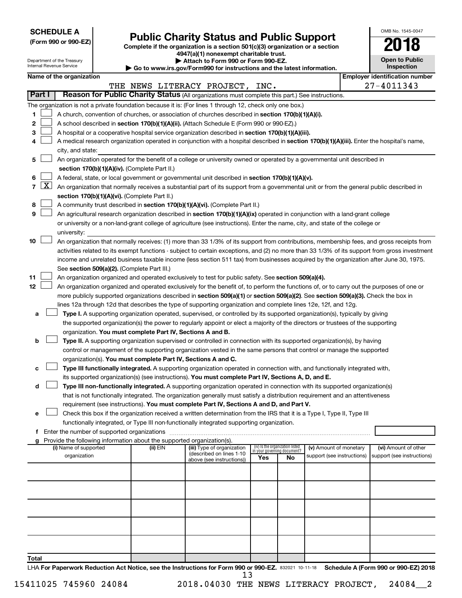| <b>SCHEDULE A</b> |  |
|-------------------|--|
|-------------------|--|

Department of the Treasury

# Form 990 or 990-EZ)<br>
Complete if the organization is a section 501(c)(3) organization or a section<br> **Public Charity Status and Public Support**

**4947(a)(1) nonexempt charitable trust. | Attach to Form 990 or Form 990-EZ.** 

| OMB No. 1545-0047                   |  |  |  |  |  |  |
|-------------------------------------|--|--|--|--|--|--|
| 2018                                |  |  |  |  |  |  |
| <b>Open to Public</b><br>Inspection |  |  |  |  |  |  |
| ooti                                |  |  |  |  |  |  |

l

|               | Internal Revenue Service<br>Inspection<br>Go to www.irs.gov/Form990 for instructions and the latest information. |                                                                                                                                           |  |                                                                          |                                                                                                                                                                                                                                               |                                 |                                    |                                                      |  |                                                    |  |
|---------------|------------------------------------------------------------------------------------------------------------------|-------------------------------------------------------------------------------------------------------------------------------------------|--|--------------------------------------------------------------------------|-----------------------------------------------------------------------------------------------------------------------------------------------------------------------------------------------------------------------------------------------|---------------------------------|------------------------------------|------------------------------------------------------|--|----------------------------------------------------|--|
|               |                                                                                                                  | Name of the organization                                                                                                                  |  |                                                                          |                                                                                                                                                                                                                                               |                                 |                                    |                                                      |  | <b>Employer identification number</b>              |  |
|               |                                                                                                                  |                                                                                                                                           |  |                                                                          | THE NEWS LITERACY PROJECT, INC.                                                                                                                                                                                                               |                                 |                                    |                                                      |  | 27-4011343                                         |  |
| <b>Part I</b> |                                                                                                                  |                                                                                                                                           |  |                                                                          | Reason for Public Charity Status (All organizations must complete this part.) See instructions.                                                                                                                                               |                                 |                                    |                                                      |  |                                                    |  |
|               |                                                                                                                  |                                                                                                                                           |  |                                                                          | The organization is not a private foundation because it is: (For lines 1 through 12, check only one box.)                                                                                                                                     |                                 |                                    |                                                      |  |                                                    |  |
| 1             |                                                                                                                  |                                                                                                                                           |  |                                                                          | A church, convention of churches, or association of churches described in section 170(b)(1)(A)(i).                                                                                                                                            |                                 |                                    |                                                      |  |                                                    |  |
| 2             |                                                                                                                  |                                                                                                                                           |  |                                                                          | A school described in section 170(b)(1)(A)(ii). (Attach Schedule E (Form 990 or 990-EZ).)                                                                                                                                                     |                                 |                                    |                                                      |  |                                                    |  |
| 3             |                                                                                                                  |                                                                                                                                           |  |                                                                          | A hospital or a cooperative hospital service organization described in section 170(b)(1)(A)(iii).                                                                                                                                             |                                 |                                    |                                                      |  |                                                    |  |
| 4             |                                                                                                                  |                                                                                                                                           |  |                                                                          | A medical research organization operated in conjunction with a hospital described in section 170(b)(1)(A)(iii). Enter the hospital's name,                                                                                                    |                                 |                                    |                                                      |  |                                                    |  |
|               |                                                                                                                  | city, and state:                                                                                                                          |  |                                                                          |                                                                                                                                                                                                                                               |                                 |                                    |                                                      |  |                                                    |  |
| 5             |                                                                                                                  |                                                                                                                                           |  |                                                                          | An organization operated for the benefit of a college or university owned or operated by a governmental unit described in                                                                                                                     |                                 |                                    |                                                      |  |                                                    |  |
|               |                                                                                                                  | section 170(b)(1)(A)(iv). (Complete Part II.)                                                                                             |  |                                                                          |                                                                                                                                                                                                                                               |                                 |                                    |                                                      |  |                                                    |  |
| 6             |                                                                                                                  |                                                                                                                                           |  |                                                                          | A federal, state, or local government or governmental unit described in section 170(b)(1)(A)(v).                                                                                                                                              |                                 |                                    |                                                      |  |                                                    |  |
| 7             | $\lfloor x \rfloor$                                                                                              | An organization that normally receives a substantial part of its support from a governmental unit or from the general public described in |  |                                                                          |                                                                                                                                                                                                                                               |                                 |                                    |                                                      |  |                                                    |  |
|               |                                                                                                                  |                                                                                                                                           |  | section 170(b)(1)(A)(vi). (Complete Part II.)                            |                                                                                                                                                                                                                                               |                                 |                                    |                                                      |  |                                                    |  |
| 8             |                                                                                                                  |                                                                                                                                           |  |                                                                          | A community trust described in section 170(b)(1)(A)(vi). (Complete Part II.)                                                                                                                                                                  |                                 |                                    |                                                      |  |                                                    |  |
| 9             |                                                                                                                  |                                                                                                                                           |  |                                                                          | An agricultural research organization described in section 170(b)(1)(A)(ix) operated in conjunction with a land-grant college                                                                                                                 |                                 |                                    |                                                      |  |                                                    |  |
|               |                                                                                                                  |                                                                                                                                           |  |                                                                          | or university or a non-land-grant college of agriculture (see instructions). Enter the name, city, and state of the college or                                                                                                                |                                 |                                    |                                                      |  |                                                    |  |
|               |                                                                                                                  | university:                                                                                                                               |  |                                                                          |                                                                                                                                                                                                                                               |                                 |                                    |                                                      |  |                                                    |  |
| 10            |                                                                                                                  |                                                                                                                                           |  |                                                                          | An organization that normally receives: (1) more than 33 1/3% of its support from contributions, membership fees, and gross receipts from                                                                                                     |                                 |                                    |                                                      |  |                                                    |  |
|               |                                                                                                                  |                                                                                                                                           |  |                                                                          | activities related to its exempt functions - subject to certain exceptions, and (2) no more than 33 1/3% of its support from gross investment                                                                                                 |                                 |                                    |                                                      |  |                                                    |  |
|               |                                                                                                                  |                                                                                                                                           |  |                                                                          | income and unrelated business taxable income (less section 511 tax) from businesses acquired by the organization after June 30, 1975.                                                                                                         |                                 |                                    |                                                      |  |                                                    |  |
|               |                                                                                                                  |                                                                                                                                           |  | See section 509(a)(2). (Complete Part III.)                              |                                                                                                                                                                                                                                               |                                 |                                    |                                                      |  |                                                    |  |
| 11            |                                                                                                                  |                                                                                                                                           |  |                                                                          | An organization organized and operated exclusively to test for public safety. See section 509(a)(4).                                                                                                                                          |                                 |                                    |                                                      |  |                                                    |  |
| 12            |                                                                                                                  |                                                                                                                                           |  |                                                                          | An organization organized and operated exclusively for the benefit of, to perform the functions of, or to carry out the purposes of one or                                                                                                    |                                 |                                    |                                                      |  |                                                    |  |
|               |                                                                                                                  |                                                                                                                                           |  |                                                                          | more publicly supported organizations described in section 509(a)(1) or section 509(a)(2). See section 509(a)(3). Check the box in                                                                                                            |                                 |                                    |                                                      |  |                                                    |  |
|               |                                                                                                                  |                                                                                                                                           |  |                                                                          | lines 12a through 12d that describes the type of supporting organization and complete lines 12e, 12f, and 12g.<br>Type I. A supporting organization operated, supervised, or controlled by its supported organization(s), typically by giving |                                 |                                    |                                                      |  |                                                    |  |
| а             |                                                                                                                  |                                                                                                                                           |  |                                                                          | the supported organization(s) the power to regularly appoint or elect a majority of the directors or trustees of the supporting                                                                                                               |                                 |                                    |                                                      |  |                                                    |  |
|               |                                                                                                                  |                                                                                                                                           |  | organization. You must complete Part IV, Sections A and B.               |                                                                                                                                                                                                                                               |                                 |                                    |                                                      |  |                                                    |  |
| b             |                                                                                                                  |                                                                                                                                           |  |                                                                          | Type II. A supporting organization supervised or controlled in connection with its supported organization(s), by having                                                                                                                       |                                 |                                    |                                                      |  |                                                    |  |
|               |                                                                                                                  |                                                                                                                                           |  |                                                                          | control or management of the supporting organization vested in the same persons that control or manage the supported                                                                                                                          |                                 |                                    |                                                      |  |                                                    |  |
|               |                                                                                                                  |                                                                                                                                           |  | organization(s). You must complete Part IV, Sections A and C.            |                                                                                                                                                                                                                                               |                                 |                                    |                                                      |  |                                                    |  |
| с             |                                                                                                                  |                                                                                                                                           |  |                                                                          | Type III functionally integrated. A supporting organization operated in connection with, and functionally integrated with,                                                                                                                    |                                 |                                    |                                                      |  |                                                    |  |
|               |                                                                                                                  |                                                                                                                                           |  |                                                                          | its supported organization(s) (see instructions). You must complete Part IV, Sections A, D, and E.                                                                                                                                            |                                 |                                    |                                                      |  |                                                    |  |
| d             |                                                                                                                  |                                                                                                                                           |  |                                                                          | Type III non-functionally integrated. A supporting organization operated in connection with its supported organization(s)                                                                                                                     |                                 |                                    |                                                      |  |                                                    |  |
|               |                                                                                                                  |                                                                                                                                           |  |                                                                          | that is not functionally integrated. The organization generally must satisfy a distribution requirement and an attentiveness                                                                                                                  |                                 |                                    |                                                      |  |                                                    |  |
|               |                                                                                                                  |                                                                                                                                           |  |                                                                          | requirement (see instructions). You must complete Part IV, Sections A and D, and Part V.                                                                                                                                                      |                                 |                                    |                                                      |  |                                                    |  |
| е             |                                                                                                                  |                                                                                                                                           |  |                                                                          | Check this box if the organization received a written determination from the IRS that it is a Type I, Type II, Type III                                                                                                                       |                                 |                                    |                                                      |  |                                                    |  |
|               |                                                                                                                  |                                                                                                                                           |  |                                                                          | functionally integrated, or Type III non-functionally integrated supporting organization.                                                                                                                                                     |                                 |                                    |                                                      |  |                                                    |  |
| f             |                                                                                                                  | Enter the number of supported organizations                                                                                               |  |                                                                          |                                                                                                                                                                                                                                               |                                 |                                    |                                                      |  |                                                    |  |
|               |                                                                                                                  |                                                                                                                                           |  | g Provide the following information about the supported organization(s). |                                                                                                                                                                                                                                               | (iv) Is the organization listed |                                    |                                                      |  |                                                    |  |
|               |                                                                                                                  | (i) Name of supported<br>organization                                                                                                     |  | (ii) EIN                                                                 | (iii) Type of organization<br>(described on lines 1-10<br>above (see instructions))                                                                                                                                                           | Yes                             | in your governing document?<br>No. | (v) Amount of monetary<br>support (see instructions) |  | (vi) Amount of other<br>support (see instructions) |  |
|               |                                                                                                                  |                                                                                                                                           |  |                                                                          |                                                                                                                                                                                                                                               |                                 |                                    |                                                      |  |                                                    |  |
|               |                                                                                                                  |                                                                                                                                           |  |                                                                          |                                                                                                                                                                                                                                               |                                 |                                    |                                                      |  |                                                    |  |
|               |                                                                                                                  |                                                                                                                                           |  |                                                                          |                                                                                                                                                                                                                                               |                                 |                                    |                                                      |  |                                                    |  |
|               |                                                                                                                  |                                                                                                                                           |  |                                                                          |                                                                                                                                                                                                                                               |                                 |                                    |                                                      |  |                                                    |  |
|               |                                                                                                                  |                                                                                                                                           |  |                                                                          |                                                                                                                                                                                                                                               |                                 |                                    |                                                      |  |                                                    |  |
|               |                                                                                                                  |                                                                                                                                           |  |                                                                          |                                                                                                                                                                                                                                               |                                 |                                    |                                                      |  |                                                    |  |
| Total         |                                                                                                                  |                                                                                                                                           |  |                                                                          |                                                                                                                                                                                                                                               |                                 |                                    |                                                      |  |                                                    |  |

LHA For Paperwork Reduction Act Notice, see the Instructions for Form 990 or 990-EZ. 832021 10-11-18 Schedule A (Form 990 or 990-EZ) 2018 13

15411025 745960 24084 2018.04030 THE NEWS LITERACY PROJECT, 24084\_\_2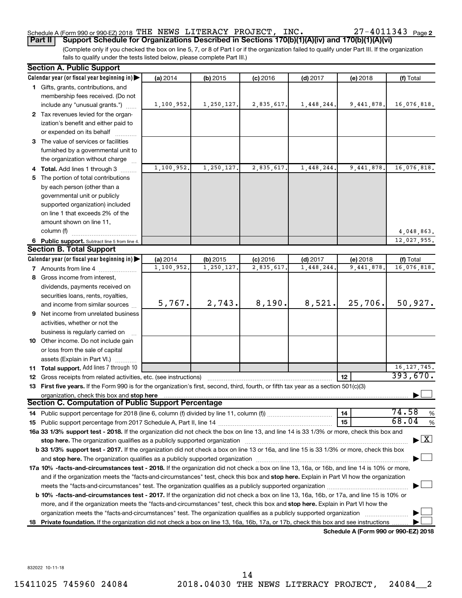#### Schedule A (Form 990 or 990-EZ) 2018 THE NEWS LITERACY PROJECT, INC.  $ZI-4011343$  Page THE NEWS LITERACY PROJECT, INC. 27-4011343

(Complete only if you checked the box on line 5, 7, or 8 of Part I or if the organization failed to qualify under Part III. If the organization **Part II Support Schedule for Organizations Described in Sections 170(b)(1)(A)(iv) and 170(b)(1)(A)(vi)**

fails to qualify under the tests listed below, please complete Part III.)

|    | <b>Section A. Public Support</b>                                                                                                                                                                                                                                |            |            |            |            |                                      |                                          |  |  |  |  |
|----|-----------------------------------------------------------------------------------------------------------------------------------------------------------------------------------------------------------------------------------------------------------------|------------|------------|------------|------------|--------------------------------------|------------------------------------------|--|--|--|--|
|    | Calendar year (or fiscal year beginning in)                                                                                                                                                                                                                     | (a) 2014   | $(b)$ 2015 | $(c)$ 2016 | $(d)$ 2017 | (e) 2018                             | (f) Total                                |  |  |  |  |
|    | 1 Gifts, grants, contributions, and                                                                                                                                                                                                                             |            |            |            |            |                                      |                                          |  |  |  |  |
|    | membership fees received. (Do not                                                                                                                                                                                                                               |            |            |            |            |                                      |                                          |  |  |  |  |
|    | include any "unusual grants.")                                                                                                                                                                                                                                  | 1,100,952. | 1,250,127. | 2,835,617. | 1,448,244. | 9,441,878.                           | 16,076,818.                              |  |  |  |  |
|    | 2 Tax revenues levied for the organ-                                                                                                                                                                                                                            |            |            |            |            |                                      |                                          |  |  |  |  |
|    | ization's benefit and either paid to                                                                                                                                                                                                                            |            |            |            |            |                                      |                                          |  |  |  |  |
|    | or expended on its behalf                                                                                                                                                                                                                                       |            |            |            |            |                                      |                                          |  |  |  |  |
|    | 3 The value of services or facilities                                                                                                                                                                                                                           |            |            |            |            |                                      |                                          |  |  |  |  |
|    | furnished by a governmental unit to                                                                                                                                                                                                                             |            |            |            |            |                                      |                                          |  |  |  |  |
|    | the organization without charge                                                                                                                                                                                                                                 |            |            |            |            |                                      |                                          |  |  |  |  |
|    | <b>Total.</b> Add lines 1 through 3                                                                                                                                                                                                                             | 1,100,952. | 1,250,127. | 2,835,617. | 1,448,244  | 9,441,878.                           | 16,076,818.                              |  |  |  |  |
| 5  | The portion of total contributions                                                                                                                                                                                                                              |            |            |            |            |                                      |                                          |  |  |  |  |
|    | by each person (other than a                                                                                                                                                                                                                                    |            |            |            |            |                                      |                                          |  |  |  |  |
|    | governmental unit or publicly                                                                                                                                                                                                                                   |            |            |            |            |                                      |                                          |  |  |  |  |
|    | supported organization) included                                                                                                                                                                                                                                |            |            |            |            |                                      |                                          |  |  |  |  |
|    | on line 1 that exceeds 2% of the                                                                                                                                                                                                                                |            |            |            |            |                                      |                                          |  |  |  |  |
|    | amount shown on line 11,                                                                                                                                                                                                                                        |            |            |            |            |                                      |                                          |  |  |  |  |
|    | column (f)                                                                                                                                                                                                                                                      |            |            |            |            |                                      | 4,048,863.                               |  |  |  |  |
|    | 6 Public support. Subtract line 5 from line 4.                                                                                                                                                                                                                  |            |            |            |            |                                      | 12,027,955.                              |  |  |  |  |
|    | <b>Section B. Total Support</b>                                                                                                                                                                                                                                 |            |            |            |            |                                      |                                          |  |  |  |  |
|    | Calendar year (or fiscal year beginning in)                                                                                                                                                                                                                     | (a) 2014   | $(b)$ 2015 | $(c)$ 2016 | $(d)$ 2017 | (e) 2018                             | (f) Total                                |  |  |  |  |
|    | 7 Amounts from line 4                                                                                                                                                                                                                                           | 1,100,952. | 1,250,127. | 2,835,617  | 1,448,244  | 9,441,878                            | 16,076,818.                              |  |  |  |  |
| 8  | Gross income from interest,                                                                                                                                                                                                                                     |            |            |            |            |                                      |                                          |  |  |  |  |
|    | dividends, payments received on                                                                                                                                                                                                                                 |            |            |            |            |                                      |                                          |  |  |  |  |
|    | securities loans, rents, royalties,                                                                                                                                                                                                                             |            |            |            |            |                                      |                                          |  |  |  |  |
|    | and income from similar sources                                                                                                                                                                                                                                 | 5,767.     | 2,743.     | 8,190.     | 8,521.     | 25,706.                              | 50,927.                                  |  |  |  |  |
|    | 9 Net income from unrelated business                                                                                                                                                                                                                            |            |            |            |            |                                      |                                          |  |  |  |  |
|    | activities, whether or not the                                                                                                                                                                                                                                  |            |            |            |            |                                      |                                          |  |  |  |  |
|    | business is regularly carried on                                                                                                                                                                                                                                |            |            |            |            |                                      |                                          |  |  |  |  |
|    | 10 Other income. Do not include gain                                                                                                                                                                                                                            |            |            |            |            |                                      |                                          |  |  |  |  |
|    | or loss from the sale of capital                                                                                                                                                                                                                                |            |            |            |            |                                      |                                          |  |  |  |  |
|    | assets (Explain in Part VI.)                                                                                                                                                                                                                                    |            |            |            |            |                                      |                                          |  |  |  |  |
|    | 11 Total support. Add lines 7 through 10                                                                                                                                                                                                                        |            |            |            |            |                                      | 16, 127, 745.                            |  |  |  |  |
| 12 | Gross receipts from related activities, etc. (see instructions)                                                                                                                                                                                                 |            |            |            |            | 12                                   | 393,670.                                 |  |  |  |  |
|    | 13 First five years. If the Form 990 is for the organization's first, second, third, fourth, or fifth tax year as a section 501(c)(3)                                                                                                                           |            |            |            |            |                                      |                                          |  |  |  |  |
|    | organization, check this box and stop here<br><b>Section C. Computation of Public Support Percentage</b>                                                                                                                                                        |            |            |            |            |                                      |                                          |  |  |  |  |
|    |                                                                                                                                                                                                                                                                 |            |            |            |            |                                      | 74.58                                    |  |  |  |  |
|    |                                                                                                                                                                                                                                                                 |            |            |            |            | 14                                   | %<br>68.04                               |  |  |  |  |
|    |                                                                                                                                                                                                                                                                 |            |            |            |            | 15                                   | %                                        |  |  |  |  |
|    | 16a 33 1/3% support test - 2018. If the organization did not check the box on line 13, and line 14 is 33 1/3% or more, check this box and                                                                                                                       |            |            |            |            |                                      | $\blacktriangleright$ $\boxed{\text{X}}$ |  |  |  |  |
|    | stop here. The organization qualifies as a publicly supported organization manufaction manufacture or the organization manufacture or the organization manufacture or the organization manufacture or the state of the state o                                  |            |            |            |            |                                      |                                          |  |  |  |  |
|    | b 33 1/3% support test - 2017. If the organization did not check a box on line 13 or 16a, and line 15 is 33 1/3% or more, check this box                                                                                                                        |            |            |            |            |                                      |                                          |  |  |  |  |
|    | and stop here. The organization qualifies as a publicly supported organization [11] manuscription manuscription manuscription manuscription manuscription manuscription and starting and starting and starting and starting an                                  |            |            |            |            |                                      |                                          |  |  |  |  |
|    | 17a 10% -facts-and-circumstances test - 2018. If the organization did not check a box on line 13, 16a, or 16b, and line 14 is 10% or more,                                                                                                                      |            |            |            |            |                                      |                                          |  |  |  |  |
|    | and if the organization meets the "facts-and-circumstances" test, check this box and stop here. Explain in Part VI how the organization                                                                                                                         |            |            |            |            |                                      |                                          |  |  |  |  |
|    | meets the "facts-and-circumstances" test. The organization qualifies as a publicly supported organization <i>manumumumumum</i>                                                                                                                                  |            |            |            |            |                                      |                                          |  |  |  |  |
|    | b 10% -facts-and-circumstances test - 2017. If the organization did not check a box on line 13, 16a, 16b, or 17a, and line 15 is 10% or                                                                                                                         |            |            |            |            |                                      |                                          |  |  |  |  |
|    | more, and if the organization meets the "facts-and-circumstances" test, check this box and stop here. Explain in Part VI how the                                                                                                                                |            |            |            |            |                                      |                                          |  |  |  |  |
|    | organization meets the "facts-and-circumstances" test. The organization qualifies as a publicly supported organization<br>18 Private foundation. If the organization did not check a box on line 13, 16a, 16b, 17a, or 17b, check this box and see instructions |            |            |            |            |                                      |                                          |  |  |  |  |
|    |                                                                                                                                                                                                                                                                 |            |            |            |            | Schedule A (Form 990 or 990-EZ) 2018 |                                          |  |  |  |  |

**Schedule A (Form 990 or 990-EZ) 2018**

832022 10-11-18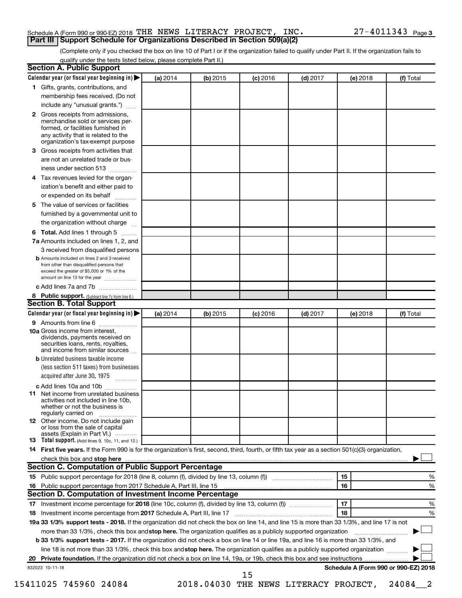## Schedule A (Form 990 or 990-EZ) 2018 THE NEWS LITERACY PROJECT, INC.  $27-4\,011\,34\,3$   $_{\rm Page}$ **Part III Support Schedule for Organizations Described in Section 509(a)(2)**

(Complete only if you checked the box on line 10 of Part I or if the organization failed to qualify under Part II. If the organization fails to qualify under the tests listed below, please complete Part II.)

|              | Calendar year (or fiscal year beginning in)                                                                                                                                            | (a) 2014 | (b) 2015 | $(c)$ 2016 | $(d)$ 2017                            |    | (e) 2018 | (f) Total                            |   |
|--------------|----------------------------------------------------------------------------------------------------------------------------------------------------------------------------------------|----------|----------|------------|---------------------------------------|----|----------|--------------------------------------|---|
|              | 1 Gifts, grants, contributions, and                                                                                                                                                    |          |          |            |                                       |    |          |                                      |   |
|              | membership fees received. (Do not                                                                                                                                                      |          |          |            |                                       |    |          |                                      |   |
|              | include any "unusual grants.")                                                                                                                                                         |          |          |            |                                       |    |          |                                      |   |
| $\mathbf{2}$ | Gross receipts from admissions,<br>merchandise sold or services per-<br>formed, or facilities furnished in<br>any activity that is related to the<br>organization's tax-exempt purpose |          |          |            |                                       |    |          |                                      |   |
| 3.           | Gross receipts from activities that                                                                                                                                                    |          |          |            |                                       |    |          |                                      |   |
|              | are not an unrelated trade or bus-                                                                                                                                                     |          |          |            |                                       |    |          |                                      |   |
|              | iness under section 513                                                                                                                                                                |          |          |            |                                       |    |          |                                      |   |
| 4            | Tax revenues levied for the organ-                                                                                                                                                     |          |          |            |                                       |    |          |                                      |   |
|              | ization's benefit and either paid to<br>or expended on its behalf<br>.                                                                                                                 |          |          |            |                                       |    |          |                                      |   |
| 5            | The value of services or facilities                                                                                                                                                    |          |          |            |                                       |    |          |                                      |   |
|              | furnished by a governmental unit to<br>the organization without charge                                                                                                                 |          |          |            |                                       |    |          |                                      |   |
|              | Total. Add lines 1 through 5                                                                                                                                                           |          |          |            |                                       |    |          |                                      |   |
| 6            | 7a Amounts included on lines 1, 2, and                                                                                                                                                 |          |          |            |                                       |    |          |                                      |   |
|              | 3 received from disqualified persons                                                                                                                                                   |          |          |            |                                       |    |          |                                      |   |
|              | <b>b</b> Amounts included on lines 2 and 3 received                                                                                                                                    |          |          |            |                                       |    |          |                                      |   |
|              | from other than disqualified persons that<br>exceed the greater of \$5,000 or 1% of the<br>amount on line 13 for the year                                                              |          |          |            |                                       |    |          |                                      |   |
|              | c Add lines 7a and 7b                                                                                                                                                                  |          |          |            |                                       |    |          |                                      |   |
|              | 8 Public support. (Subtract line 7c from line 6.)                                                                                                                                      |          |          |            |                                       |    |          |                                      |   |
|              | <b>Section B. Total Support</b>                                                                                                                                                        |          |          |            |                                       |    |          |                                      |   |
|              | Calendar year (or fiscal year beginning in)                                                                                                                                            | (a) 2014 | (b) 2015 | $(c)$ 2016 | $(d)$ 2017                            |    | (e) 2018 | (f) Total                            |   |
|              | 9 Amounts from line 6                                                                                                                                                                  |          |          |            |                                       |    |          |                                      |   |
|              | <b>10a</b> Gross income from interest,<br>dividends, payments received on<br>securities loans, rents, royalties,<br>and income from similar sources                                    |          |          |            |                                       |    |          |                                      |   |
|              | <b>b</b> Unrelated business taxable income                                                                                                                                             |          |          |            |                                       |    |          |                                      |   |
|              | (less section 511 taxes) from businesses<br>acquired after June 30, 1975                                                                                                               |          |          |            |                                       |    |          |                                      |   |
|              | c Add lines 10a and 10b                                                                                                                                                                |          |          |            |                                       |    |          |                                      |   |
| 11           | Net income from unrelated business<br>activities not included in line 10b.<br>whether or not the business is<br>regularly carried on                                                   |          |          |            |                                       |    |          |                                      |   |
|              | <b>12</b> Other income. Do not include gain<br>or loss from the sale of capital<br>assets (Explain in Part VI.)                                                                        |          |          |            |                                       |    |          |                                      |   |
|              | 13 Total support. (Add lines 9, 10c, 11, and 12.)                                                                                                                                      |          |          |            |                                       |    |          |                                      |   |
|              | 14 First five years. If the Form 990 is for the organization's first, second, third, fourth, or fifth tax year as a section 501(c)(3) organization,                                    |          |          |            |                                       |    |          |                                      |   |
|              |                                                                                                                                                                                        |          |          |            |                                       |    |          |                                      |   |
|              | Section C. Computation of Public Support Percentage                                                                                                                                    |          |          |            |                                       |    |          |                                      |   |
|              |                                                                                                                                                                                        |          |          |            |                                       | 15 |          |                                      | % |
|              |                                                                                                                                                                                        |          |          |            |                                       | 16 |          |                                      | % |
|              | Section D. Computation of Investment Income Percentage                                                                                                                                 |          |          |            |                                       |    |          |                                      |   |
|              |                                                                                                                                                                                        |          |          |            |                                       | 17 |          |                                      | % |
|              |                                                                                                                                                                                        |          |          |            |                                       | 18 |          |                                      | % |
|              | 19a 33 1/3% support tests - 2018. If the organization did not check the box on line 14, and line 15 is more than 33 1/3%, and line 17 is not                                           |          |          |            |                                       |    |          |                                      |   |
|              | more than 33 1/3%, check this box and stop here. The organization qualifies as a publicly supported organization                                                                       |          |          |            |                                       |    |          |                                      |   |
|              | b 33 1/3% support tests - 2017. If the organization did not check a box on line 14 or line 19a, and line 16 is more than 33 1/3%, and                                                  |          |          |            |                                       |    |          |                                      |   |
|              | line 18 is not more than 33 1/3%, check this box and stop here. The organization qualifies as a publicly supported organization                                                        |          |          |            |                                       |    |          |                                      |   |
|              |                                                                                                                                                                                        |          |          |            |                                       |    |          |                                      |   |
|              | 832023 10-11-18                                                                                                                                                                        |          |          |            |                                       |    |          | Schedule A (Form 990 or 990-EZ) 2018 |   |
|              |                                                                                                                                                                                        |          |          | 15         |                                       |    |          |                                      |   |
|              | 15411025 745960 24084                                                                                                                                                                  |          |          |            | 2018.04030 THE NEWS LITERACY PROJECT, |    |          | 24084                                |   |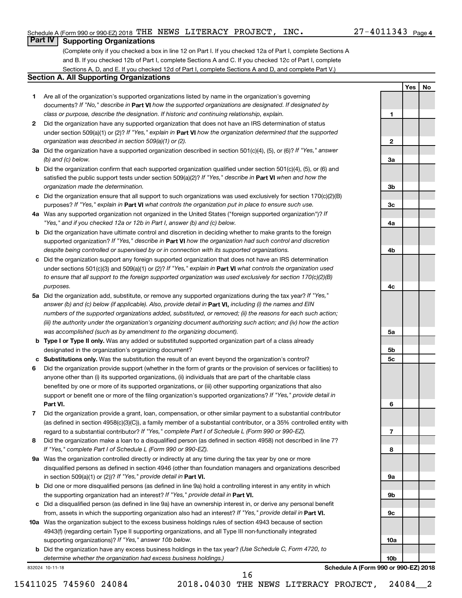**1**

**Yes No**

## **Part IV Supporting Organizations**

(Complete only if you checked a box in line 12 on Part I. If you checked 12a of Part I, complete Sections A and B. If you checked 12b of Part I, complete Sections A and C. If you checked 12c of Part I, complete Sections A, D, and E. If you checked 12d of Part I, complete Sections A and D, and complete Part V.)

## **Section A. All Supporting Organizations**

- **1** Are all of the organization's supported organizations listed by name in the organization's governing documents? If "No," describe in Part VI how the supported organizations are designated. If designated by *class or purpose, describe the designation. If historic and continuing relationship, explain.*
- **2** Did the organization have any supported organization that does not have an IRS determination of status under section 509(a)(1) or (2)? If "Yes," explain in Part **VI** how the organization determined that the supported *organization was described in section 509(a)(1) or (2).*
- **3a** Did the organization have a supported organization described in section 501(c)(4), (5), or (6)? If "Yes," answer *(b) and (c) below.*
- **b** Did the organization confirm that each supported organization qualified under section 501(c)(4), (5), or (6) and satisfied the public support tests under section 509(a)(2)? If "Yes," describe in Part VI when and how the *organization made the determination.*
- **c** Did the organization ensure that all support to such organizations was used exclusively for section 170(c)(2)(B) purposes? If "Yes," explain in Part VI what controls the organization put in place to ensure such use.
- **4 a** *If* Was any supported organization not organized in the United States ("foreign supported organization")? *"Yes," and if you checked 12a or 12b in Part I, answer (b) and (c) below.*
- **b** Did the organization have ultimate control and discretion in deciding whether to make grants to the foreign supported organization? If "Yes," describe in Part VI how the organization had such control and discretion *despite being controlled or supervised by or in connection with its supported organizations.*
- **c** Did the organization support any foreign supported organization that does not have an IRS determination under sections 501(c)(3) and 509(a)(1) or (2)? If "Yes," explain in Part VI what controls the organization used *to ensure that all support to the foreign supported organization was used exclusively for section 170(c)(2)(B) purposes.*
- **5a** Did the organization add, substitute, or remove any supported organizations during the tax year? If "Yes," answer (b) and (c) below (if applicable). Also, provide detail in **Part VI,** including (i) the names and EIN *numbers of the supported organizations added, substituted, or removed; (ii) the reasons for each such action; (iii) the authority under the organization's organizing document authorizing such action; and (iv) how the action was accomplished (such as by amendment to the organizing document).*
- **b Type I or Type II only.** Was any added or substituted supported organization part of a class already designated in the organization's organizing document?
- **c Substitutions only.**  Was the substitution the result of an event beyond the organization's control?
- **6** Did the organization provide support (whether in the form of grants or the provision of services or facilities) to **Part VI.** support or benefit one or more of the filing organization's supported organizations? If "Yes," provide detail in anyone other than (i) its supported organizations, (ii) individuals that are part of the charitable class benefited by one or more of its supported organizations, or (iii) other supporting organizations that also
- **7** Did the organization provide a grant, loan, compensation, or other similar payment to a substantial contributor regard to a substantial contributor? If "Yes," complete Part I of Schedule L (Form 990 or 990-EZ). (as defined in section 4958(c)(3)(C)), a family member of a substantial contributor, or a 35% controlled entity with
- **8** Did the organization make a loan to a disqualified person (as defined in section 4958) not described in line 7? *If "Yes," complete Part I of Schedule L (Form 990 or 990-EZ).*
- **9 a** Was the organization controlled directly or indirectly at any time during the tax year by one or more in section 509(a)(1) or (2))? If "Yes," provide detail in **Part VI.** disqualified persons as defined in section 4946 (other than foundation managers and organizations described
- **b** Did one or more disqualified persons (as defined in line 9a) hold a controlling interest in any entity in which the supporting organization had an interest? If "Yes," provide detail in Part VI.
- **c** Did a disqualified person (as defined in line 9a) have an ownership interest in, or derive any personal benefit from, assets in which the supporting organization also had an interest? If "Yes," provide detail in Part VI.
- **10 a** Was the organization subject to the excess business holdings rules of section 4943 because of section supporting organizations)? If "Yes," answer 10b below. 4943(f) (regarding certain Type II supporting organizations, and all Type III non-functionally integrated
	- **b** Did the organization have any excess business holdings in the tax year? (Use Schedule C, Form 4720, to *determine whether the organization had excess business holdings.)*

832024 10-11-18

**Schedule A (Form 990 or 990-EZ) 2018**

15411025 745960 24084 2018.04030 THE NEWS LITERACY PROJECT, 24084\_\_2

16

**2 3a 3b 3c 4a 4b 4c 5a 5b 5c 6 7 8 9a 9b 9c 10a 10b**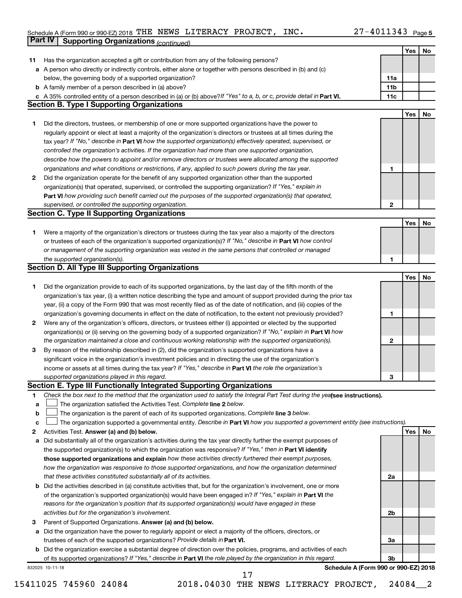#### Schedule A (Form 990 or 990-EZ) 2018 THE NEWS LITERACY PROJECT, INC.  $ZI-4011343$  Page THE NEWS LITERACY PROJECT, INC. 27-4011343

|    | Part IV<br><b>Supporting Organizations (continued)</b>                                                                          |                 |     |    |
|----|---------------------------------------------------------------------------------------------------------------------------------|-----------------|-----|----|
|    |                                                                                                                                 |                 | Yes | No |
| 11 | Has the organization accepted a gift or contribution from any of the following persons?                                         |                 |     |    |
|    | a A person who directly or indirectly controls, either alone or together with persons described in (b) and (c)                  |                 |     |    |
|    | below, the governing body of a supported organization?                                                                          | 11a             |     |    |
|    | <b>b</b> A family member of a person described in (a) above?                                                                    | 11 <sub>b</sub> |     |    |
|    | c A 35% controlled entity of a person described in (a) or (b) above? If "Yes" to a, b, or c, provide detail in Part VI.         | 11c             |     |    |
|    | <b>Section B. Type I Supporting Organizations</b>                                                                               |                 |     |    |
|    |                                                                                                                                 |                 | Yes | No |
| 1  | Did the directors, trustees, or membership of one or more supported organizations have the power to                             |                 |     |    |
|    | regularly appoint or elect at least a majority of the organization's directors or trustees at all times during the              |                 |     |    |
|    | tax year? If "No," describe in Part VI how the supported organization(s) effectively operated, supervised, or                   |                 |     |    |
|    | controlled the organization's activities. If the organization had more than one supported organization,                         |                 |     |    |
|    | describe how the powers to appoint and/or remove directors or trustees were allocated among the supported                       |                 |     |    |
|    | organizations and what conditions or restrictions, if any, applied to such powers during the tax year.                          | 1               |     |    |
| 2  | Did the organization operate for the benefit of any supported organization other than the supported                             |                 |     |    |
|    | organization(s) that operated, supervised, or controlled the supporting organization? If "Yes," explain in                      |                 |     |    |
|    | Part VI how providing such benefit carried out the purposes of the supported organization(s) that operated,                     |                 |     |    |
|    | supervised, or controlled the supporting organization.                                                                          | $\mathbf{2}$    |     |    |
|    | <b>Section C. Type II Supporting Organizations</b>                                                                              |                 |     |    |
|    |                                                                                                                                 |                 | Yes | No |
| 1. | Were a majority of the organization's directors or trustees during the tax year also a majority of the directors                |                 |     |    |
|    | or trustees of each of the organization's supported organization(s)? If "No," describe in Part VI how control                   |                 |     |    |
|    | or management of the supporting organization was vested in the same persons that controlled or managed                          |                 |     |    |
|    | the supported organization(s).                                                                                                  | 1               |     |    |
|    | <b>Section D. All Type III Supporting Organizations</b>                                                                         |                 |     |    |
|    |                                                                                                                                 |                 | Yes | No |
| 1  | Did the organization provide to each of its supported organizations, by the last day of the fifth month of the                  |                 |     |    |
|    | organization's tax year, (i) a written notice describing the type and amount of support provided during the prior tax           |                 |     |    |
|    | year, (ii) a copy of the Form 990 that was most recently filed as of the date of notification, and (iii) copies of the          |                 |     |    |
|    | organization's governing documents in effect on the date of notification, to the extent not previously provided?                | 1               |     |    |
| 2  | Were any of the organization's officers, directors, or trustees either (i) appointed or elected by the supported                |                 |     |    |
|    | organization(s) or (ii) serving on the governing body of a supported organization? If "No," explain in Part VI how              |                 |     |    |
|    | the organization maintained a close and continuous working relationship with the supported organization(s).                     | 2               |     |    |
| 3  | By reason of the relationship described in (2), did the organization's supported organizations have a                           |                 |     |    |
|    | significant voice in the organization's investment policies and in directing the use of the organization's                      |                 |     |    |
|    | income or assets at all times during the tax year? If "Yes," describe in Part VI the role the organization's                    |                 |     |    |
|    | supported organizations played in this regard.                                                                                  | з               |     |    |
|    | Section E. Type III Functionally Integrated Supporting Organizations                                                            |                 |     |    |
| 1  | Check the box next to the method that the organization used to satisfy the Integral Part Test during the yealsee instructions). |                 |     |    |
| a  | The organization satisfied the Activities Test. Complete line 2 below.                                                          |                 |     |    |
| b  | The organization is the parent of each of its supported organizations. Complete line 3 below.                                   |                 |     |    |
| с  | The organization supported a governmental entity. Describe in Part VI how you supported a government entity (see instructions). |                 |     |    |
| 2  | Activities Test. Answer (a) and (b) below.                                                                                      |                 | Yes | No |
| а  | Did substantially all of the organization's activities during the tax year directly further the exempt purposes of              |                 |     |    |
|    | the supported organization(s) to which the organization was responsive? If "Yes," then in Part VI identify                      |                 |     |    |
|    | those supported organizations and explain how these activities directly furthered their exempt purposes,                        |                 |     |    |
|    | how the organization was responsive to those supported organizations, and how the organization determined                       |                 |     |    |
|    | that these activities constituted substantially all of its activities.                                                          | 2a              |     |    |
|    | <b>b</b> Did the activities described in (a) constitute activities that, but for the organization's involvement, one or more    |                 |     |    |
|    | of the organization's supported organization(s) would have been engaged in? If "Yes," explain in Part VI the                    |                 |     |    |
|    | reasons for the organization's position that its supported organization(s) would have engaged in these                          |                 |     |    |
|    | activities but for the organization's involvement.                                                                              | 2b              |     |    |
| з  | Parent of Supported Organizations. Answer (a) and (b) below.                                                                    |                 |     |    |
| а  | Did the organization have the power to regularly appoint or elect a majority of the officers, directors, or                     |                 |     |    |
|    | trustees of each of the supported organizations? Provide details in Part VI.                                                    | За              |     |    |
|    | <b>b</b> Did the organization exercise a substantial degree of direction over the policies, programs, and activities of each    |                 |     |    |
|    | of its supported organizations? If "Yes," describe in Part VI the role played by the organization in this regard.               | Зb              |     |    |
|    | Schedule A (Form 990 or 990-EZ) 2018<br>832025 10-11-18                                                                         |                 |     |    |

15411025 745960 24084 2018.04030 THE NEWS LITERACY PROJECT, 24084\_\_2 17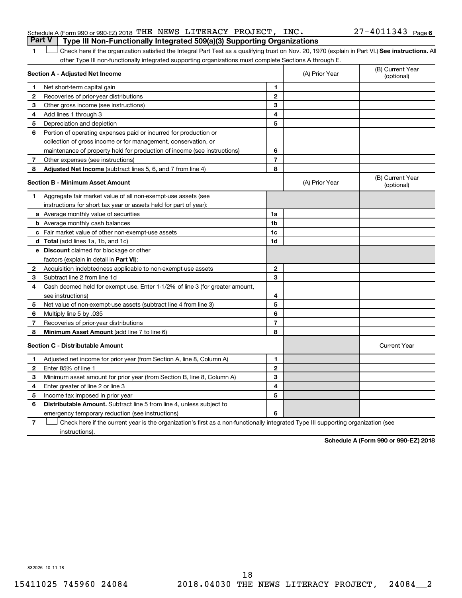|  | Schedule A (Form 990 or 990-EZ) 2018 THE NEWS LITERACY PROJECT, $INC.$                |  |  | $27 - 4011343$ Page 6 |  |
|--|---------------------------------------------------------------------------------------|--|--|-----------------------|--|
|  | <b>Part V</b> Type III Non-Functionally Integrated 509(a)(3) Supporting Organizations |  |  |                       |  |

1 **Letter See instructions.** All Check here if the organization satisfied the Integral Part Test as a qualifying trust on Nov. 20, 1970 (explain in Part VI.) See instructions. All other Type III non-functionally integrated supporting organizations must complete Sections A through E.

|              | Section A - Adjusted Net Income                                              | (A) Prior Year | (B) Current Year<br>(optional) |                                |
|--------------|------------------------------------------------------------------------------|----------------|--------------------------------|--------------------------------|
| 1            | Net short-term capital gain                                                  | 1              |                                |                                |
| 2            | Recoveries of prior-year distributions                                       | $\mathbf{2}$   |                                |                                |
| З            | Other gross income (see instructions)                                        | 3              |                                |                                |
| 4            | Add lines 1 through 3                                                        | 4              |                                |                                |
| 5            | Depreciation and depletion                                                   | 5              |                                |                                |
| 6            | Portion of operating expenses paid or incurred for production or             |                |                                |                                |
|              | collection of gross income or for management, conservation, or               |                |                                |                                |
|              | maintenance of property held for production of income (see instructions)     | 6              |                                |                                |
| 7            | Other expenses (see instructions)                                            | $\overline{7}$ |                                |                                |
| 8            | Adjusted Net Income (subtract lines 5, 6, and 7 from line 4)                 | 8              |                                |                                |
|              | <b>Section B - Minimum Asset Amount</b>                                      |                | (A) Prior Year                 | (B) Current Year<br>(optional) |
| 1.           | Aggregate fair market value of all non-exempt-use assets (see                |                |                                |                                |
|              | instructions for short tax year or assets held for part of year):            |                |                                |                                |
|              | <b>a</b> Average monthly value of securities                                 | 1a             |                                |                                |
|              | <b>b</b> Average monthly cash balances                                       | 1b             |                                |                                |
|              | <b>c</b> Fair market value of other non-exempt-use assets                    | 1c             |                                |                                |
|              | d Total (add lines 1a, 1b, and 1c)                                           | 1d             |                                |                                |
|              | e Discount claimed for blockage or other                                     |                |                                |                                |
|              | factors (explain in detail in Part VI):                                      |                |                                |                                |
| 2            | Acquisition indebtedness applicable to non-exempt-use assets                 | $\mathbf{2}$   |                                |                                |
| 3            | Subtract line 2 from line 1d                                                 | 3              |                                |                                |
| 4            | Cash deemed held for exempt use. Enter 1-1/2% of line 3 (for greater amount, |                |                                |                                |
|              | see instructions)                                                            | 4              |                                |                                |
| 5            | Net value of non-exempt-use assets (subtract line 4 from line 3)             | 5              |                                |                                |
| 6            | Multiply line 5 by .035                                                      | 6              |                                |                                |
| 7            | Recoveries of prior-year distributions                                       | $\overline{7}$ |                                |                                |
| 8            | Minimum Asset Amount (add line 7 to line 6)                                  | 8              |                                |                                |
|              | <b>Section C - Distributable Amount</b>                                      |                |                                | <b>Current Year</b>            |
| 1.           | Adjusted net income for prior year (from Section A, line 8, Column A)        | 1              |                                |                                |
| $\mathbf{2}$ | Enter 85% of line 1                                                          | $\mathbf{2}$   |                                |                                |
| 3            | Minimum asset amount for prior year (from Section B, line 8, Column A)       | 3              |                                |                                |
| 4            | Enter greater of line 2 or line 3                                            | 4              |                                |                                |
| 5            | Income tax imposed in prior year                                             | 5              |                                |                                |
| 6            | <b>Distributable Amount.</b> Subtract line 5 from line 4, unless subject to  |                |                                |                                |
|              | emergency temporary reduction (see instructions)                             | 6              |                                |                                |
|              | $\sim$                                                                       |                |                                |                                |

**7** Check here if the current year is the organization's first as a non-functionally integrated Type III supporting organization (see † instructions).

**Schedule A (Form 990 or 990-EZ) 2018**

832026 10-11-18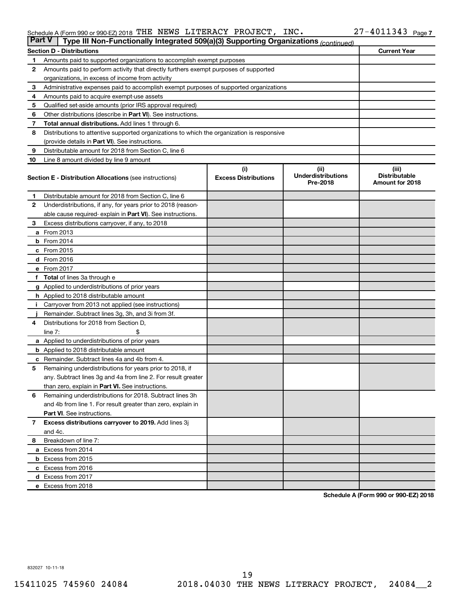#### Schedule A (Form 990 or 990-EZ) 2018 THE NEWS LITERACY PROJECT, INC.  $ZI-4011343$  Page THE NEWS LITERACY PROJECT, INC. 27-4011343

| <b>Part V</b><br>Type III Non-Functionally Integrated 509(a)(3) Supporting Organizations (continued) |                                                                                            |                             |                                       |                                         |  |  |  |  |  |
|------------------------------------------------------------------------------------------------------|--------------------------------------------------------------------------------------------|-----------------------------|---------------------------------------|-----------------------------------------|--|--|--|--|--|
|                                                                                                      | <b>Current Year</b><br><b>Section D - Distributions</b>                                    |                             |                                       |                                         |  |  |  |  |  |
| 1                                                                                                    | Amounts paid to supported organizations to accomplish exempt purposes                      |                             |                                       |                                         |  |  |  |  |  |
| $\mathbf{2}$                                                                                         | Amounts paid to perform activity that directly furthers exempt purposes of supported       |                             |                                       |                                         |  |  |  |  |  |
|                                                                                                      | organizations, in excess of income from activity                                           |                             |                                       |                                         |  |  |  |  |  |
| 3                                                                                                    | Administrative expenses paid to accomplish exempt purposes of supported organizations      |                             |                                       |                                         |  |  |  |  |  |
| 4                                                                                                    | Amounts paid to acquire exempt-use assets                                                  |                             |                                       |                                         |  |  |  |  |  |
| 5                                                                                                    | Qualified set-aside amounts (prior IRS approval required)                                  |                             |                                       |                                         |  |  |  |  |  |
| 6                                                                                                    | Other distributions (describe in <b>Part VI</b> ). See instructions.                       |                             |                                       |                                         |  |  |  |  |  |
| 7                                                                                                    | Total annual distributions. Add lines 1 through 6.                                         |                             |                                       |                                         |  |  |  |  |  |
| 8                                                                                                    | Distributions to attentive supported organizations to which the organization is responsive |                             |                                       |                                         |  |  |  |  |  |
|                                                                                                      | (provide details in Part VI). See instructions.                                            |                             |                                       |                                         |  |  |  |  |  |
| 9                                                                                                    | Distributable amount for 2018 from Section C, line 6                                       |                             |                                       |                                         |  |  |  |  |  |
| 10                                                                                                   | Line 8 amount divided by line 9 amount                                                     |                             |                                       |                                         |  |  |  |  |  |
|                                                                                                      |                                                                                            | (i)                         | (ii)                                  | (iii)                                   |  |  |  |  |  |
|                                                                                                      | <b>Section E - Distribution Allocations</b> (see instructions)                             | <b>Excess Distributions</b> | <b>Underdistributions</b><br>Pre-2018 | <b>Distributable</b><br>Amount for 2018 |  |  |  |  |  |
| 1                                                                                                    | Distributable amount for 2018 from Section C, line 6                                       |                             |                                       |                                         |  |  |  |  |  |
| $\mathbf{2}$                                                                                         | Underdistributions, if any, for years prior to 2018 (reason-                               |                             |                                       |                                         |  |  |  |  |  |
|                                                                                                      | able cause required-explain in Part VI). See instructions.                                 |                             |                                       |                                         |  |  |  |  |  |
| 3                                                                                                    | Excess distributions carryover, if any, to 2018                                            |                             |                                       |                                         |  |  |  |  |  |
|                                                                                                      | <b>a</b> From 2013                                                                         |                             |                                       |                                         |  |  |  |  |  |
|                                                                                                      | $b$ From 2014                                                                              |                             |                                       |                                         |  |  |  |  |  |
|                                                                                                      | c From 2015                                                                                |                             |                                       |                                         |  |  |  |  |  |
|                                                                                                      | d From 2016                                                                                |                             |                                       |                                         |  |  |  |  |  |
|                                                                                                      | e From 2017                                                                                |                             |                                       |                                         |  |  |  |  |  |
|                                                                                                      | f Total of lines 3a through e                                                              |                             |                                       |                                         |  |  |  |  |  |
|                                                                                                      | <b>g</b> Applied to underdistributions of prior years                                      |                             |                                       |                                         |  |  |  |  |  |
|                                                                                                      | h Applied to 2018 distributable amount                                                     |                             |                                       |                                         |  |  |  |  |  |
| Ť.                                                                                                   | Carryover from 2013 not applied (see instructions)                                         |                             |                                       |                                         |  |  |  |  |  |
|                                                                                                      | Remainder. Subtract lines 3g, 3h, and 3i from 3f.                                          |                             |                                       |                                         |  |  |  |  |  |
| 4                                                                                                    | Distributions for 2018 from Section D,                                                     |                             |                                       |                                         |  |  |  |  |  |
|                                                                                                      | line $7:$                                                                                  |                             |                                       |                                         |  |  |  |  |  |
|                                                                                                      | a Applied to underdistributions of prior years                                             |                             |                                       |                                         |  |  |  |  |  |
|                                                                                                      | <b>b</b> Applied to 2018 distributable amount                                              |                             |                                       |                                         |  |  |  |  |  |
| c                                                                                                    | Remainder. Subtract lines 4a and 4b from 4.                                                |                             |                                       |                                         |  |  |  |  |  |
| 5                                                                                                    | Remaining underdistributions for years prior to 2018, if                                   |                             |                                       |                                         |  |  |  |  |  |
|                                                                                                      | any. Subtract lines 3g and 4a from line 2. For result greater                              |                             |                                       |                                         |  |  |  |  |  |
|                                                                                                      | than zero, explain in Part VI. See instructions.                                           |                             |                                       |                                         |  |  |  |  |  |
| 6                                                                                                    | Remaining underdistributions for 2018. Subtract lines 3h                                   |                             |                                       |                                         |  |  |  |  |  |
|                                                                                                      | and 4b from line 1. For result greater than zero, explain in                               |                             |                                       |                                         |  |  |  |  |  |
|                                                                                                      | <b>Part VI.</b> See instructions.                                                          |                             |                                       |                                         |  |  |  |  |  |
| $\overline{7}$                                                                                       | Excess distributions carryover to 2019. Add lines 3j                                       |                             |                                       |                                         |  |  |  |  |  |
|                                                                                                      | and 4c.                                                                                    |                             |                                       |                                         |  |  |  |  |  |
| 8                                                                                                    | Breakdown of line 7:                                                                       |                             |                                       |                                         |  |  |  |  |  |
|                                                                                                      | a Excess from 2014                                                                         |                             |                                       |                                         |  |  |  |  |  |
|                                                                                                      | <b>b</b> Excess from 2015                                                                  |                             |                                       |                                         |  |  |  |  |  |
|                                                                                                      | c Excess from 2016                                                                         |                             |                                       |                                         |  |  |  |  |  |
|                                                                                                      | d Excess from 2017                                                                         |                             |                                       |                                         |  |  |  |  |  |
|                                                                                                      | e Excess from 2018                                                                         |                             |                                       |                                         |  |  |  |  |  |

**Schedule A (Form 990 or 990-EZ) 2018**

832027 10-11-18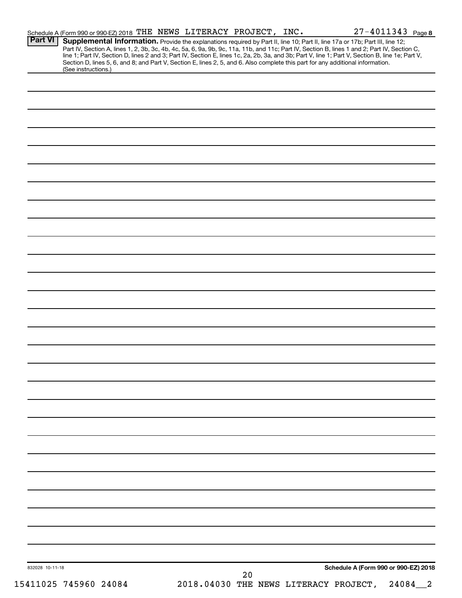| Schedule A (Form 990 or 990-EZ) 2018 THE NEWS LITERACY PROJECT, INC.<br><b>Part VI</b><br>Supplemental Information. Provide the explanations required by Part II, line 10; Part II, line 17a or 17b; Part III, line 12;                                                                                                                                                                                                             |  |    | $27 - 4011343$ Page 8                       |            |
|-------------------------------------------------------------------------------------------------------------------------------------------------------------------------------------------------------------------------------------------------------------------------------------------------------------------------------------------------------------------------------------------------------------------------------------|--|----|---------------------------------------------|------------|
| Part IV, Section A, lines 1, 2, 3b, 3c, 4b, 4c, 5a, 6, 9a, 9b, 9c, 11a, 11b, and 11c; Part IV, Section B, lines 1 and 2; Part IV, Section C,<br>line 1; Part IV, Section D, lines 2 and 3; Part IV, Section E, lines 1c, 2a, 2b, 3a, and 3b; Part V, line 1; Part V, Section B, line 1e; Part V,<br>Section D, lines 5, 6, and 8; and Part V, Section E, lines 2, 5, and 6. Also complete this part for any additional information. |  |    |                                             |            |
| (See instructions.)                                                                                                                                                                                                                                                                                                                                                                                                                 |  |    |                                             |            |
|                                                                                                                                                                                                                                                                                                                                                                                                                                     |  |    |                                             |            |
|                                                                                                                                                                                                                                                                                                                                                                                                                                     |  |    |                                             |            |
|                                                                                                                                                                                                                                                                                                                                                                                                                                     |  |    |                                             |            |
|                                                                                                                                                                                                                                                                                                                                                                                                                                     |  |    |                                             |            |
|                                                                                                                                                                                                                                                                                                                                                                                                                                     |  |    |                                             |            |
|                                                                                                                                                                                                                                                                                                                                                                                                                                     |  |    |                                             |            |
|                                                                                                                                                                                                                                                                                                                                                                                                                                     |  |    |                                             |            |
|                                                                                                                                                                                                                                                                                                                                                                                                                                     |  |    |                                             |            |
|                                                                                                                                                                                                                                                                                                                                                                                                                                     |  |    |                                             |            |
|                                                                                                                                                                                                                                                                                                                                                                                                                                     |  |    |                                             |            |
|                                                                                                                                                                                                                                                                                                                                                                                                                                     |  |    |                                             |            |
|                                                                                                                                                                                                                                                                                                                                                                                                                                     |  |    |                                             |            |
|                                                                                                                                                                                                                                                                                                                                                                                                                                     |  |    |                                             |            |
|                                                                                                                                                                                                                                                                                                                                                                                                                                     |  |    |                                             |            |
|                                                                                                                                                                                                                                                                                                                                                                                                                                     |  |    |                                             |            |
|                                                                                                                                                                                                                                                                                                                                                                                                                                     |  |    |                                             |            |
|                                                                                                                                                                                                                                                                                                                                                                                                                                     |  |    |                                             |            |
|                                                                                                                                                                                                                                                                                                                                                                                                                                     |  |    |                                             |            |
|                                                                                                                                                                                                                                                                                                                                                                                                                                     |  |    |                                             |            |
|                                                                                                                                                                                                                                                                                                                                                                                                                                     |  |    |                                             |            |
|                                                                                                                                                                                                                                                                                                                                                                                                                                     |  |    |                                             |            |
|                                                                                                                                                                                                                                                                                                                                                                                                                                     |  |    |                                             |            |
|                                                                                                                                                                                                                                                                                                                                                                                                                                     |  |    |                                             |            |
|                                                                                                                                                                                                                                                                                                                                                                                                                                     |  |    |                                             |            |
|                                                                                                                                                                                                                                                                                                                                                                                                                                     |  |    |                                             |            |
|                                                                                                                                                                                                                                                                                                                                                                                                                                     |  |    |                                             |            |
|                                                                                                                                                                                                                                                                                                                                                                                                                                     |  |    |                                             |            |
|                                                                                                                                                                                                                                                                                                                                                                                                                                     |  |    |                                             |            |
|                                                                                                                                                                                                                                                                                                                                                                                                                                     |  |    |                                             |            |
|                                                                                                                                                                                                                                                                                                                                                                                                                                     |  |    |                                             |            |
|                                                                                                                                                                                                                                                                                                                                                                                                                                     |  |    |                                             |            |
|                                                                                                                                                                                                                                                                                                                                                                                                                                     |  |    |                                             |            |
|                                                                                                                                                                                                                                                                                                                                                                                                                                     |  |    |                                             |            |
|                                                                                                                                                                                                                                                                                                                                                                                                                                     |  |    |                                             |            |
|                                                                                                                                                                                                                                                                                                                                                                                                                                     |  |    |                                             |            |
|                                                                                                                                                                                                                                                                                                                                                                                                                                     |  |    |                                             |            |
|                                                                                                                                                                                                                                                                                                                                                                                                                                     |  |    |                                             |            |
|                                                                                                                                                                                                                                                                                                                                                                                                                                     |  |    |                                             |            |
|                                                                                                                                                                                                                                                                                                                                                                                                                                     |  |    |                                             |            |
|                                                                                                                                                                                                                                                                                                                                                                                                                                     |  |    |                                             |            |
| 832028 10-11-18                                                                                                                                                                                                                                                                                                                                                                                                                     |  | 20 | Schedule A (Form 990 or 990-EZ) 2018        |            |
| 15411025 745960 24084                                                                                                                                                                                                                                                                                                                                                                                                               |  |    | 2018.04030 THE NEWS LITERACY PROJECT, 24084 | $\sqrt{2}$ |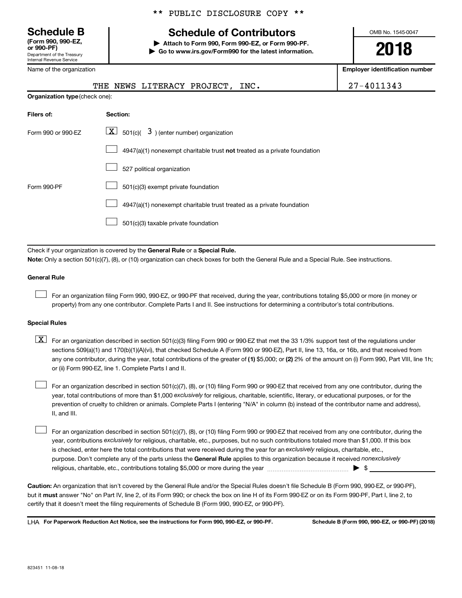**(Form 990, 990-EZ,**

Department of the Treasury Internal Revenue Service

Name of the organization

## **Schedule B Schedule of Contributors**

**or 990-PF) | Attach to Form 990, Form 990-EZ, or Form 990-PF. | Go to www.irs.gov/Form990 for the latest information.** OMB No. 1545-0047

**2018**

**Employer identification number**

|                                | THE NEWS LITERACY PROJECT,<br>INC.                                                                                                                                                                                                                                               | 27-4011343 |  |  |  |
|--------------------------------|----------------------------------------------------------------------------------------------------------------------------------------------------------------------------------------------------------------------------------------------------------------------------------|------------|--|--|--|
| Organization type (check one): |                                                                                                                                                                                                                                                                                  |            |  |  |  |
| Filers of:                     | Section:                                                                                                                                                                                                                                                                         |            |  |  |  |
| Form 990 or 990-EZ             | $\lfloor x \rfloor$ 501(c)( 3) (enter number) organization                                                                                                                                                                                                                       |            |  |  |  |
|                                | 4947(a)(1) nonexempt charitable trust not treated as a private foundation                                                                                                                                                                                                        |            |  |  |  |
|                                | 527 political organization                                                                                                                                                                                                                                                       |            |  |  |  |
| Form 990-PF                    | 501(c)(3) exempt private foundation                                                                                                                                                                                                                                              |            |  |  |  |
|                                | 4947(a)(1) nonexempt charitable trust treated as a private foundation                                                                                                                                                                                                            |            |  |  |  |
|                                | 501(c)(3) taxable private foundation                                                                                                                                                                                                                                             |            |  |  |  |
|                                |                                                                                                                                                                                                                                                                                  |            |  |  |  |
|                                | Check if your organization is covered by the General Rule or a Special Rule.<br>Note: Only a section 501(c)(7), (8), or (10) organization can check boxes for both the General Rule and a Special Rule. See instructions.                                                        |            |  |  |  |
| <b>General Rule</b>            |                                                                                                                                                                                                                                                                                  |            |  |  |  |
|                                | For an organization filing Form 990, 990-EZ, or 990-PF that received, during the year, contributions totaling \$5,000 or more (in money or<br>property) from any one contributor. Complete Parts I and II. See instructions for determining a contributor's total contributions. |            |  |  |  |
| <b>Special Rules</b>           |                                                                                                                                                                                                                                                                                  |            |  |  |  |
| v   ⊥–                         |                                                                                                                                                                                                                                                                                  |            |  |  |  |

any one contributor, during the year, total contributions of the greater of (1) \$5,000; or (2) 2% of the amount on (i) Form 990, Part VIII, line 1h;  $\boxed{\text{X}}$  For an organization described in section 501(c)(3) filing Form 990 or 990-EZ that met the 33 1/3% support test of the regulations under sections 509(a)(1) and 170(b)(1)(A)(vi), that checked Schedule A (Form 990 or 990-EZ), Part II, line 13, 16a, or 16b, and that received from or (ii) Form 990-EZ, line 1. Complete Parts I and II.

year, total contributions of more than \$1,000 *exclusively* for religious, charitable, scientific, literary, or educational purposes, or for the For an organization described in section 501(c)(7), (8), or (10) filing Form 990 or 990-EZ that received from any one contributor, during the prevention of cruelty to children or animals. Complete Parts I (entering "N/A" in column (b) instead of the contributor name and address), II, and III.  $\Box$ 

purpose. Don't complete any of the parts unless the General Rule applies to this organization because it received nonexclusively year, contributions exclusively for religious, charitable, etc., purposes, but no such contributions totaled more than \$1,000. If this box is checked, enter here the total contributions that were received during the year for an exclusively religious, charitable, etc., For an organization described in section 501(c)(7), (8), or (10) filing Form 990 or 990-EZ that received from any one contributor, during the religious, charitable, etc., contributions totaling \$5,000 or more during the year  $~\ldots\ldots\ldots\ldots\ldots\ldots\ldots\ldots\ldots\blacktriangleright~$ \$  $\Box$ 

**Caution:**  An organization that isn't covered by the General Rule and/or the Special Rules doesn't file Schedule B (Form 990, 990-EZ, or 990-PF),  **must** but it answer "No" on Part IV, line 2, of its Form 990; or check the box on line H of its Form 990-EZ or on its Form 990-PF, Part I, line 2, to certify that it doesn't meet the filing requirements of Schedule B (Form 990, 990-EZ, or 990-PF).

**For Paperwork Reduction Act Notice, see the instructions for Form 990, 990-EZ, or 990-PF. Schedule B (Form 990, 990-EZ, or 990-PF) (2018)** LHA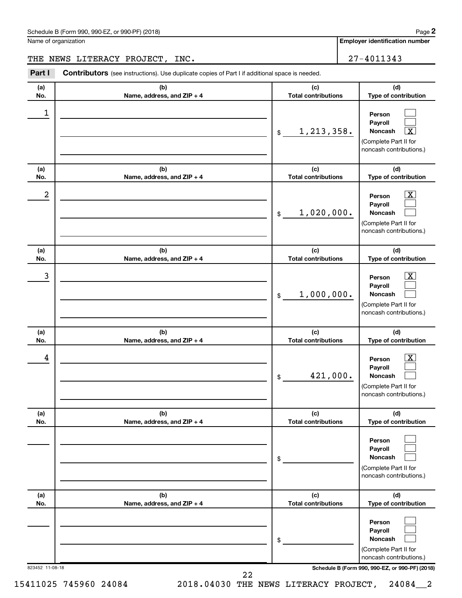| Schedule B (Form 990, 990-EZ, or 990-PF) (2018)<br>$\sqrt{2}$ and $\sqrt{2}$ and $\sqrt{2}$ and $\sqrt{2}$ and $\sqrt{2}$ and $\sqrt{2}$ and $\sqrt{2}$ and $\sqrt{2}$ and $\sqrt{2}$ and $\sqrt{2}$ and $\sqrt{2}$ and $\sqrt{2}$ and $\sqrt{2}$ and $\sqrt{2}$ and $\sqrt{2}$ and $\sqrt{2}$ and $\sqrt{2}$ and $\sqrt{2}$ and $\sqrt{2$ | Page |
|--------------------------------------------------------------------------------------------------------------------------------------------------------------------------------------------------------------------------------------------------------------------------------------------------------------------------------------------|------|
|--------------------------------------------------------------------------------------------------------------------------------------------------------------------------------------------------------------------------------------------------------------------------------------------------------------------------------------------|------|

Name of organization

**Employer identification number**

THE NEWS LITERACY PROJECT, INC.  $\vert$  27-4011343

823452 11-08-18 **Schedule B (Form 990, 990-EZ, or 990-PF) (2018) (a) No. (b) Name, address, and ZIP + 4 (c) Total contributions (d) Type of contribution Person Payroll Noncash (a) No. (b) Name, address, and ZIP + 4 (c) Total contributions (d) Type of contribution Person Payroll Noncash (a) No. (b) Name, address, and ZIP + 4 (c) Total contributions (d) Type of contribution Person Payroll Noncash (a) No. (b) Name, address, and ZIP + 4 (c) Total contributions (d) Type of contribution Person Payroll Noncash (a) No. (b) Name, address, and ZIP + 4 (c) Total contributions (d) Type of contribution Person Payroll Noncash (a) No. (b) Name, address, and ZIP + 4 (c) Total contributions (d) Type of contribution Person Payroll Noncash Part I** Contributors (see instructions). Use duplicate copies of Part I if additional space is needed. \$ (Complete Part II for noncash contributions.) \$ (Complete Part II for noncash contributions.) \$ (Complete Part II for noncash contributions.) \$ (Complete Part II for noncash contributions.) \$ (Complete Part II for noncash contributions.) \$ (Complete Part II for noncash contributions.)  $\Box$  $\Box$ †  $\overline{\mathbf{X}}$  $\Box$  $\Box$  $\boxed{\textbf{X}}$  $\Box$  $\Box$  $\boxed{\textbf{X}}$  $\Box$  $\Box$  $\Box$  $\Box$  $\Box$  $\Box$  $\Box$  $\Box$ 1  $1,213,358.$  $2$  Person  $\overline{\text{X}}$ 1,020,000.  $\begin{array}{|c|c|c|c|c|c|}\hline \text{3} & \text{Person} & \text{X} \ \hline \end{array}$ 1,000,000.  $\begin{array}{|c|c|c|c|c|}\hline \text{4} & \text{Person} & \text{\textbf{X}}\ \hline \end{array}$ 421,000. 22

15411025 745960 24084 2018.04030 THE NEWS LITERACY PROJECT, 24084\_\_2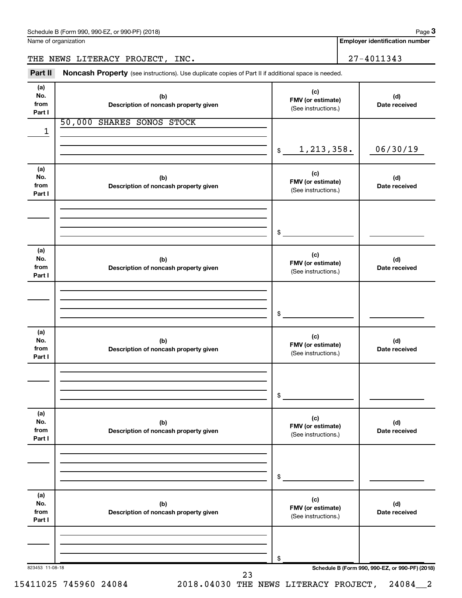| Schedule B (Form 990, 990-EZ, or 990-PF) (2018) | Page |
|-------------------------------------------------|------|
|-------------------------------------------------|------|

Name of organization

**Employer identification number**

THE NEWS LITERACY PROJECT, INC. 27-4011343

Part II Noncash Property (see instructions). Use duplicate copies of Part II if additional space is needed.

| (a)<br>No.<br>from<br>Part I | (b)<br>Description of noncash property given | (c)<br>FMV (or estimate)<br>(See instructions.) | (d)<br>Date received                            |
|------------------------------|----------------------------------------------|-------------------------------------------------|-------------------------------------------------|
| 1                            | 50,000 SHARES SONOS STOCK                    |                                                 |                                                 |
|                              |                                              | 1, 213, 358.<br>$\mathsf{\$}$                   | 06/30/19                                        |
| (a)<br>No.<br>from<br>Part I | (b)<br>Description of noncash property given | (c)<br>FMV (or estimate)<br>(See instructions.) | (d)<br>Date received                            |
|                              |                                              | \$                                              |                                                 |
| (a)<br>No.<br>from<br>Part I | (b)<br>Description of noncash property given | (c)<br>FMV (or estimate)<br>(See instructions.) | (d)<br>Date received                            |
|                              |                                              | \$                                              |                                                 |
| (a)<br>No.<br>from<br>Part I | (b)<br>Description of noncash property given | (c)<br>FMV (or estimate)<br>(See instructions.) | (d)<br>Date received                            |
|                              |                                              | \$                                              |                                                 |
| (a)<br>No.<br>from<br>Part I | (b)<br>Description of noncash property given | (c)<br>FMV (or estimate)<br>(See instructions.) | (d)<br>Date received                            |
|                              |                                              | \$                                              |                                                 |
| (a)<br>No.<br>from<br>Part I | (b)<br>Description of noncash property given | (c)<br>FMV (or estimate)<br>(See instructions.) | (d)<br>Date received                            |
|                              |                                              | \$                                              |                                                 |
| 823453 11-08-18              | 23                                           |                                                 | Schedule B (Form 990, 990-EZ, or 990-PF) (2018) |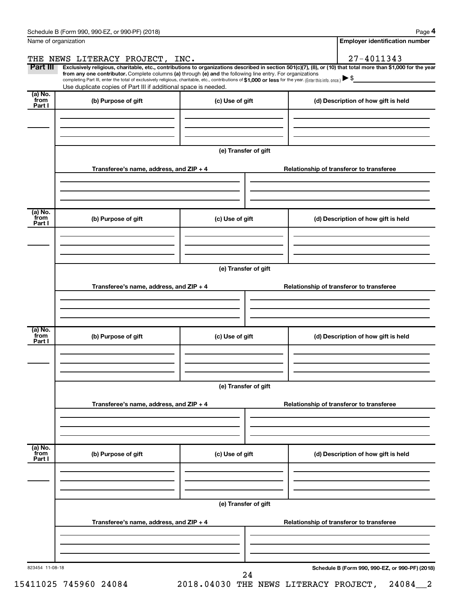| Name of organization       |                                                                                                                                                                                                                                                                                                                                          |                      | <b>Employer identification number</b>                                                                                                                          |
|----------------------------|------------------------------------------------------------------------------------------------------------------------------------------------------------------------------------------------------------------------------------------------------------------------------------------------------------------------------------------|----------------------|----------------------------------------------------------------------------------------------------------------------------------------------------------------|
|                            | THE NEWS LITERACY PROJECT, INC.                                                                                                                                                                                                                                                                                                          |                      | 27-4011343                                                                                                                                                     |
| Part III                   | from any one contributor. Complete columns (a) through (e) and the following line entry. For organizations<br>completing Part III, enter the total of exclusively religious, charitable, etc., contributions of \$1,000 or less for the year. (Enterthis info. once.)<br>Use duplicate copies of Part III if additional space is needed. |                      | Exclusively religious, charitable, etc., contributions to organizations described in section 501(c)(7), (8), or (10) that total more than \$1,000 for the year |
| (a) No.<br>`from           | (b) Purpose of gift                                                                                                                                                                                                                                                                                                                      | (c) Use of gift      | (d) Description of how gift is held                                                                                                                            |
| Part I                     |                                                                                                                                                                                                                                                                                                                                          |                      |                                                                                                                                                                |
|                            |                                                                                                                                                                                                                                                                                                                                          | (e) Transfer of gift |                                                                                                                                                                |
|                            | Transferee's name, address, and ZIP + 4                                                                                                                                                                                                                                                                                                  |                      | Relationship of transferor to transferee                                                                                                                       |
| (a) No.<br>`from           |                                                                                                                                                                                                                                                                                                                                          |                      |                                                                                                                                                                |
| Part I                     | (b) Purpose of gift                                                                                                                                                                                                                                                                                                                      | (c) Use of gift      | (d) Description of how gift is held                                                                                                                            |
|                            |                                                                                                                                                                                                                                                                                                                                          | (e) Transfer of gift |                                                                                                                                                                |
|                            | Transferee's name, address, and ZIP + 4                                                                                                                                                                                                                                                                                                  |                      | Relationship of transferor to transferee                                                                                                                       |
|                            |                                                                                                                                                                                                                                                                                                                                          |                      |                                                                                                                                                                |
| (a) No.<br>`from<br>Part I | (b) Purpose of gift                                                                                                                                                                                                                                                                                                                      | (c) Use of gift      | (d) Description of how gift is held                                                                                                                            |
|                            |                                                                                                                                                                                                                                                                                                                                          |                      |                                                                                                                                                                |
|                            |                                                                                                                                                                                                                                                                                                                                          | (e) Transfer of gift |                                                                                                                                                                |
|                            | Transferee's name, address, and ZIP + 4                                                                                                                                                                                                                                                                                                  |                      | Relationship of transferor to transferee                                                                                                                       |
| (a) No.<br>from            |                                                                                                                                                                                                                                                                                                                                          |                      |                                                                                                                                                                |
| Part I                     | (b) Purpose of gift                                                                                                                                                                                                                                                                                                                      | (c) Use of gift      | (d) Description of how gift is held                                                                                                                            |
|                            |                                                                                                                                                                                                                                                                                                                                          | (e) Transfer of gift |                                                                                                                                                                |
|                            | Transferee's name, address, and ZIP + 4                                                                                                                                                                                                                                                                                                  |                      | Relationship of transferor to transferee                                                                                                                       |
|                            |                                                                                                                                                                                                                                                                                                                                          |                      |                                                                                                                                                                |
| 823454 11-08-18            |                                                                                                                                                                                                                                                                                                                                          | 24                   | Schedule B (Form 990, 990-EZ, or 990-PF) (2018)                                                                                                                |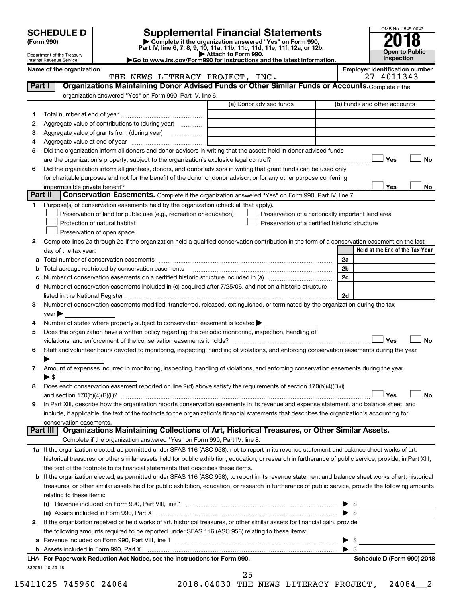Department of the Treasury Internal Revenue Service

| (Form 990) |  |
|------------|--|
|------------|--|

# **SCHEDULE D Supplemental Financial Statements**<br> **Form 990 2018**<br> **Part IV** line 6.7.8.9.10, 11a, 11b, 11d, 11d, 11d, 11d, 11d, 12a, 0r, 12b

**(Form 990) | Complete if the organization answered "Yes" on Form 990, Part IV, line 6, 7, 8, 9, 10, 11a, 11b, 11c, 11d, 11e, 11f, 12a, or 12b.**

**| Attach to Form 990. |Go to www.irs.gov/Form990 for instructions and the latest information.**



Name of the organization<br>
THE NEWS LITERACY PROJECT, INC.<br>
27-4011343 THE NEWS LITERACY PROJECT, INC.

|         |                                                                                                                                                            | (a) Donor advised funds                     | (b) Funds and other accounts                       |
|---------|------------------------------------------------------------------------------------------------------------------------------------------------------------|---------------------------------------------|----------------------------------------------------|
| 1       |                                                                                                                                                            |                                             |                                                    |
| 2       | Aggregate value of contributions to (during year)                                                                                                          |                                             |                                                    |
| З       | Aggregate value of grants from (during year)                                                                                                               |                                             |                                                    |
| 4       |                                                                                                                                                            |                                             |                                                    |
| 5       | Did the organization inform all donors and donor advisors in writing that the assets held in donor advised funds                                           |                                             |                                                    |
|         |                                                                                                                                                            |                                             | Yes                                                |
| 6       | Did the organization inform all grantees, donors, and donor advisors in writing that grant funds can be used only                                          |                                             |                                                    |
|         | for charitable purposes and not for the benefit of the donor or donor advisor, or for any other purpose conferring                                         |                                             |                                                    |
|         |                                                                                                                                                            |                                             | Yes                                                |
| Part II | Conservation Easements. Complete if the organization answered "Yes" on Form 990, Part IV, line 7.                                                          |                                             |                                                    |
| 1.      | Purpose(s) of conservation easements held by the organization (check all that apply).                                                                      |                                             |                                                    |
|         | Preservation of land for public use (e.g., recreation or education)                                                                                        |                                             | Preservation of a historically important land area |
|         | Protection of natural habitat                                                                                                                              |                                             | Preservation of a certified historic structure     |
|         | Preservation of open space                                                                                                                                 |                                             |                                                    |
| 2       | Complete lines 2a through 2d if the organization held a qualified conservation contribution in the form of a conservation easement on the last             |                                             |                                                    |
|         | day of the tax year.                                                                                                                                       |                                             | Held at the End of the Tax Year                    |
| а       |                                                                                                                                                            |                                             | 2a                                                 |
|         | Total acreage restricted by conservation easements                                                                                                         |                                             | 2 <sub>b</sub>                                     |
|         | Number of conservation easements on a certified historic structure included in (a) manufacture included in (a)                                             |                                             | 2c                                                 |
| d       | Number of conservation easements included in (c) acquired after 7/25/06, and not on a historic structure                                                   |                                             |                                                    |
|         |                                                                                                                                                            |                                             | 2d                                                 |
| 3       | Number of conservation easements modified, transferred, released, extinguished, or terminated by the organization during the tax                           |                                             |                                                    |
|         | year                                                                                                                                                       |                                             |                                                    |
| 4       | Number of states where property subject to conservation easement is located >                                                                              |                                             |                                                    |
| 5       | Does the organization have a written policy regarding the periodic monitoring, inspection, handling of                                                     |                                             |                                                    |
|         | violations, and enforcement of the conservation easements it holds?                                                                                        |                                             | Yes                                                |
| 6       | Staff and volunteer hours devoted to monitoring, inspecting, handling of violations, and enforcing conservation easements during the year                  |                                             |                                                    |
|         |                                                                                                                                                            |                                             |                                                    |
| 7       | Amount of expenses incurred in monitoring, inspecting, handling of violations, and enforcing conservation easements during the year                        |                                             |                                                    |
|         | $\blacktriangleright$ \$                                                                                                                                   |                                             |                                                    |
| 8       | Does each conservation easement reported on line 2(d) above satisfy the requirements of section 170(h)(4)(B)(i)                                            |                                             |                                                    |
|         |                                                                                                                                                            |                                             | Yes                                                |
| 9       | In Part XIII, describe how the organization reports conservation easements in its revenue and expense statement, and balance sheet, and                    |                                             |                                                    |
|         | include, if applicable, the text of the footnote to the organization's financial statements that describes the organization's accounting for               |                                             |                                                    |
|         | conservation easements.                                                                                                                                    |                                             |                                                    |
|         | Organizations Maintaining Collections of Art, Historical Treasures, or Other Similar Assets.<br>Part III                                                   |                                             |                                                    |
|         | Complete if the organization answered "Yes" on Form 990, Part IV, line 8.                                                                                  |                                             |                                                    |
|         | 1a If the organization elected, as permitted under SFAS 116 (ASC 958), not to report in its revenue statement and balance sheet works of art,              |                                             |                                                    |
|         | historical treasures, or other similar assets held for public exhibition, education, or research in furtherance of public service, provide, in Part XIII,  |                                             |                                                    |
|         | the text of the footnote to its financial statements that describes these items.                                                                           |                                             |                                                    |
|         | <b>b</b> If the organization elected, as permitted under SFAS 116 (ASC 958), to report in its revenue statement and balance sheet works of art, historical |                                             |                                                    |
|         | treasures, or other similar assets held for public exhibition, education, or research in furtherance of public service, provide the following amounts      |                                             |                                                    |
|         |                                                                                                                                                            |                                             |                                                    |
|         | relating to these items:                                                                                                                                   |                                             |                                                    |
|         |                                                                                                                                                            |                                             |                                                    |
|         | (ii) Assets included in Form 990, Part X [11] Marson Marson Marson Marson Marson Marson Marson Marson Marson M                                             |                                             | $\blacktriangleright$ \$                           |
| 2       | If the organization received or held works of art, historical treasures, or other similar assets for financial gain, provide                               |                                             |                                                    |
|         | the following amounts required to be reported under SFAS 116 (ASC 958) relating to these items:                                                            |                                             |                                                    |
| а       |                                                                                                                                                            |                                             | $\blacktriangleright$ \$                           |
|         |                                                                                                                                                            |                                             |                                                    |
|         | LHA For Paperwork Reduction Act Notice, see the Instructions for Form 990.                                                                                 |                                             | Schedule D (Form 990) 2018                         |
|         | 832051 10-29-18                                                                                                                                            |                                             |                                                    |
|         |                                                                                                                                                            |                                             |                                                    |
|         | 15411025 745960 24084                                                                                                                                      | 25<br>2018.04030 THE NEWS LITERACY PROJECT, | 24084 2                                            |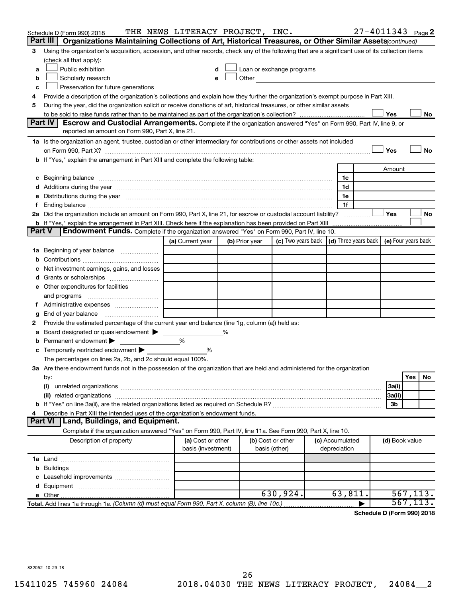|               | Schedule D (Form 990) 2018                                                                                                                                                                                                     | THE NEWS LITERACY PROJECT, INC. |   |                |                                                                                                                                                                                                                                |  |                 | $27 - 4011343$ Page 2       |                |          |    |
|---------------|--------------------------------------------------------------------------------------------------------------------------------------------------------------------------------------------------------------------------------|---------------------------------|---|----------------|--------------------------------------------------------------------------------------------------------------------------------------------------------------------------------------------------------------------------------|--|-----------------|-----------------------------|----------------|----------|----|
|               | Part III I<br>Organizations Maintaining Collections of Art, Historical Treasures, or Other Similar Assets(continued)                                                                                                           |                                 |   |                |                                                                                                                                                                                                                                |  |                 |                             |                |          |    |
| 3             | Using the organization's acquisition, accession, and other records, check any of the following that are a significant use of its collection items                                                                              |                                 |   |                |                                                                                                                                                                                                                                |  |                 |                             |                |          |    |
|               | (check all that apply):                                                                                                                                                                                                        |                                 |   |                |                                                                                                                                                                                                                                |  |                 |                             |                |          |    |
| a             | Public exhibition                                                                                                                                                                                                              |                                 |   |                | Loan or exchange programs                                                                                                                                                                                                      |  |                 |                             |                |          |    |
| b             | Scholarly research                                                                                                                                                                                                             | e                               |   |                | Other and the control of the control of the control of the control of the control of the control of the control of the control of the control of the control of the control of the control of the control of the control of th |  |                 |                             |                |          |    |
| c             | Preservation for future generations                                                                                                                                                                                            |                                 |   |                |                                                                                                                                                                                                                                |  |                 |                             |                |          |    |
| 4             | Provide a description of the organization's collections and explain how they further the organization's exempt purpose in Part XIII.                                                                                           |                                 |   |                |                                                                                                                                                                                                                                |  |                 |                             |                |          |    |
| 5             | During the year, did the organization solicit or receive donations of art, historical treasures, or other similar assets                                                                                                       |                                 |   |                |                                                                                                                                                                                                                                |  |                 |                             |                |          |    |
|               | Yes<br>No<br><b>Escrow and Custodial Arrangements.</b> Complete if the organization answered "Yes" on Form 990, Part IV, line 9, or                                                                                            |                                 |   |                |                                                                                                                                                                                                                                |  |                 |                             |                |          |    |
|               | Part IV                                                                                                                                                                                                                        |                                 |   |                |                                                                                                                                                                                                                                |  |                 |                             |                |          |    |
|               | reported an amount on Form 990, Part X, line 21.                                                                                                                                                                               |                                 |   |                |                                                                                                                                                                                                                                |  |                 |                             |                |          |    |
|               | 1a Is the organization an agent, trustee, custodian or other intermediary for contributions or other assets not included                                                                                                       |                                 |   |                |                                                                                                                                                                                                                                |  |                 |                             |                |          |    |
|               |                                                                                                                                                                                                                                |                                 |   |                |                                                                                                                                                                                                                                |  |                 |                             | Yes            |          | No |
|               | b If "Yes," explain the arrangement in Part XIII and complete the following table:                                                                                                                                             |                                 |   |                |                                                                                                                                                                                                                                |  |                 |                             |                |          |    |
|               |                                                                                                                                                                                                                                |                                 |   |                |                                                                                                                                                                                                                                |  |                 |                             | Amount         |          |    |
| с             | Beginning balance material content and content and content and content and content and content and content and content and content and content and content and content and content and content and content and content and con |                                 |   |                |                                                                                                                                                                                                                                |  | 1c              |                             |                |          |    |
|               |                                                                                                                                                                                                                                |                                 |   |                |                                                                                                                                                                                                                                |  | 1d              |                             |                |          |    |
| е             | Distributions during the year manufactured and an account of the year manufactured and the year manufactured and the year manufactured and the year manufactured and the year manufactured and the year manufactured and the y |                                 |   |                |                                                                                                                                                                                                                                |  | 1e              |                             |                |          |    |
| f.            | 2a Did the organization include an amount on Form 990, Part X, line 21, for escrow or custodial account liability?                                                                                                             |                                 |   |                |                                                                                                                                                                                                                                |  | 1f              |                             | Yes            |          | No |
|               |                                                                                                                                                                                                                                |                                 |   |                |                                                                                                                                                                                                                                |  |                 |                             |                |          |    |
| <b>Part V</b> | Endowment Funds. Complete if the organization answered "Yes" on Form 990, Part IV, line 10.                                                                                                                                    |                                 |   |                |                                                                                                                                                                                                                                |  |                 |                             |                |          |    |
|               |                                                                                                                                                                                                                                | (a) Current year                |   | (b) Prior year | (c) Two years back $\vert$ (d) Three years back $\vert$ (e) Four years back                                                                                                                                                    |  |                 |                             |                |          |    |
| 1a            | Beginning of year balance                                                                                                                                                                                                      |                                 |   |                |                                                                                                                                                                                                                                |  |                 |                             |                |          |    |
| b             |                                                                                                                                                                                                                                |                                 |   |                |                                                                                                                                                                                                                                |  |                 |                             |                |          |    |
| с             | Net investment earnings, gains, and losses                                                                                                                                                                                     |                                 |   |                |                                                                                                                                                                                                                                |  |                 |                             |                |          |    |
| d             | Grants or scholarships <i></i>                                                                                                                                                                                                 |                                 |   |                |                                                                                                                                                                                                                                |  |                 |                             |                |          |    |
| е             | Other expenditures for facilities                                                                                                                                                                                              |                                 |   |                |                                                                                                                                                                                                                                |  |                 |                             |                |          |    |
|               | and programs                                                                                                                                                                                                                   |                                 |   |                |                                                                                                                                                                                                                                |  |                 |                             |                |          |    |
| Ť.            |                                                                                                                                                                                                                                |                                 |   |                |                                                                                                                                                                                                                                |  |                 |                             |                |          |    |
| g             | End of year balance $\Box$                                                                                                                                                                                                     |                                 |   |                |                                                                                                                                                                                                                                |  |                 |                             |                |          |    |
| 2             | Provide the estimated percentage of the current year end balance (line 1g, column (a)) held as:                                                                                                                                |                                 |   |                |                                                                                                                                                                                                                                |  |                 |                             |                |          |    |
| а             | Board designated or quasi-endowment                                                                                                                                                                                            |                                 | % |                |                                                                                                                                                                                                                                |  |                 |                             |                |          |    |
| b             | Permanent endowment                                                                                                                                                                                                            | %                               |   |                |                                                                                                                                                                                                                                |  |                 |                             |                |          |    |
| С             | Temporarily restricted endowment                                                                                                                                                                                               | %                               |   |                |                                                                                                                                                                                                                                |  |                 |                             |                |          |    |
|               | The percentages on lines 2a, 2b, and 2c should equal 100%.                                                                                                                                                                     |                                 |   |                |                                                                                                                                                                                                                                |  |                 |                             |                |          |    |
|               | 3a Are there endowment funds not in the possession of the organization that are held and administered for the organization                                                                                                     |                                 |   |                |                                                                                                                                                                                                                                |  |                 |                             |                |          |    |
|               | by:                                                                                                                                                                                                                            |                                 |   |                |                                                                                                                                                                                                                                |  |                 |                             |                | Yes      | No |
|               | (i)                                                                                                                                                                                                                            |                                 |   |                |                                                                                                                                                                                                                                |  |                 |                             | 3a(i)          |          |    |
|               |                                                                                                                                                                                                                                |                                 |   |                |                                                                                                                                                                                                                                |  |                 |                             | 3a(ii)         |          |    |
|               |                                                                                                                                                                                                                                |                                 |   |                |                                                                                                                                                                                                                                |  |                 |                             | 3b             |          |    |
| 4             | Describe in Part XIII the intended uses of the organization's endowment funds.                                                                                                                                                 |                                 |   |                |                                                                                                                                                                                                                                |  |                 |                             |                |          |    |
|               | Land, Buildings, and Equipment.<br><b>Part VI</b>                                                                                                                                                                              |                                 |   |                |                                                                                                                                                                                                                                |  |                 |                             |                |          |    |
|               | Complete if the organization answered "Yes" on Form 990, Part IV, line 11a. See Form 990, Part X, line 10.                                                                                                                     |                                 |   |                |                                                                                                                                                                                                                                |  |                 |                             |                |          |    |
|               | Description of property                                                                                                                                                                                                        | (a) Cost or other               |   |                | (b) Cost or other                                                                                                                                                                                                              |  | (c) Accumulated |                             | (d) Book value |          |    |
|               |                                                                                                                                                                                                                                | basis (investment)              |   |                | basis (other)                                                                                                                                                                                                                  |  | depreciation    |                             |                |          |    |
|               |                                                                                                                                                                                                                                |                                 |   |                |                                                                                                                                                                                                                                |  |                 |                             |                |          |    |
| b             |                                                                                                                                                                                                                                |                                 |   |                |                                                                                                                                                                                                                                |  |                 |                             |                |          |    |
| c             | Leasehold improvements                                                                                                                                                                                                         |                                 |   |                |                                                                                                                                                                                                                                |  |                 |                             |                |          |    |
| d             |                                                                                                                                                                                                                                |                                 |   |                |                                                                                                                                                                                                                                |  |                 |                             |                |          |    |
| е             |                                                                                                                                                                                                                                |                                 |   |                | 630,924.                                                                                                                                                                                                                       |  | 63,811.         |                             |                | 567,113. |    |
|               | Total. Add lines 1a through 1e. (Column (d) must equal Form 990, Part X, column (B), line 10c.)                                                                                                                                |                                 |   |                |                                                                                                                                                                                                                                |  |                 |                             |                | 567,1    |    |
|               |                                                                                                                                                                                                                                |                                 |   |                |                                                                                                                                                                                                                                |  |                 | Cahadula D (Fauna 000) 0040 |                |          |    |

**Schedule D (Form 990) 2018**

832052 10-29-18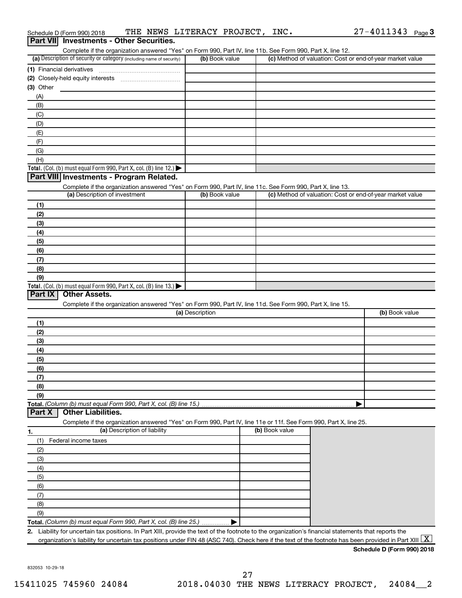|                           | Part VII Investments - Other Securities.                                                                                                                                           |                 |                |                                                           |                |
|---------------------------|------------------------------------------------------------------------------------------------------------------------------------------------------------------------------------|-----------------|----------------|-----------------------------------------------------------|----------------|
|                           | Complete if the organization answered "Yes" on Form 990, Part IV, line 11b. See Form 990, Part X, line 12.<br>(a) Description of security or category (including name of security) | (b) Book value  |                | (c) Method of valuation: Cost or end-of-year market value |                |
| (1) Financial derivatives |                                                                                                                                                                                    |                 |                |                                                           |                |
|                           |                                                                                                                                                                                    |                 |                |                                                           |                |
| $(3)$ Other               |                                                                                                                                                                                    |                 |                |                                                           |                |
| (A)                       |                                                                                                                                                                                    |                 |                |                                                           |                |
| (B)                       |                                                                                                                                                                                    |                 |                |                                                           |                |
| (C)                       |                                                                                                                                                                                    |                 |                |                                                           |                |
| (D)                       |                                                                                                                                                                                    |                 |                |                                                           |                |
| (E)                       |                                                                                                                                                                                    |                 |                |                                                           |                |
| (F)                       |                                                                                                                                                                                    |                 |                |                                                           |                |
| (G)                       |                                                                                                                                                                                    |                 |                |                                                           |                |
| (H)                       |                                                                                                                                                                                    |                 |                |                                                           |                |
|                           | Total. (Col. (b) must equal Form 990, Part X, col. (B) line 12.) $\blacktriangleright$                                                                                             |                 |                |                                                           |                |
|                           | Part VIII Investments - Program Related.                                                                                                                                           |                 |                |                                                           |                |
|                           | Complete if the organization answered "Yes" on Form 990, Part IV, line 11c. See Form 990, Part X, line 13.                                                                         |                 |                |                                                           |                |
|                           | (a) Description of investment                                                                                                                                                      | (b) Book value  |                | (c) Method of valuation: Cost or end-of-year market value |                |
| (1)                       |                                                                                                                                                                                    |                 |                |                                                           |                |
| (2)                       |                                                                                                                                                                                    |                 |                |                                                           |                |
| (3)                       |                                                                                                                                                                                    |                 |                |                                                           |                |
| (4)                       |                                                                                                                                                                                    |                 |                |                                                           |                |
| (5)                       |                                                                                                                                                                                    |                 |                |                                                           |                |
| (6)                       |                                                                                                                                                                                    |                 |                |                                                           |                |
| (7)                       |                                                                                                                                                                                    |                 |                |                                                           |                |
| (8)                       |                                                                                                                                                                                    |                 |                |                                                           |                |
| (9)                       |                                                                                                                                                                                    |                 |                |                                                           |                |
|                           | Total. (Col. (b) must equal Form 990, Part X, col. (B) line 13.)                                                                                                                   |                 |                |                                                           |                |
| Part IX                   | <b>Other Assets.</b>                                                                                                                                                               |                 |                |                                                           |                |
|                           | Complete if the organization answered "Yes" on Form 990, Part IV, line 11d. See Form 990, Part X, line 15.                                                                         |                 |                |                                                           |                |
|                           |                                                                                                                                                                                    | (a) Description |                |                                                           | (b) Book value |
| (1)                       |                                                                                                                                                                                    |                 |                |                                                           |                |
| (2)                       |                                                                                                                                                                                    |                 |                |                                                           |                |
| (3)                       |                                                                                                                                                                                    |                 |                |                                                           |                |
| (4)                       |                                                                                                                                                                                    |                 |                |                                                           |                |
| (5)                       |                                                                                                                                                                                    |                 |                |                                                           |                |
| (6)                       |                                                                                                                                                                                    |                 |                |                                                           |                |
| (7)                       |                                                                                                                                                                                    |                 |                |                                                           |                |
| (8)                       |                                                                                                                                                                                    |                 |                |                                                           |                |
| (9)                       |                                                                                                                                                                                    |                 |                |                                                           |                |
|                           | Total. (Column (b) must equal Form 990, Part X, col. (B) line 15.)                                                                                                                 |                 |                |                                                           |                |
| Part X                    | <b>Other Liabilities.</b>                                                                                                                                                          |                 |                |                                                           |                |
|                           | Complete if the organization answered "Yes" on Form 990, Part IV, line 11e or 11f. See Form 990, Part X, line 25.                                                                  |                 |                |                                                           |                |
| 1.                        | (a) Description of liability                                                                                                                                                       |                 | (b) Book value |                                                           |                |
| (1)                       | Federal income taxes                                                                                                                                                               |                 |                |                                                           |                |
|                           |                                                                                                                                                                                    |                 |                |                                                           |                |
| (2)<br>(3)                |                                                                                                                                                                                    |                 |                |                                                           |                |
|                           |                                                                                                                                                                                    |                 |                |                                                           |                |
| (4)                       |                                                                                                                                                                                    |                 |                |                                                           |                |
| (5)                       |                                                                                                                                                                                    |                 |                |                                                           |                |
| (6)                       |                                                                                                                                                                                    |                 |                |                                                           |                |
| (7)                       |                                                                                                                                                                                    |                 |                |                                                           |                |
| (8)                       |                                                                                                                                                                                    |                 |                |                                                           |                |
| (9)                       |                                                                                                                                                                                    |                 |                |                                                           |                |
|                           | Total. (Column (b) must equal Form 990, Part X, col. (B) line 25.)                                                                                                                 |                 |                |                                                           |                |
|                           | 2. Liability for uncertain tax positions. In Part XIII, provide the text of the footnote to the organization's financial statements that reports the                               |                 |                |                                                           |                |

Schedule D (Form 990) 2018 Page THE NEWS LITERACY PROJECT, INC. 27-4011343

**Schedule D (Form 990) 2018**

27-4011343 Page 3

832053 10-29-18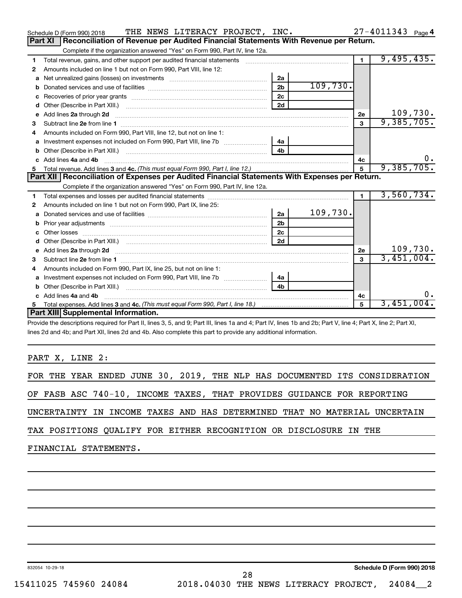|   | THE NEWS LITERACY PROJECT, INC.<br>Schedule D (Form 990) 2018                                                                                                                                                                       |                |          |                         | $27 - 4011343$ Page 4 |
|---|-------------------------------------------------------------------------------------------------------------------------------------------------------------------------------------------------------------------------------------|----------------|----------|-------------------------|-----------------------|
|   | Reconciliation of Revenue per Audited Financial Statements With Revenue per Return.<br>Part XI                                                                                                                                      |                |          |                         |                       |
|   | Complete if the organization answered "Yes" on Form 990, Part IV, line 12a.                                                                                                                                                         |                |          |                         |                       |
| 1 | Total revenue, gains, and other support per audited financial statements                                                                                                                                                            |                |          | $\blacksquare$          | 9,495,435.            |
| 2 | Amounts included on line 1 but not on Form 990, Part VIII, line 12:                                                                                                                                                                 |                |          |                         |                       |
| a |                                                                                                                                                                                                                                     | 2a             |          |                         |                       |
| b |                                                                                                                                                                                                                                     | 2 <sub>b</sub> | 109,730. |                         |                       |
|   |                                                                                                                                                                                                                                     | 2c             |          |                         |                       |
| d |                                                                                                                                                                                                                                     | 2d             |          |                         |                       |
| e | Add lines 2a through 2d                                                                                                                                                                                                             |                |          | 2е                      | 109,730.              |
| 3 | Subtract line 2e from line 1                                                                                                                                                                                                        |                |          | $\overline{\mathbf{3}}$ | 9,385,705.            |
| 4 | Amounts included on Form 990, Part VIII, line 12, but not on line 1:                                                                                                                                                                |                |          |                         |                       |
| a |                                                                                                                                                                                                                                     | 4a             |          |                         |                       |
|   |                                                                                                                                                                                                                                     | 4 <sub>h</sub> |          |                         |                       |
|   | c Add lines 4a and 4b                                                                                                                                                                                                               |                |          | 4c                      | 0.                    |
|   |                                                                                                                                                                                                                                     |                |          | 5                       | 9,385,705.            |
|   | Part XII   Reconciliation of Expenses per Audited Financial Statements With Expenses per Return.                                                                                                                                    |                |          |                         |                       |
|   | Complete if the organization answered "Yes" on Form 990, Part IV, line 12a.                                                                                                                                                         |                |          |                         |                       |
| 1 |                                                                                                                                                                                                                                     |                |          | $\blacksquare$          | 3,560,734.            |
| 2 | Amounts included on line 1 but not on Form 990, Part IX, line 25:                                                                                                                                                                   |                |          |                         |                       |
| а |                                                                                                                                                                                                                                     | 2a             | 109,730. |                         |                       |
| b |                                                                                                                                                                                                                                     | 2 <sub>b</sub> |          |                         |                       |
|   | Other losses                                                                                                                                                                                                                        | 2c             |          |                         |                       |
| d |                                                                                                                                                                                                                                     | 2d             |          |                         |                       |
| e | Add lines 2a through 2d <b>contained a contained a contained a contained a</b> contained a contact the set of the set of the set of the set of the set of the set of the set of the set of the set of the set of the set of the set |                |          | 2e                      | 109,730.              |
| з | Subtract line 2e from line 1 <b>manufacture in the contract of the 2e</b> from line 1                                                                                                                                               |                |          | 3                       | 3,451,004.            |
|   | Amounts included on Form 990, Part IX, line 25, but not on line 1:                                                                                                                                                                  |                |          |                         |                       |
| a |                                                                                                                                                                                                                                     | 4a             |          |                         |                       |
| b |                                                                                                                                                                                                                                     | 4 <sub>b</sub> |          |                         |                       |
|   | Add lines 4a and 4b                                                                                                                                                                                                                 |                |          | 4c                      | 0.                    |
| 5 |                                                                                                                                                                                                                                     |                |          | 5                       | 3,451,004.            |
|   | Part XIII Supplemental Information.                                                                                                                                                                                                 |                |          |                         |                       |
|   | $\sigma = 100$ m $\sigma = 100$ m $\sigma = 100$ m $\sigma = 100$ m $\sigma = 100$ m $\sigma = 100$                                                                                                                                 |                |          |                         |                       |

Provide the descriptions required for Part II, lines 3, 5, and 9; Part III, lines 1a and 4; Part IV, lines 1b and 2b; Part V, line 4; Part X, line 2; Part XI, lines 2d and 4b; and Part XII, lines 2d and 4b. Also complete this part to provide any additional information.

PART X, LINE 2:

|                       |  |  | FOR THE YEAR ENDED JUNE 30, 2019, THE NLP HAS DOCUMENTED ITS CONSIDERATION |  |  |  |  |  |  |
|-----------------------|--|--|----------------------------------------------------------------------------|--|--|--|--|--|--|
|                       |  |  | OF FASB ASC 740-10, INCOME TAXES, THAT PROVIDES GUIDANCE FOR REPORTING     |  |  |  |  |  |  |
|                       |  |  | UNCERTAINTY IN INCOME TAXES AND HAS DETERMINED THAT NO MATERIAL UNCERTAIN  |  |  |  |  |  |  |
|                       |  |  | TAX POSITIONS QUALIFY FOR EITHER RECOGNITION OR DISCLOSURE IN THE          |  |  |  |  |  |  |
| FINANCIAL STATEMENTS. |  |  |                                                                            |  |  |  |  |  |  |

28

832054 10-29-18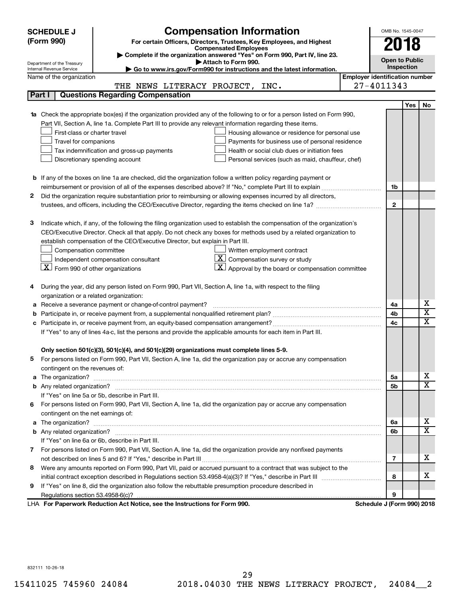|   | <b>SCHEDULE J</b>                                      | <b>Compensation Information</b>                                                                                           |                                       | OMB No. 1545-0047          |      |                         |  |  |
|---|--------------------------------------------------------|---------------------------------------------------------------------------------------------------------------------------|---------------------------------------|----------------------------|------|-------------------------|--|--|
|   | (Form 990)                                             | For certain Officers, Directors, Trustees, Key Employees, and Highest                                                     |                                       |                            |      |                         |  |  |
|   | <b>Compensated Employees</b>                           |                                                                                                                           |                                       |                            | 2018 |                         |  |  |
|   |                                                        | Complete if the organization answered "Yes" on Form 990, Part IV, line 23.<br>Attach to Form 990.                         |                                       | <b>Open to Public</b>      |      |                         |  |  |
|   | Department of the Treasury<br>Internal Revenue Service | Go to www.irs.gov/Form990 for instructions and the latest information.                                                    |                                       | <b>Inspection</b>          |      |                         |  |  |
|   | Name of the organization                               |                                                                                                                           | <b>Employer identification number</b> |                            |      |                         |  |  |
|   |                                                        | THE NEWS LITERACY PROJECT, INC.                                                                                           |                                       | 27-4011343                 |      |                         |  |  |
|   | Part I                                                 | <b>Questions Regarding Compensation</b>                                                                                   |                                       |                            |      |                         |  |  |
|   |                                                        |                                                                                                                           |                                       |                            | Yes  | No                      |  |  |
|   |                                                        | Check the appropriate box(es) if the organization provided any of the following to or for a person listed on Form 990,    |                                       |                            |      |                         |  |  |
|   |                                                        | Part VII, Section A, line 1a. Complete Part III to provide any relevant information regarding these items.                |                                       |                            |      |                         |  |  |
|   | First-class or charter travel                          | Housing allowance or residence for personal use                                                                           |                                       |                            |      |                         |  |  |
|   | Travel for companions                                  | Payments for business use of personal residence                                                                           |                                       |                            |      |                         |  |  |
|   |                                                        | Health or social club dues or initiation fees<br>Tax indemnification and gross-up payments                                |                                       |                            |      |                         |  |  |
|   |                                                        | Discretionary spending account<br>Personal services (such as maid, chauffeur, chef)                                       |                                       |                            |      |                         |  |  |
|   |                                                        |                                                                                                                           |                                       |                            |      |                         |  |  |
|   |                                                        | <b>b</b> If any of the boxes on line 1a are checked, did the organization follow a written policy regarding payment or    |                                       |                            |      |                         |  |  |
|   |                                                        |                                                                                                                           |                                       | 1b                         |      |                         |  |  |
| 2 |                                                        | Did the organization require substantiation prior to reimbursing or allowing expenses incurred by all directors,          |                                       |                            |      |                         |  |  |
|   |                                                        |                                                                                                                           |                                       | $\mathbf{2}$               |      |                         |  |  |
|   |                                                        |                                                                                                                           |                                       |                            |      |                         |  |  |
| З |                                                        | Indicate which, if any, of the following the filing organization used to establish the compensation of the organization's |                                       |                            |      |                         |  |  |
|   |                                                        | CEO/Executive Director. Check all that apply. Do not check any boxes for methods used by a related organization to        |                                       |                            |      |                         |  |  |
|   |                                                        | establish compensation of the CEO/Executive Director, but explain in Part III.                                            |                                       |                            |      |                         |  |  |
|   | Compensation committee                                 | Written employment contract                                                                                               |                                       |                            |      |                         |  |  |
|   |                                                        | $ \mathbf{X} $ Compensation survey or study<br>Independent compensation consultant                                        |                                       |                            |      |                         |  |  |
|   | $\boxed{\textbf{X}}$ Form 990 of other organizations   | $ \mathbf{X} $ Approval by the board or compensation committee                                                            |                                       |                            |      |                         |  |  |
|   |                                                        |                                                                                                                           |                                       |                            |      |                         |  |  |
| 4 |                                                        | During the year, did any person listed on Form 990, Part VII, Section A, line 1a, with respect to the filing              |                                       |                            |      |                         |  |  |
|   | organization or a related organization:                |                                                                                                                           |                                       |                            |      | х                       |  |  |
| а |                                                        | Receive a severance payment or change-of-control payment?                                                                 |                                       | 4a<br>4b                   |      | $\overline{\textbf{x}}$ |  |  |
| b |                                                        |                                                                                                                           |                                       | 4c                         |      | $\mathbf x$             |  |  |
|   |                                                        | If "Yes" to any of lines 4a-c, list the persons and provide the applicable amounts for each item in Part III.             |                                       |                            |      |                         |  |  |
|   |                                                        |                                                                                                                           |                                       |                            |      |                         |  |  |
|   |                                                        | Only section 501(c)(3), 501(c)(4), and 501(c)(29) organizations must complete lines 5-9.                                  |                                       |                            |      |                         |  |  |
|   |                                                        | For persons listed on Form 990, Part VII, Section A, line 1a, did the organization pay or accrue any compensation         |                                       |                            |      |                         |  |  |
|   | contingent on the revenues of:                         |                                                                                                                           |                                       |                            |      |                         |  |  |
| a |                                                        |                                                                                                                           |                                       | 5a                         |      | x                       |  |  |
|   |                                                        |                                                                                                                           |                                       | 5b                         |      | X                       |  |  |
|   |                                                        | If "Yes" on line 5a or 5b, describe in Part III.                                                                          |                                       |                            |      |                         |  |  |
|   |                                                        | 6 For persons listed on Form 990, Part VII, Section A, line 1a, did the organization pay or accrue any compensation       |                                       |                            |      |                         |  |  |
|   | contingent on the net earnings of:                     |                                                                                                                           |                                       |                            |      |                         |  |  |
| a |                                                        |                                                                                                                           |                                       | 6a                         |      | x                       |  |  |
|   |                                                        |                                                                                                                           |                                       | 6b                         |      | $\overline{\mathbf{X}}$ |  |  |
|   |                                                        | If "Yes" on line 6a or 6b, describe in Part III.                                                                          |                                       |                            |      |                         |  |  |
|   |                                                        | 7 For persons listed on Form 990, Part VII, Section A, line 1a, did the organization provide any nonfixed payments        |                                       |                            |      |                         |  |  |
|   |                                                        |                                                                                                                           |                                       | 7                          |      | x                       |  |  |
| 8 |                                                        | Were any amounts reported on Form 990, Part VII, paid or accrued pursuant to a contract that was subject to the           |                                       |                            |      |                         |  |  |
|   |                                                        |                                                                                                                           |                                       | 8                          |      | x                       |  |  |
| 9 |                                                        | If "Yes" on line 8, did the organization also follow the rebuttable presumption procedure described in                    |                                       |                            |      |                         |  |  |
|   |                                                        |                                                                                                                           |                                       | 9                          |      |                         |  |  |
|   |                                                        | LHA For Paperwork Reduction Act Notice, see the Instructions for Form 990.                                                |                                       | Schedule J (Form 990) 2018 |      |                         |  |  |

832111 10-26-18

15411025 745960 24084 2018.04030 THE NEWS LITERACY PROJECT, 24084\_\_2 29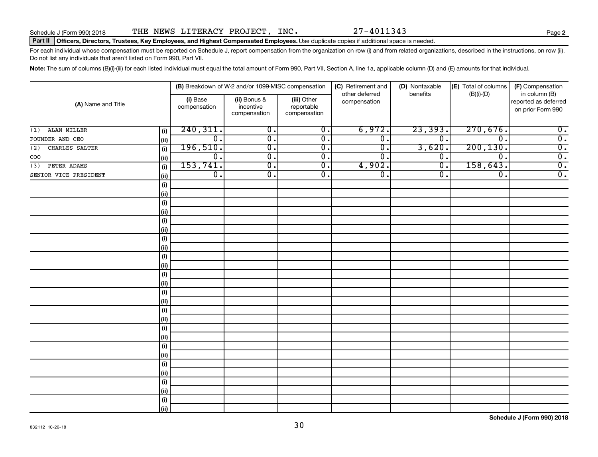### Part II | Officers, Directors, Trustees, Key Employees, and Highest Compensated Employees. Use duplicate copies if additional space is needed.

For each individual whose compensation must be reported on Schedule J, report compensation from the organization on row (i) and from related organizations, described in the instructions, on row (ii). Do not list any individuals that aren't listed on Form 990, Part VII.

Note: The sum of columns (B)(i)-(iii) for each listed individual must equal the total amount of Form 990, Part VII, Section A, line 1a, applicable column (D) and (E) amounts for that individual.

|                       |      | (B) Breakdown of W-2 and/or 1099-MISC compensation |                                           | (C) Retirement and<br>other deferred      | (D) Nontaxable<br>benefits | (E) Total of columns<br>$(B)(i)$ - $(D)$ | (F) Compensation<br>in column (B) |                                           |
|-----------------------|------|----------------------------------------------------|-------------------------------------------|-------------------------------------------|----------------------------|------------------------------------------|-----------------------------------|-------------------------------------------|
| (A) Name and Title    |      | (i) Base<br>compensation                           | (ii) Bonus &<br>incentive<br>compensation | (iii) Other<br>reportable<br>compensation | compensation               |                                          |                                   | reported as deferred<br>on prior Form 990 |
| ALAN MILLER<br>(1)    | (i)  | 240, 311.                                          | $\overline{0}$ .                          | $\overline{0}$ .                          | 6,972.                     | 23,393.                                  | 270,676.                          | $\overline{0}$ .                          |
| FOUNDER AND CEO       | (ii) | $\overline{0}$ .                                   | $\overline{0}$ .                          | $\overline{0}$ .                          | $\overline{0}$ .           | $\overline{\mathfrak{o}}$ .              | $\overline{\mathfrak{o}}$ .       | $\overline{0}$ .                          |
| CHARLES SALTER<br>(2) | (i)  | 196,510.                                           | $\overline{0}$ .                          | $\overline{0}$ .                          | $\overline{0}$ .           | 3,620.                                   | 200, 130.                         | $\overline{0}$ .                          |
| COO                   | (ii) | $\overline{0}$ .                                   | $\overline{0}$ .                          | $\overline{0}$ .                          | $\overline{0}$ .           | $\overline{0}$ .                         | $\overline{\mathfrak{o}}$ .       | $\overline{0}$ .                          |
| PETER ADAMS<br>(3)    | (i)  | 153, 741.                                          | $\overline{0}$ .                          | $\overline{0}$ .                          | 4,902.                     | $\overline{0}$ .                         | 158,643.                          | $\overline{0}$ .                          |
| SENIOR VICE PRESIDENT | (ii) | $\overline{0}$ .                                   | $\overline{0}$ .                          | $\overline{0}$ .                          | $\overline{0}$ .           | σ.                                       | $\overline{\mathfrak{o}}$ .       | $\overline{0}$ .                          |
|                       | (i)  |                                                    |                                           |                                           |                            |                                          |                                   |                                           |
|                       | (ii) |                                                    |                                           |                                           |                            |                                          |                                   |                                           |
|                       | (i)  |                                                    |                                           |                                           |                            |                                          |                                   |                                           |
|                       | (ii) |                                                    |                                           |                                           |                            |                                          |                                   |                                           |
|                       | (i)  |                                                    |                                           |                                           |                            |                                          |                                   |                                           |
|                       | (ii) |                                                    |                                           |                                           |                            |                                          |                                   |                                           |
|                       | (i)  |                                                    |                                           |                                           |                            |                                          |                                   |                                           |
|                       | (ii) |                                                    |                                           |                                           |                            |                                          |                                   |                                           |
|                       | (i)  |                                                    |                                           |                                           |                            |                                          |                                   |                                           |
|                       | (ii) |                                                    |                                           |                                           |                            |                                          |                                   |                                           |
|                       | (i)  |                                                    |                                           |                                           |                            |                                          |                                   |                                           |
|                       | (ii) |                                                    |                                           |                                           |                            |                                          |                                   |                                           |
|                       | (i)  |                                                    |                                           |                                           |                            |                                          |                                   |                                           |
|                       | (ii) |                                                    |                                           |                                           |                            |                                          |                                   |                                           |
|                       | (i)  |                                                    |                                           |                                           |                            |                                          |                                   |                                           |
|                       | (ii) |                                                    |                                           |                                           |                            |                                          |                                   |                                           |
|                       | (i)  |                                                    |                                           |                                           |                            |                                          |                                   |                                           |
|                       | (ii) |                                                    |                                           |                                           |                            |                                          |                                   |                                           |
|                       | (i)  |                                                    |                                           |                                           |                            |                                          |                                   |                                           |
|                       | (ii) |                                                    |                                           |                                           |                            |                                          |                                   |                                           |
|                       | (i)  |                                                    |                                           |                                           |                            |                                          |                                   |                                           |
|                       | (ii) |                                                    |                                           |                                           |                            |                                          |                                   |                                           |
|                       | (i)  |                                                    |                                           |                                           |                            |                                          |                                   |                                           |
|                       | (ii) |                                                    |                                           |                                           |                            |                                          |                                   |                                           |
|                       | (i)  |                                                    |                                           |                                           |                            |                                          |                                   |                                           |
|                       | (ii) |                                                    |                                           |                                           |                            |                                          |                                   |                                           |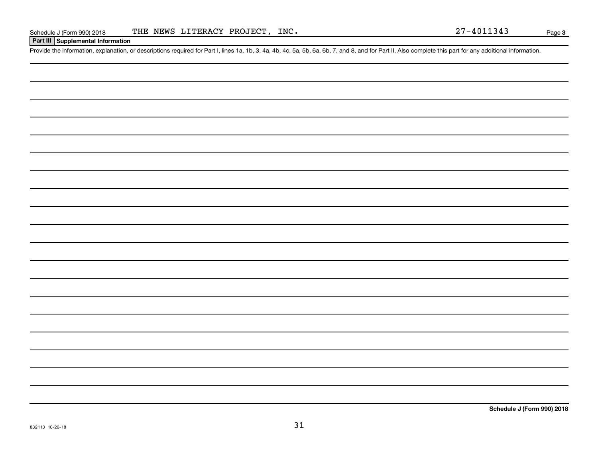## **Part III Supplemental Information**

Provide the information, explanation, or descriptions required for Part I, lines 1a, 1b, 3, 4a, 4b, 4c, 5a, 5b, 6a, 6b, 7, and 8, and for Part II. Also complete this part for any additional information.

**Schedule J (Form 990) 2018**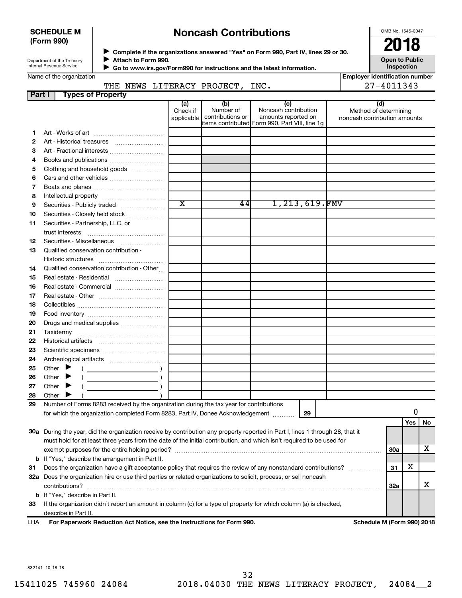## **SCHEDULE M (Form 990)**

## **Noncash Contributions**

OMB No. 1545-0047

| Department of the Treasury |  |
|----------------------------|--|
| Internal Revenue Service   |  |
|                            |  |

Real estate - Residential ~~~~~~~~~ Real estate - Commercial ........................... Real estate - Other ~~~~~~~~~~~~ Collectibles ~~~~~~~~~~~~~~~~ Food inventory ~~~~~~~~~~~~~~ Drugs and medical supplies ....................... Taxidermy ~~~~~~~~~~~~~~~~ Historical artifacts ~~~~~~~~~~~~ Scientific specimens ................................. Archeological artifacts ~~~~~~~~~~ Other  $\blacktriangleright$  ( ) Other  $\blacktriangleright$  ( ) Other  $\blacktriangleright$  ( )

◆ Complete if the organizations answered "Yes" on Form 990, Part IV, lines 29 or 30.<br>▶ Complete if the organizations answered "Yes" on Form 990, Part IV, lines 29 or 30. **Attach to Form 990.** J

|        | Attach to Form 990.<br>Department of the Treasury<br>Internal Revenue Service |                               |                                      | Go to www.irs.gov/Form990 for instructions and the latest information.                               | <b>Open to Public</b><br>Inspection                          |
|--------|-------------------------------------------------------------------------------|-------------------------------|--------------------------------------|------------------------------------------------------------------------------------------------------|--------------------------------------------------------------|
|        | Name of the organization                                                      |                               |                                      |                                                                                                      | <b>Employer identification number</b>                        |
|        | THE NEWS LITERACY PROJECT, INC.                                               |                               |                                      |                                                                                                      | 27-4011343                                                   |
| Part I | <b>Types of Property</b>                                                      |                               |                                      |                                                                                                      |                                                              |
|        |                                                                               | (a)<br>Check if<br>applicable | (b)<br>Number of<br>contributions or | (c)<br>Noncash contribution<br>amounts reported on<br>items contributed Form 990, Part VIII, line 1g | (d)<br>Method of determining<br>noncash contribution amounts |
|        |                                                                               |                               |                                      |                                                                                                      |                                                              |
|        |                                                                               |                               |                                      |                                                                                                      |                                                              |
| з      |                                                                               |                               |                                      |                                                                                                      |                                                              |
| 4      |                                                                               |                               |                                      |                                                                                                      |                                                              |
| 5      | Clothing and household goods                                                  |                               |                                      |                                                                                                      |                                                              |
| 6      |                                                                               |                               |                                      |                                                                                                      |                                                              |
|        |                                                                               |                               |                                      |                                                                                                      |                                                              |
| 8      |                                                                               |                               |                                      |                                                                                                      |                                                              |
| 9      |                                                                               | $\overline{\texttt{x}}$       | 44 I                                 | 1,213,619.FMV                                                                                        |                                                              |
| 10     | Securities - Closely held stock                                               |                               |                                      |                                                                                                      |                                                              |
| 11     | Securities - Partnership, LLC, or                                             |                               |                                      |                                                                                                      |                                                              |
|        | trust interests                                                               |                               |                                      |                                                                                                      |                                                              |
| 12     | Securities - Miscellaneous                                                    |                               |                                      |                                                                                                      |                                                              |
| 13     | Qualified conservation contribution -                                         |                               |                                      |                                                                                                      |                                                              |
|        | Historic structures                                                           |                               |                                      |                                                                                                      |                                                              |
| 14     | Qualified conservation contribution - Other                                   |                               |                                      |                                                                                                      |                                                              |

| 28  | Other                                                                                                                      |                            |     |     |  |  |
|-----|----------------------------------------------------------------------------------------------------------------------------|----------------------------|-----|-----|--|--|
| 29  | Number of Forms 8283 received by the organization during the tax year for contributions                                    |                            |     |     |  |  |
|     | 29<br>for which the organization completed Form 8283, Part IV, Donee Acknowledgement                                       |                            |     |     |  |  |
|     |                                                                                                                            |                            | Yes | No. |  |  |
| 30a | During the year, did the organization receive by contribution any property reported in Part I, lines 1 through 28, that it |                            |     |     |  |  |
|     | must hold for at least three years from the date of the initial contribution, and which isn't required to be used for      |                            |     |     |  |  |
|     | exempt purposes for the entire holding period?                                                                             | 30a                        |     | х   |  |  |
|     | <b>b</b> If "Yes," describe the arrangement in Part II.                                                                    |                            |     |     |  |  |
| 31  | Does the organization have a gift acceptance policy that requires the review of any nonstandard contributions?             |                            |     |     |  |  |
| 32a | Does the organization hire or use third parties or related organizations to solicit, process, or sell noncash              |                            |     |     |  |  |
|     | contributions?                                                                                                             | 32a                        |     | х   |  |  |
|     | <b>b</b> If "Yes," describe in Part II.                                                                                    |                            |     |     |  |  |
| 33  | If the organization didn't report an amount in column (c) for a type of property for which column (a) is checked,          |                            |     |     |  |  |
|     | describe in Part II.                                                                                                       |                            |     |     |  |  |
|     | $\mathsf{L} \mathsf{L} \Lambda$ . For Danorwork Poduction Act Notice, see the Instructions for Form 000.                   | Schodule M (Form 000) 2019 |     |     |  |  |

**For Paperwork Reduction Act Notice, see the Instructions for Form 990. Schedule M (Form 990) 2018** I HA

832141 10-18-18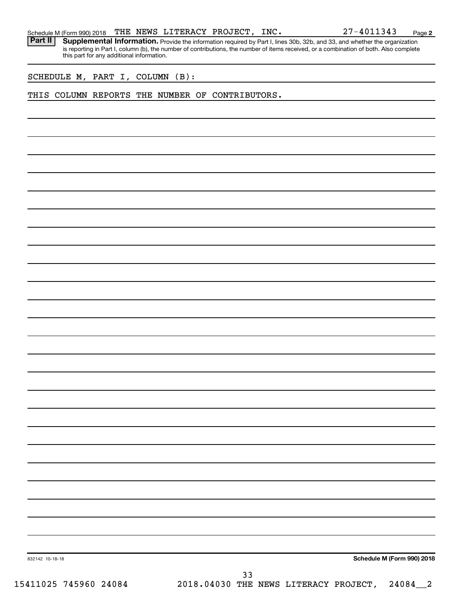Part II | Supplemental Information. Provide the information required by Part I, lines 30b, 32b, and 33, and whether the organization is reporting in Part I, column (b), the number of contributions, the number of items received, or a combination of both. Also complete this part for any additional information.

SCHEDULE M, PART I, COLUMN (B):

### THIS COLUMN REPORTS THE NUMBER OF CONTRIBUTORS.

**Schedule M (Form 990) 2018**

832142 10-18-18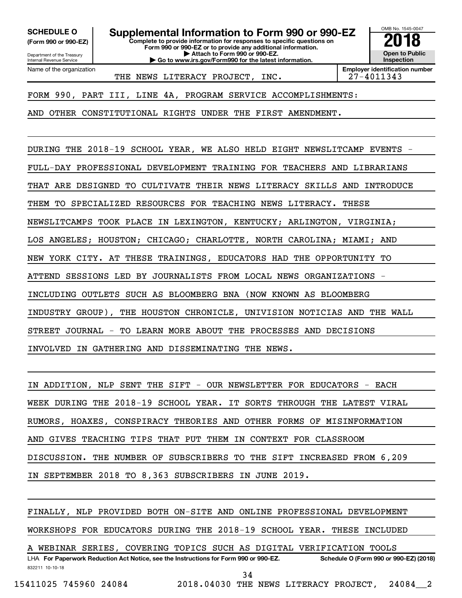Department of the Treasury **(Form 990 or 990-EZ)**

Name of the organization

Internal Revenue Service

**Complete to provide information for responses to specific questions on** SCHEDULE O **Supplemental Information to Form 990 or 990-EZ 2018**<br>(Form 990 or 990-EZ) Complete to provide information for responses to specific questions on

**Form 990 or 990-EZ or to provide any additional information. | Attach to Form 990 or 990-EZ.**

**| Go to www.irs.gov/Form990 for the latest information.**

OMB No. 1545-0047 **Open to Public Inspection**

THE NEWS LITERACY PROJECT, INC. 27-4011343

**Employer identification number**

FORM 990, PART III, LINE 4A, PROGRAM SERVICE ACCOMPLISHMENTS:

AND OTHER CONSTITUTIONAL RIGHTS UNDER THE FIRST AMENDMENT.

DURING THE 2018-19 SCHOOL YEAR, WE ALSO HELD EIGHT NEWSLITCAMP EVENTS - FULL-DAY PROFESSIONAL DEVELOPMENT TRAINING FOR TEACHERS AND LIBRARIANS THAT ARE DESIGNED TO CULTIVATE THEIR NEWS LITERACY SKILLS AND INTRODUCE THEM TO SPECIALIZED RESOURCES FOR TEACHING NEWS LITERACY. THESE NEWSLITCAMPS TOOK PLACE IN LEXINGTON, KENTUCKY; ARLINGTON, VIRGINIA; LOS ANGELES; HOUSTON; CHICAGO; CHARLOTTE, NORTH CAROLINA; MIAMI; AND NEW YORK CITY. AT THESE TRAININGS, EDUCATORS HAD THE OPPORTUNITY TO ATTEND SESSIONS LED BY JOURNALISTS FROM LOCAL NEWS ORGANIZATIONS - INCLUDING OUTLETS SUCH AS BLOOMBERG BNA (NOW KNOWN AS BLOOMBERG INDUSTRY GROUP), THE HOUSTON CHRONICLE, UNIVISION NOTICIAS AND THE WALL STREET JOURNAL - TO LEARN MORE ABOUT THE PROCESSES AND DECISIONS INVOLVED IN GATHERING AND DISSEMINATING THE NEWS.

IN ADDITION, NLP SENT THE SIFT - OUR NEWSLETTER FOR EDUCATORS - EACH WEEK DURING THE 2018-19 SCHOOL YEAR. IT SORTS THROUGH THE LATEST VIRAL RUMORS, HOAXES, CONSPIRACY THEORIES AND OTHER FORMS OF MISINFORMATION AND GIVES TEACHING TIPS THAT PUT THEM IN CONTEXT FOR CLASSROOM DISCUSSION. THE NUMBER OF SUBSCRIBERS TO THE SIFT INCREASED FROM 6,209 IN SEPTEMBER 2018 TO 8,363 SUBSCRIBERS IN JUNE 2019.

LHA For Paperwork Reduction Act Notice, see the Instructions for Form 990 or 990-EZ. Schedule O (Form 990 or 990-EZ) (2018) FINALLY, NLP PROVIDED BOTH ON-SITE AND ONLINE PROFESSIONAL DEVELOPMENT WORKSHOPS FOR EDUCATORS DURING THE 2018-19 SCHOOL YEAR. THESE INCLUDED A WEBINAR SERIES, COVERING TOPICS SUCH AS DIGITAL VERIFICATION TOOLS

832211 10-10-18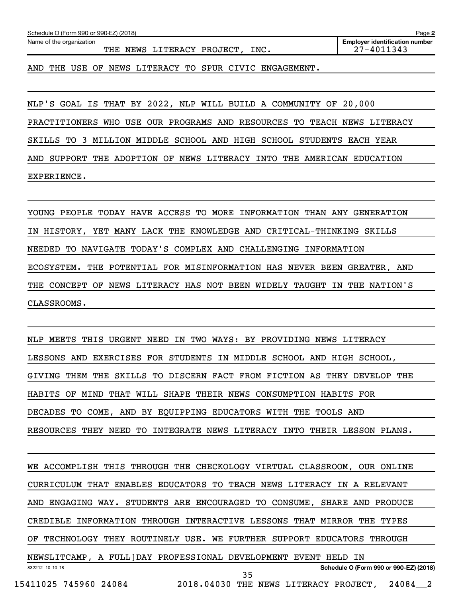| Schedule O (Form 990 or 990-EZ) (2018)<br>Page 2            |                                                     |  |  |  |  |  |  |
|-------------------------------------------------------------|-----------------------------------------------------|--|--|--|--|--|--|
| Name of the organization<br>THE NEWS LITERACY PROJECT, INC. | <b>Employer identification number</b><br>27-4011343 |  |  |  |  |  |  |
| AND THE USE OF NEWS LITERACY TO SPUR CIVIC ENGAGEMENT.      |                                                     |  |  |  |  |  |  |

NLP'S GOAL IS THAT BY 2022, NLP WILL BUILD A COMMUNITY OF 20,000

PRACTITIONERS WHO USE OUR PROGRAMS AND RESOURCES TO TEACH NEWS LITERACY

SKILLS TO 3 MILLION MIDDLE SCHOOL AND HIGH SCHOOL STUDENTS EACH YEAR

AND SUPPORT THE ADOPTION OF NEWS LITERACY INTO THE AMERICAN EDUCATION

EXPERIENCE.

YOUNG PEOPLE TODAY HAVE ACCESS TO MORE INFORMATION THAN ANY GENERATION IN HISTORY, YET MANY LACK THE KNOWLEDGE AND CRITICAL-THINKING SKILLS NEEDED TO NAVIGATE TODAY'S COMPLEX AND CHALLENGING INFORMATION ECOSYSTEM. THE POTENTIAL FOR MISINFORMATION HAS NEVER BEEN GREATER, AND THE CONCEPT OF NEWS LITERACY HAS NOT BEEN WIDELY TAUGHT IN THE NATION'S CLASSROOMS.

NLP MEETS THIS URGENT NEED IN TWO WAYS: BY PROVIDING NEWS LITERACY LESSONS AND EXERCISES FOR STUDENTS IN MIDDLE SCHOOL AND HIGH SCHOOL, GIVING THEM THE SKILLS TO DISCERN FACT FROM FICTION AS THEY DEVELOP THE HABITS OF MIND THAT WILL SHAPE THEIR NEWS CONSUMPTION HABITS FOR DECADES TO COME, AND BY EQUIPPING EDUCATORS WITH THE TOOLS AND RESOURCES THEY NEED TO INTEGRATE NEWS LITERACY INTO THEIR LESSON PLANS.

832212 10-10-18 **Schedule O (Form 990 or 990-EZ) (2018)** WE ACCOMPLISH THIS THROUGH THE CHECKOLOGY VIRTUAL CLASSROOM, OUR ONLINE CURRICULUM THAT ENABLES EDUCATORS TO TEACH NEWS LITERACY IN A RELEVANT AND ENGAGING WAY. STUDENTS ARE ENCOURAGED TO CONSUME, SHARE AND PRODUCE CREDIBLE INFORMATION THROUGH INTERACTIVE LESSONS THAT MIRROR THE TYPES OF TECHNOLOGY THEY ROUTINELY USE. WE FURTHER SUPPORT EDUCATORS THROUGH NEWSLITCAMP, A FULL]DAY PROFESSIONAL DEVELOPMENT EVENT HELD IN 15411025 745960 24084 2018.04030 THE NEWS LITERACY PROJECT, 24084\_\_2 35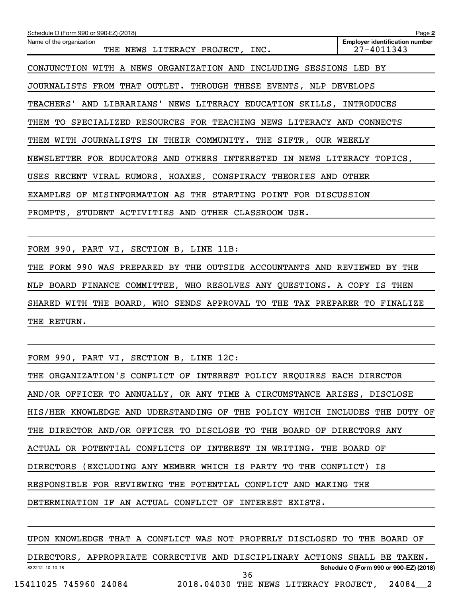| Schedule O (Form 990 or 990-EZ) (2018)                                         | Page 2                                              |
|--------------------------------------------------------------------------------|-----------------------------------------------------|
| Name of the organization<br>THE NEWS LITERACY PROJECT, INC.                    | <b>Employer identification number</b><br>27-4011343 |
| CONJUNCTION WITH A NEWS ORGANIZATION AND INCLUDING SESSIONS LED BY             |                                                     |
| JOURNALISTS FROM THAT OUTLET. THROUGH THESE EVENTS, NLP DEVELOPS               |                                                     |
| <b>TEACHERS'</b><br>AND LIBRARIANS' NEWS LITERACY EDUCATION SKILLS, INTRODUCES |                                                     |
| SPECIALIZED RESOURCES FOR TEACHING NEWS LITERACY AND CONNECTS<br>THEM TO       |                                                     |
| JOURNALISTS IN THEIR COMMUNITY. THE SIFTR, OUR WEEKLY<br>WITH<br>THEM          |                                                     |
| NEWSLETTER FOR EDUCATORS AND OTHERS<br>INTERESTED IN NEWS LITERACY             | TOPICS,                                             |
| USES RECENT VIRAL RUMORS, HOAXES, CONSPIRACY THEORIES AND OTHER                |                                                     |
| MISINFORMATION AS THE<br>EXAMPLES<br>STARTING POINT FOR DISCUSSION<br>OF       |                                                     |
| PROMPTS, STUDENT ACTIVITIES AND OTHER CLASSROOM USE.                           |                                                     |
|                                                                                |                                                     |

FORM 990, PART VI, SECTION B, LINE 11B:

THE FORM 990 WAS PREPARED BY THE OUTSIDE ACCOUNTANTS AND REVIEWED BY THE NLP BOARD FINANCE COMMITTEE, WHO RESOLVES ANY QUESTIONS. A COPY IS THEN SHARED WITH THE BOARD, WHO SENDS APPROVAL TO THE TAX PREPARER TO FINALIZE THE RETURN.

FORM 990, PART VI, SECTION B, LINE 12C:

| THE ORGANIZATION'S CONFLICT OF INTEREST POLICY REQUIRES EACH DIRECTOR       |
|-----------------------------------------------------------------------------|
| AND/OR OFFICER TO ANNUALLY, OR ANY TIME A CIRCUMSTANCE ARISES, DISCLOSE     |
| HIS/HER KNOWLEDGE AND UDERSTANDING OF THE POLICY WHICH INCLUDES THE DUTY OF |
| THE DIRECTOR AND/OR OFFICER TO DISCLOSE TO THE BOARD OF DIRECTORS ANY       |
| ACTUAL OR POTENTIAL CONFLICTS OF INTEREST IN WRITING. THE BOARD OF          |
| DIRECTORS (EXCLUDING ANY MEMBER WHICH IS PARTY TO THE CONFLICT) IS          |
| RESPONSIBLE FOR REVIEWING THE POTENTIAL CONFLICT AND MAKING THE             |
| DETERMINATION IF AN ACTUAL CONFLICT OF INTEREST EXISTS.                     |

832212 10-10-18 **Schedule O (Form 990 or 990-EZ) (2018)** UPON KNOWLEDGE THAT A CONFLICT WAS NOT PROPERLY DISCLOSED TO THE BOARD OF DIRECTORS, APPROPRIATE CORRECTIVE AND DISCIPLINARY ACTIONS SHALL BE TAKEN. 15411025 745960 24084 2018.04030 THE NEWS LITERACY PROJECT, 24084\_\_2 36